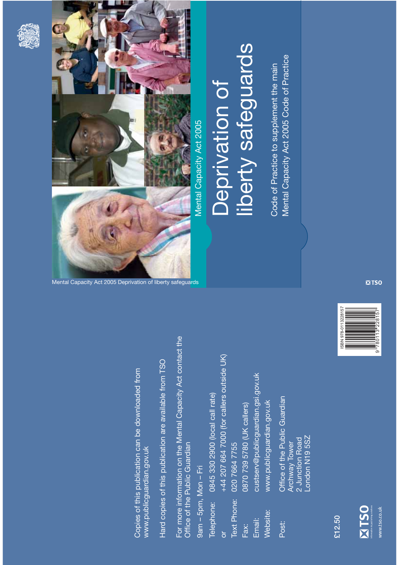

Hard copies of this publication are available from TSO Hard copies of this publication are available from TSO For more information on the Mental Capacity Act contact the For more information on the Mental Capacity Act contact the Office of the Public Guardian Office of the Public Guardian

+44 207 664 7000 (for callers outside UK) or  $+44$  207 664 7000 (for callers outside UK) custserv@publicguardian.gsi.gov.uk Email: custserv@publicguardian.gsi.gov.uk 0845 330 2900 (local call rate) Telephone: 0845 330 2900 (local call rate) Office of the Public Guardian Office of the Public Guardian www.publicguardian.gov.uk Website: www.publicguardian.gov.uk 0870 739 5780 (UK callers) Fax: 0870 739 5780 (UK callers) London N19 5SZ 2 Junction Road London N19 5SZ 2 Junction Road Archway Tower 020 7664 7755 Archway Tower Text Phone: 020 7664 7755 9am - 5pm, Mon - Fri 9am – 5pm, Mon – Fri Text Phone: Telephone: Nebsite: Email: Post: Fax:  $\overline{a}$ 

**£12.50**





**ETSO** 





Mental Capacity Act 2005 Deprivation of liberty safeguards

Mental Capacity Act 2005 Mental Capacity Act 2005

# liberty safeguards liberty safeguards Deprivation of Deprivation of

Mental Capacity Act 2005 Code of Practice Mental Capacity Act 2005 Code of Practice Code of Practice to supplement the main Code of Practice to supplement the main

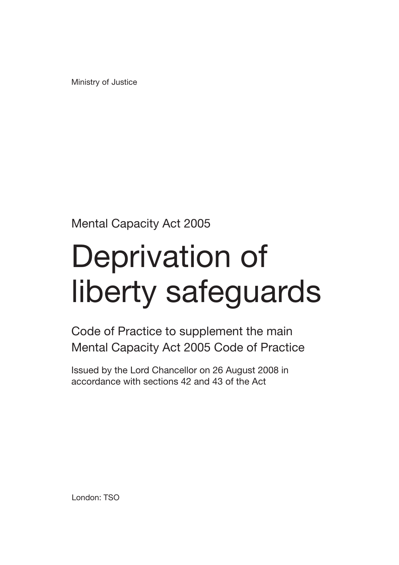Ministry of Justice

Mental Capacity Act 2005

## Deprivation of liberty safeguards

Code of Practice to supplement the main Mental Capacity Act 2005 Code of Practice

Issued by the Lord Chancellor on 26 August 2008 in accordance with sections 42 and 43 of the Act

London: TSO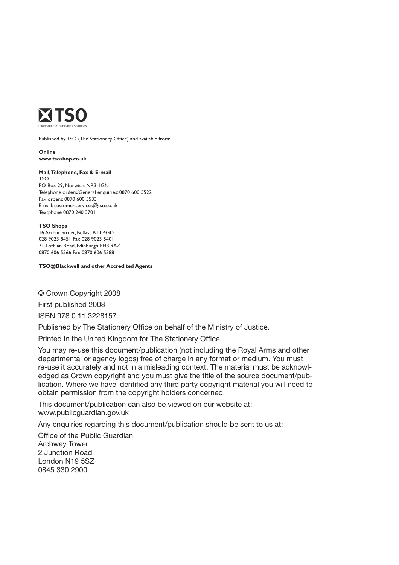

Published by TSO (The Stationery Office) and available from:

**Online www.tsoshop.co.uk**

**Mail, Telephone, Fax & E-mail** TSO PO Box 29, Norwich, NR3 1GN Telephone orders/General enquiries: 0870 600 5522 Fax orders: 0870 600 5533 E-mail: customer.services@tso.co.uk Textphone 0870 240 3701

**TSO Shops** 16 Arthur Street, Belfast BT1 4GD 028 9023 8451 Fax 028 9023 5401 71 Lothian Road, Edinburgh EH3 9AZ 0870 606 5566 Fax 0870 606 5588

**TSO@Blackwell and other Accredited Agents**

© Crown Copyright 2008

First published 2008

ISBN 978 0 11 3228157

Published by The Stationery Office on behalf of the Ministry of Justice.

Printed in the United Kingdom for The Stationery Office.

You may re-use this document/publication (not including the Royal Arms and other departmental or agency logos) free of charge in any format or medium. You must re-use it accurately and not in a misleading context. The material must be acknowledged as Crown copyright and you must give the title of the source document/publication. Where we have identified any third party copyright material you will need to obtain permission from the copyright holders concerned.

This document/publication can also be viewed on our website at: www.publicguardian.gov.uk

Any enquiries regarding this document/publication should be sent to us at:

Office of the Public Guardian Archway Tower 2 Junction Road London N19 5SZ 0845 330 2900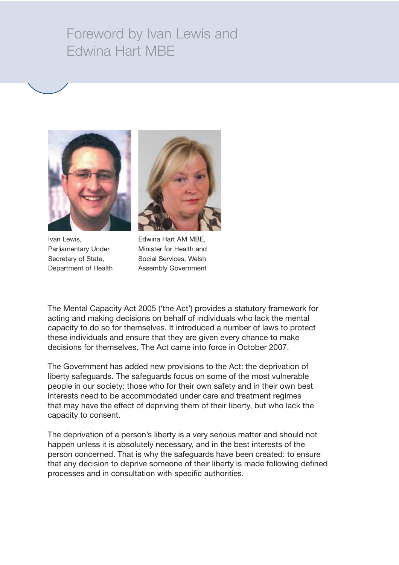## Foreword by Ivan Lewis and Edwina Hart MBE



Ivan Lewis, Parliamentary Under Secretary of State, Department of Health



Edwina Hart AM MBE, Minister for Health and Social Services, Welsh Assembly Government

The Mental Capacity Act 2005 ('the Act') provides a statutory framework for acting and making decisions on behalf of individuals who lack the mental capacity to do so for themselves. It introduced a number of laws to protect these individuals and ensure that they are given every chance to make decisions for themselves. The Act came into force in October 2007.

The Government has added new provisions to the Act: the deprivation of liberty safeguards. The safeguards focus on some of the most vulnerable people in our society: those who for their own safety and in their own best interests need to be accommodated under care and treatment regimes that may have the effect of depriving them of their liberty, but who lack the capacity to consent.

The deprivation of a person's liberty is a very serious matter and should not happen unless it is absolutely necessary, and in the best interests of the person concerned. That is why the safeguards have been created: to ensure that any decision to deprive someone of their liberty is made following defined processes and in consultation with specific authorities.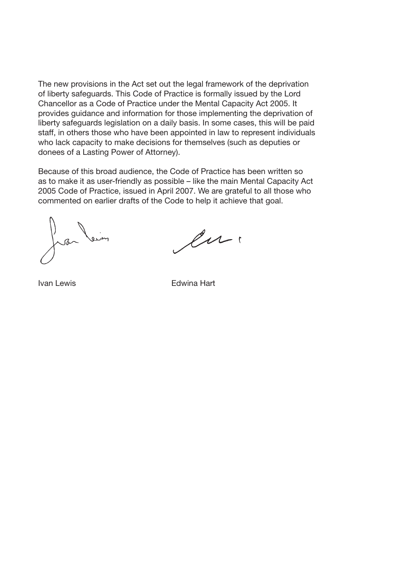The new provisions in the Act set out the legal framework of the deprivation of liberty safeguards. This Code of Practice is formally issued by the Lord Chancellor as a Code of Practice under the Mental Capacity Act 2005. It provides guidance and information for those implementing the deprivation of liberty safeguards legislation on a daily basis. In some cases, this will be paid staff, in others those who have been appointed in law to represent individuals who lack capacity to make decisions for themselves (such as deputies or donees of a Lasting Power of Attorney).

Because of this broad audience, the Code of Practice has been written so as to make it as user-friendly as possible – like the main Mental Capacity Act 2005 Code of Practice, issued in April 2007. We are grateful to all those who commented on earlier drafts of the Code to help it achieve that goal.

 $\ell$ m

Ivan Lewis **Edwina Hart**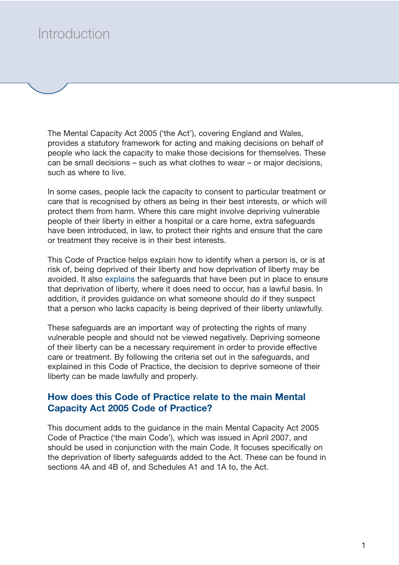## Introduction

The Mental Capacity Act 2005 ('the Act'), covering England and Wales, provides a statutory framework for acting and making decisions on behalf of people who lack the capacity to make those decisions for themselves. These can be small decisions – such as what clothes to wear – or major decisions, such as where to live.

In some cases, people lack the capacity to consent to particular treatment or care that is recognised by others as being in their best interests, or which will protect them from harm. Where this care might involve depriving vulnerable people of their liberty in either a hospital or a care home, extra safeguards have been introduced, in law, to protect their rights and ensure that the care or treatment they receive is in their best interests.

This Code of Practice helps explain how to identify when a person is, or is at risk of, being deprived of their liberty and how deprivation of liberty may be avoided. It also explains the safeguards that have been put in place to ensure that deprivation of liberty, where it does need to occur, has a lawful basis. In addition, it provides guidance on what someone should do if they suspect that a person who lacks capacity is being deprived of their liberty unlawfully.

These safeguards are an important way of protecting the rights of many vulnerable people and should not be viewed negatively. Depriving someone of their liberty can be a necessary requirement in order to provide effective care or treatment. By following the criteria set out in the safeguards, and explained in this Code of Practice, the decision to deprive someone of their liberty can be made lawfully and properly.

#### **How does this Code of Practice relate to the main Mental Capacity Act 2005 Code of Practice?**

This document adds to the guidance in the main Mental Capacity Act 2005 Code of Practice ('the main Code'), which was issued in April 2007, and should be used in conjunction with the main Code. It focuses specifically on the deprivation of liberty safeguards added to the Act. These can be found in sections 4A and 4B of, and Schedules A1 and 1A to, the Act.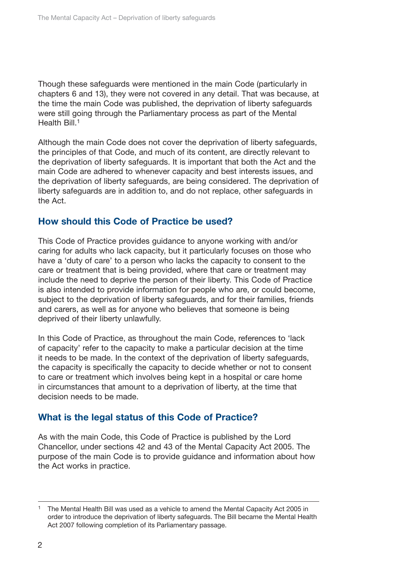Though these safeguards were mentioned in the main Code (particularly in chapters 6 and 13), they were not covered in any detail. That was because, at the time the main Code was published, the deprivation of liberty safeguards were still going through the Parliamentary process as part of the Mental Health Bill<sup>1</sup>

Although the main Code does not cover the deprivation of liberty safeguards, the principles of that Code, and much of its content, are directly relevant to the deprivation of liberty safeguards. It is important that both the Act and the main Code are adhered to whenever capacity and best interests issues, and the deprivation of liberty safeguards, are being considered. The deprivation of liberty safeguards are in addition to, and do not replace, other safeguards in the Act.

#### **How should this Code of Practice be used?**

This Code of Practice provides guidance to anyone working with and/or caring for adults who lack capacity, but it particularly focuses on those who have a 'duty of care' to a person who lacks the capacity to consent to the care or treatment that is being provided, where that care or treatment may include the need to deprive the person of their liberty. This Code of Practice is also intended to provide information for people who are, or could become, subject to the deprivation of liberty safeguards, and for their families, friends and carers, as well as for anyone who believes that someone is being deprived of their liberty unlawfully.

In this Code of Practice, as throughout the main Code, references to 'lack of capacity' refer to the capacity to make a particular decision at the time it needs to be made. In the context of the deprivation of liberty safeguards, the capacity is specifically the capacity to decide whether or not to consent to care or treatment which involves being kept in a hospital or care home in circumstances that amount to a deprivation of liberty, at the time that decision needs to be made.

#### **What is the legal status of this Code of Practice?**

As with the main Code, this Code of Practice is published by the Lord Chancellor, under sections 42 and 43 of the Mental Capacity Act 2005. The purpose of the main Code is to provide guidance and information about how the Act works in practice.

<sup>&</sup>lt;sup>1</sup> The Mental Health Bill was used as a vehicle to amend the Mental Capacity Act 2005 in order to introduce the deprivation of liberty safeguards. The Bill became the Mental Health Act 2007 following completion of its Parliamentary passage.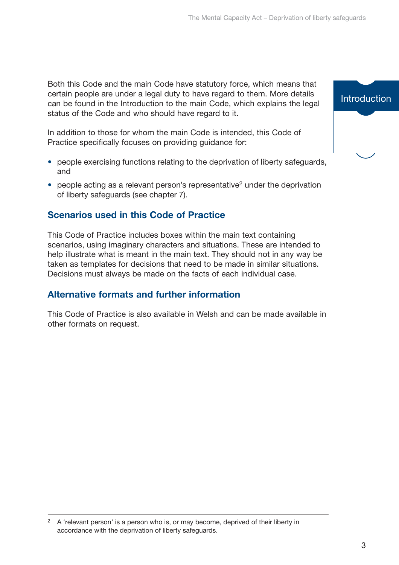Both this Code and the main Code have statutory force, which means that certain people are under a legal duty to have regard to them. More details can be found in the Introduction to the main Code, which explains the legal status of the Code and who should have regard to it.

In addition to those for whom the main Code is intended, this Code of Practice specifically focuses on providing guidance for:

- people exercising functions relating to the deprivation of liberty safeguards, and
- people acting as a relevant person's representative<sup>2</sup> under the deprivation of liberty safeguards (see chapter 7).

#### **Scenarios used in this Code of Practice**

This Code of Practice includes boxes within the main text containing scenarios, using imaginary characters and situations. These are intended to help illustrate what is meant in the main text. They should not in any way be taken as templates for decisions that need to be made in similar situations. Decisions must always be made on the facts of each individual case.

#### **Alternative formats and further information**

This Code of Practice is also available in Welsh and can be made available in other formats on request.



3

Introduction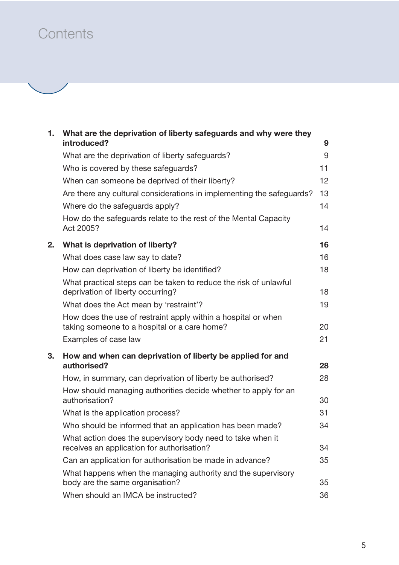## **Contents**

| 1. | What are the deprivation of liberty safeguards and why were they<br>introduced?                               | 9        |
|----|---------------------------------------------------------------------------------------------------------------|----------|
|    | What are the deprivation of liberty safeguards?                                                               | 9        |
|    | Who is covered by these safeguards?                                                                           | 11       |
|    | When can someone be deprived of their liberty?                                                                | 12       |
|    | Are there any cultural considerations in implementing the safeguards?                                         | 13       |
|    | Where do the safeguards apply?                                                                                | 14       |
|    | How do the safeguards relate to the rest of the Mental Capacity<br>Act 2005?                                  | 14       |
| 2. | What is deprivation of liberty?                                                                               | 16       |
|    | What does case law say to date?                                                                               | 16       |
|    | How can deprivation of liberty be identified?                                                                 | 18       |
|    | What practical steps can be taken to reduce the risk of unlawful<br>deprivation of liberty occurring?         | 18       |
|    | What does the Act mean by 'restraint'?                                                                        | 19       |
|    | How does the use of restraint apply within a hospital or when<br>taking someone to a hospital or a care home? | 20       |
|    | Examples of case law                                                                                          | 21       |
| 3. | How and when can deprivation of liberty be applied for and<br>authorised?                                     | 28       |
|    | How, in summary, can deprivation of liberty be authorised?                                                    | 28       |
|    | How should managing authorities decide whether to apply for an<br>authorisation?                              | 30       |
|    | What is the application process?                                                                              | 31       |
|    | Who should be informed that an application has been made?                                                     | 34       |
|    | What action does the supervisory body need to take when it<br>receives an application for authorisation?      | 34       |
|    | Can an application for authorisation be made in advance?                                                      | 35       |
|    | What happens when the managing authority and the supervisory                                                  |          |
|    | body are the same organisation?<br>When should an IMCA be instructed?                                         | 35<br>36 |
|    |                                                                                                               |          |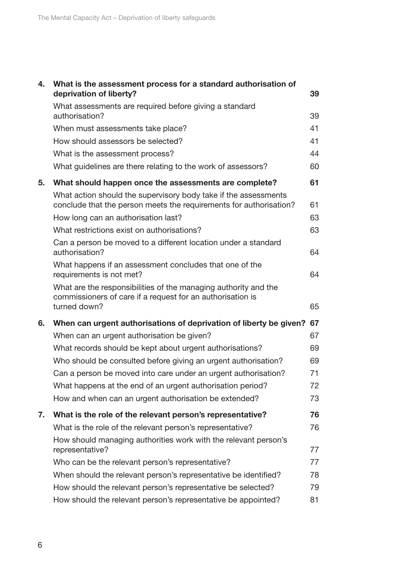| 4. | What is the assessment process for a standard authorisation of<br>deprivation of liberty?                                                     | 39 |
|----|-----------------------------------------------------------------------------------------------------------------------------------------------|----|
|    | What assessments are required before giving a standard<br>authorisation?                                                                      | 39 |
|    | When must assessments take place?                                                                                                             | 41 |
|    | How should assessors be selected?                                                                                                             | 41 |
|    | What is the assessment process?                                                                                                               | 44 |
|    | What quidelines are there relating to the work of assessors?                                                                                  | 60 |
| 5. | What should happen once the assessments are complete?                                                                                         | 61 |
|    | What action should the supervisory body take if the assessments<br>conclude that the person meets the requirements for authorisation?         | 61 |
|    | How long can an authorisation last?                                                                                                           | 63 |
|    | What restrictions exist on authorisations?                                                                                                    | 63 |
|    | Can a person be moved to a different location under a standard<br>authorisation?                                                              | 64 |
|    | What happens if an assessment concludes that one of the<br>requirements is not met?                                                           | 64 |
|    | What are the responsibilities of the managing authority and the<br>commissioners of care if a request for an authorisation is<br>turned down? | 65 |
| 6. | When can urgent authorisations of deprivation of liberty be given?                                                                            | 67 |
|    | When can an urgent authorisation be given?                                                                                                    | 67 |
|    | What records should be kept about urgent authorisations?                                                                                      | 69 |
|    | Who should be consulted before giving an urgent authorisation?                                                                                | 69 |
|    | Can a person be moved into care under an urgent authorisation?                                                                                | 71 |
|    | What happens at the end of an urgent authorisation period?                                                                                    | 72 |
|    | How and when can an urgent authorisation be extended?                                                                                         | 73 |
| 7. | What is the role of the relevant person's representative?                                                                                     | 76 |
|    | What is the role of the relevant person's representative?                                                                                     | 76 |
|    | How should managing authorities work with the relevant person's<br>representative?                                                            | 77 |
|    | Who can be the relevant person's representative?                                                                                              | 77 |
|    | When should the relevant person's representative be identified?                                                                               | 78 |
|    | How should the relevant person's representative be selected?                                                                                  | 79 |
|    | How should the relevant person's representative be appointed?                                                                                 | 81 |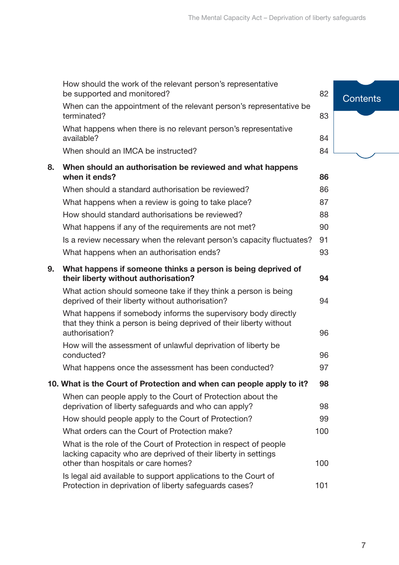|    | How should the work of the relevant person's representative<br>be supported and monitored?                                                                                | 82  | <b>Contents</b> |
|----|---------------------------------------------------------------------------------------------------------------------------------------------------------------------------|-----|-----------------|
|    | When can the appointment of the relevant person's representative be<br>terminated?                                                                                        | 83  |                 |
|    | What happens when there is no relevant person's representative<br>available?                                                                                              | 84  |                 |
|    | When should an IMCA be instructed?                                                                                                                                        | 84  |                 |
| 8. | When should an authorisation be reviewed and what happens<br>when it ends?                                                                                                | 86  |                 |
|    | When should a standard authorisation be reviewed?                                                                                                                         | 86  |                 |
|    | What happens when a review is going to take place?                                                                                                                        | 87  |                 |
|    | How should standard authorisations be reviewed?                                                                                                                           | 88  |                 |
|    | What happens if any of the requirements are not met?                                                                                                                      | 90  |                 |
|    | Is a review necessary when the relevant person's capacity fluctuates?                                                                                                     | 91  |                 |
|    | What happens when an authorisation ends?                                                                                                                                  | 93  |                 |
| 9. | What happens if someone thinks a person is being deprived of<br>their liberty without authorisation?                                                                      | 94  |                 |
|    | What action should someone take if they think a person is being<br>deprived of their liberty without authorisation?                                                       | 94  |                 |
|    | What happens if somebody informs the supervisory body directly<br>that they think a person is being deprived of their liberty without<br>authorisation?                   | 96  |                 |
|    | How will the assessment of unlawful deprivation of liberty be<br>conducted?                                                                                               | 96  |                 |
|    | What happens once the assessment has been conducted?                                                                                                                      | 97  |                 |
|    | 10. What is the Court of Protection and when can people apply to it?                                                                                                      | 98  |                 |
|    | When can people apply to the Court of Protection about the<br>deprivation of liberty safeguards and who can apply?                                                        | 98  |                 |
|    | How should people apply to the Court of Protection?                                                                                                                       | 99  |                 |
|    | What orders can the Court of Protection make?                                                                                                                             | 100 |                 |
|    | What is the role of the Court of Protection in respect of people<br>lacking capacity who are deprived of their liberty in settings<br>other than hospitals or care homes? | 100 |                 |
|    | Is legal aid available to support applications to the Court of<br>Protection in deprivation of liberty safeguards cases?                                                  | 101 |                 |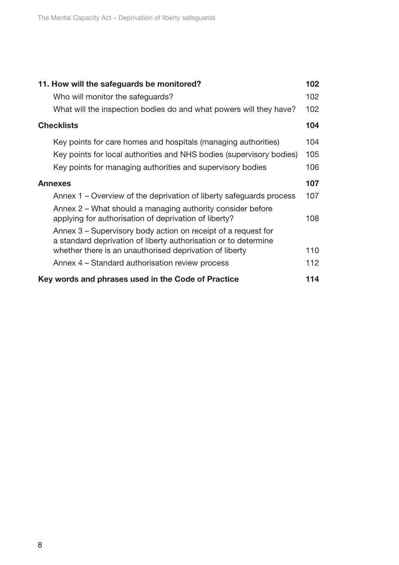| 11. How will the safeguards be monitored?                                                                                        | 102 |  |  |
|----------------------------------------------------------------------------------------------------------------------------------|-----|--|--|
| Who will monitor the safeguards?                                                                                                 | 102 |  |  |
| What will the inspection bodies do and what powers will they have?                                                               | 102 |  |  |
| <b>Checklists</b>                                                                                                                |     |  |  |
| Key points for care homes and hospitals (managing authorities)                                                                   | 104 |  |  |
| Key points for local authorities and NHS bodies (supervisory bodies)                                                             | 105 |  |  |
| Key points for managing authorities and supervisory bodies                                                                       | 106 |  |  |
| <b>Annexes</b>                                                                                                                   |     |  |  |
| Annex 1 – Overview of the deprivation of liberty safeguards process                                                              | 107 |  |  |
| Annex 2 – What should a managing authority consider before<br>applying for authorisation of deprivation of liberty?              | 108 |  |  |
| Annex 3 – Supervisory body action on receipt of a request for<br>a standard deprivation of liberty authorisation or to determine |     |  |  |
| whether there is an unauthorised deprivation of liberty                                                                          | 110 |  |  |
| Annex 4 – Standard authorisation review process                                                                                  | 112 |  |  |
| Key words and phrases used in the Code of Practice                                                                               | 114 |  |  |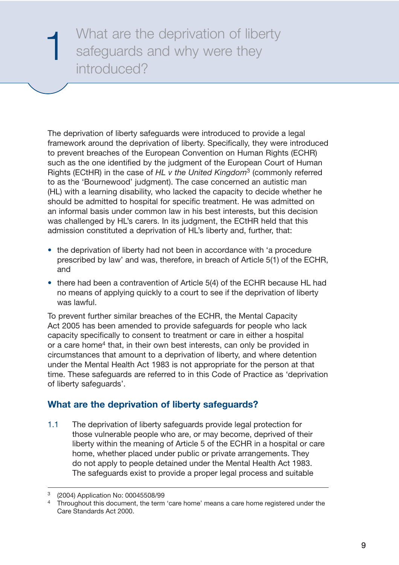## 1 What are the deprivation of liberty<br>safeguards and why were they<br>introduced? safeguards and why were they introduced?

The deprivation of liberty safeguards were introduced to provide a legal framework around the deprivation of liberty. Specifically, they were introduced to prevent breaches of the European Convention on Human Rights (ECHR) such as the one identified by the judgment of the European Court of Human Rights (ECtHR) in the case of *HL v the United Kingdom*3 (commonly referred to as the 'Bournewood' judgment). The case concerned an autistic man (HL) with a learning disability, who lacked the capacity to decide whether he should be admitted to hospital for specific treatment. He was admitted on an informal basis under common law in his best interests, but this decision was challenged by HL's carers. In its judgment, the ECtHR held that this admission constituted a deprivation of HL's liberty and, further, that:

- the deprivation of liberty had not been in accordance with 'a procedure prescribed by law' and was, therefore, in breach of Article 5(1) of the ECHR, and
- there had been a contravention of Article 5(4) of the ECHR because HL had no means of applying quickly to a court to see if the deprivation of liberty was lawful.

To prevent further similar breaches of the ECHR, the Mental Capacity Act 2005 has been amended to provide safeguards for people who lack capacity specifically to consent to treatment or care in either a hospital or a care home4 that, in their own best interests, can only be provided in circumstances that amount to a deprivation of liberty, and where detention under the Mental Health Act 1983 is not appropriate for the person at that time. These safeguards are referred to in this Code of Practice as 'deprivation of liberty safeguards'.

#### **What are the deprivation of liberty safeguards?**

1.1 The deprivation of liberty safeguards provide legal protection for those vulnerable people who are, or may become, deprived of their liberty within the meaning of Article 5 of the ECHR in a hospital or care home, whether placed under public or private arrangements. They do not apply to people detained under the Mental Health Act 1983. The safeguards exist to provide a proper legal process and suitable

<sup>3</sup> (2004) Application No: 00045508/99

Throughout this document, the term 'care home' means a care home registered under the Care Standards Act 2000.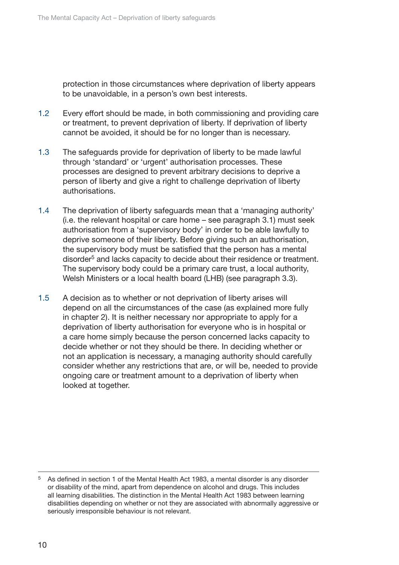protection in those circumstances where deprivation of liberty appears to be unavoidable, in a person's own best interests.

- 1.2 Every effort should be made, in both commissioning and providing care or treatment, to prevent deprivation of liberty. If deprivation of liberty cannot be avoided, it should be for no longer than is necessary.
- 1.3 The safeguards provide for deprivation of liberty to be made lawful through 'standard' or 'urgent' authorisation processes. These processes are designed to prevent arbitrary decisions to deprive a person of liberty and give a right to challenge deprivation of liberty authorisations.
- 1.4 The deprivation of liberty safeguards mean that a 'managing authority' (i.e. the relevant hospital or care home – see paragraph 3.1) must seek authorisation from a 'supervisory body' in order to be able lawfully to deprive someone of their liberty. Before giving such an authorisation, the supervisory body must be satisfied that the person has a mental disorder<sup>5</sup> and lacks capacity to decide about their residence or treatment. The supervisory body could be a primary care trust, a local authority, Welsh Ministers or a local health board (LHB) (see paragraph 3.3).
- 1.5 A decision as to whether or not deprivation of liberty arises will depend on all the circumstances of the case (as explained more fully in chapter 2). It is neither necessary nor appropriate to apply for a deprivation of liberty authorisation for everyone who is in hospital or a care home simply because the person concerned lacks capacity to decide whether or not they should be there. In deciding whether or not an application is necessary, a managing authority should carefully consider whether any restrictions that are, or will be, needed to provide ongoing care or treatment amount to a deprivation of liberty when looked at together.

<sup>&</sup>lt;sup>5</sup> As defined in section 1 of the Mental Health Act 1983, a mental disorder is any disorder or disability of the mind, apart from dependence on alcohol and drugs. This includes all learning disabilities. The distinction in the Mental Health Act 1983 between learning disabilities depending on whether or not they are associated with abnormally aggressive or seriously irresponsible behaviour is not relevant.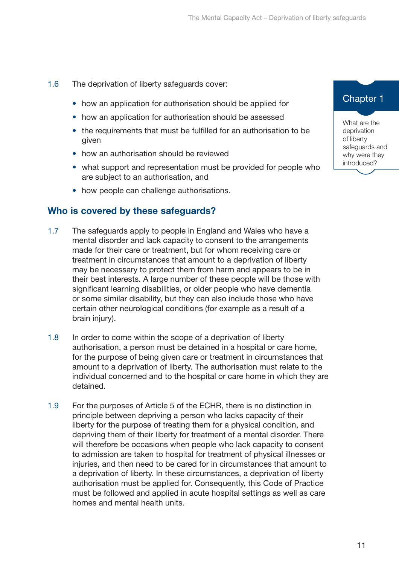- 1.6 The deprivation of liberty safeguards cover:
	- how an application for authorisation should be applied for
	- how an application for authorisation should be assessed
	- the requirements that must be fulfilled for an authorisation to be given
	- how an authorisation should be reviewed
	- what support and representation must be provided for people who are subject to an authorisation, and
	- how people can challenge authorisations.

#### **Who is covered by these safeguards?**

- 1.7 The safeguards apply to people in England and Wales who have a mental disorder and lack capacity to consent to the arrangements made for their care or treatment, but for whom receiving care or treatment in circumstances that amount to a deprivation of liberty may be necessary to protect them from harm and appears to be in their best interests. A large number of these people will be those with significant learning disabilities, or older people who have dementia or some similar disability, but they can also include those who have certain other neurological conditions (for example as a result of a brain injury).
- 1.8 In order to come within the scope of a deprivation of liberty authorisation, a person must be detained in a hospital or care home, for the purpose of being given care or treatment in circumstances that amount to a deprivation of liberty. The authorisation must relate to the individual concerned and to the hospital or care home in which they are detained.
- 1.9 For the purposes of Article 5 of the ECHR, there is no distinction in principle between depriving a person who lacks capacity of their liberty for the purpose of treating them for a physical condition, and depriving them of their liberty for treatment of a mental disorder. There will therefore be occasions when people who lack capacity to consent to admission are taken to hospital for treatment of physical illnesses or injuries, and then need to be cared for in circumstances that amount to a deprivation of liberty. In these circumstances, a deprivation of liberty authorisation must be applied for. Consequently, this Code of Practice must be followed and applied in acute hospital settings as well as care homes and mental health units.

#### Chapter 1

What are the deprivation of liberty safeguards and why were they introduced?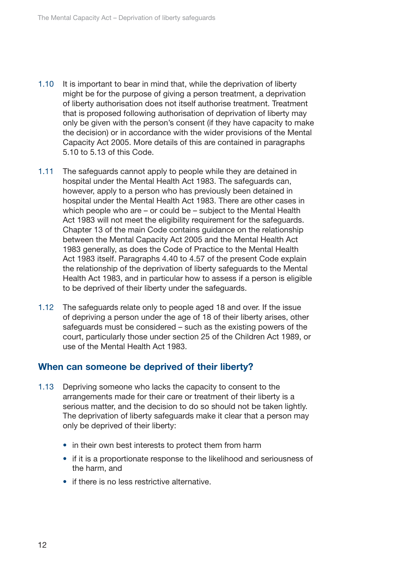- 1.10 It is important to bear in mind that, while the deprivation of liberty might be for the purpose of giving a person treatment, a deprivation of liberty authorisation does not itself authorise treatment. Treatment that is proposed following authorisation of deprivation of liberty may only be given with the person's consent (if they have capacity to make the decision) or in accordance with the wider provisions of the Mental Capacity Act 2005. More details of this are contained in paragraphs 5.10 to 5.13 of this Code.
- 1.11 The safeguards cannot apply to people while they are detained in hospital under the Mental Health Act 1983. The safeguards can, however, apply to a person who has previously been detained in hospital under the Mental Health Act 1983. There are other cases in which people who are – or could be – subject to the Mental Health Act 1983 will not meet the eligibility requirement for the safeguards. Chapter 13 of the main Code contains guidance on the relationship between the Mental Capacity Act 2005 and the Mental Health Act 1983 generally, as does the Code of Practice to the Mental Health Act 1983 itself. Paragraphs 4.40 to 4.57 of the present Code explain the relationship of the deprivation of liberty safeguards to the Mental Health Act 1983, and in particular how to assess if a person is eligible to be deprived of their liberty under the safeguards.
- 1.12 The safeguards relate only to people aged 18 and over. If the issue of depriving a person under the age of 18 of their liberty arises, other safeguards must be considered – such as the existing powers of the court, particularly those under section 25 of the Children Act 1989, or use of the Mental Health Act 1983.

#### **When can someone be deprived of their liberty?**

- 1.13 Depriving someone who lacks the capacity to consent to the arrangements made for their care or treatment of their liberty is a serious matter, and the decision to do so should not be taken lightly. The deprivation of liberty safeguards make it clear that a person may only be deprived of their liberty:
	- in their own best interests to protect them from harm
	- if it is a proportionate response to the likelihood and seriousness of the harm, and
	- if there is no less restrictive alternative.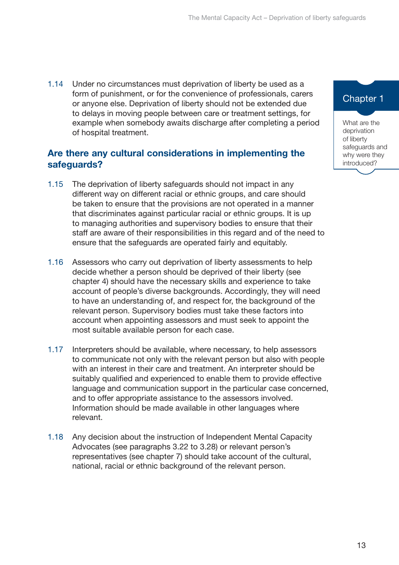1.14 Under no circumstances must deprivation of liberty be used as a form of punishment, or for the convenience of professionals, carers or anyone else. Deprivation of liberty should not be extended due to delays in moving people between care or treatment settings, for example when somebody awaits discharge after completing a period of hospital treatment.

#### **Are there any cultural considerations in implementing the safeguards?**

- 1.15 The deprivation of liberty safeguards should not impact in any different way on different racial or ethnic groups, and care should be taken to ensure that the provisions are not operated in a manner that discriminates against particular racial or ethnic groups. It is up to managing authorities and supervisory bodies to ensure that their staff are aware of their responsibilities in this regard and of the need to ensure that the safeguards are operated fairly and equitably.
- 1.16 Assessors who carry out deprivation of liberty assessments to help decide whether a person should be deprived of their liberty (see chapter 4) should have the necessary skills and experience to take account of people's diverse backgrounds. Accordingly, they will need to have an understanding of, and respect for, the background of the relevant person. Supervisory bodies must take these factors into account when appointing assessors and must seek to appoint the most suitable available person for each case.
- 1.17 Interpreters should be available, where necessary, to help assessors to communicate not only with the relevant person but also with people with an interest in their care and treatment. An interpreter should be suitably qualified and experienced to enable them to provide effective language and communication support in the particular case concerned, and to offer appropriate assistance to the assessors involved. Information should be made available in other languages where relevant.
- 1.18 Any decision about the instruction of Independent Mental Capacity Advocates (see paragraphs 3.22 to 3.28) or relevant person's representatives (see chapter 7) should take account of the cultural, national, racial or ethnic background of the relevant person.

#### Chapter 1

What are the deprivation of liberty safeguards and why were they introduced?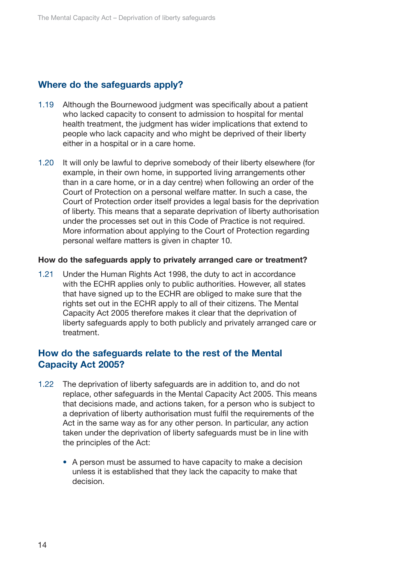#### **Where do the safeguards apply?**

- 1.19 Although the Bournewood judgment was specifically about a patient who lacked capacity to consent to admission to hospital for mental health treatment, the judgment has wider implications that extend to people who lack capacity and who might be deprived of their liberty either in a hospital or in a care home.
- 1.20 It will only be lawful to deprive somebody of their liberty elsewhere (for example, in their own home, in supported living arrangements other than in a care home, or in a day centre) when following an order of the Court of Protection on a personal welfare matter. In such a case, the Court of Protection order itself provides a legal basis for the deprivation of liberty. This means that a separate deprivation of liberty authorisation under the processes set out in this Code of Practice is not required. More information about applying to the Court of Protection regarding personal welfare matters is given in chapter 10.

#### **How do the safeguards apply to privately arranged care or treatment?**

1.21 Under the Human Rights Act 1998, the duty to act in accordance with the ECHR applies only to public authorities. However, all states that have signed up to the ECHR are obliged to make sure that the rights set out in the ECHR apply to all of their citizens. The Mental Capacity Act 2005 therefore makes it clear that the deprivation of liberty safeguards apply to both publicly and privately arranged care or treatment.

#### **How do the safeguards relate to the rest of the Mental Capacity Act 2005?**

- 1.22 The deprivation of liberty safeguards are in addition to, and do not replace, other safeguards in the Mental Capacity Act 2005. This means that decisions made, and actions taken, for a person who is subject to a deprivation of liberty authorisation must fulfil the requirements of the Act in the same way as for any other person. In particular, any action taken under the deprivation of liberty safeguards must be in line with the principles of the Act:
	- A person must be assumed to have capacity to make a decision unless it is established that they lack the capacity to make that decision.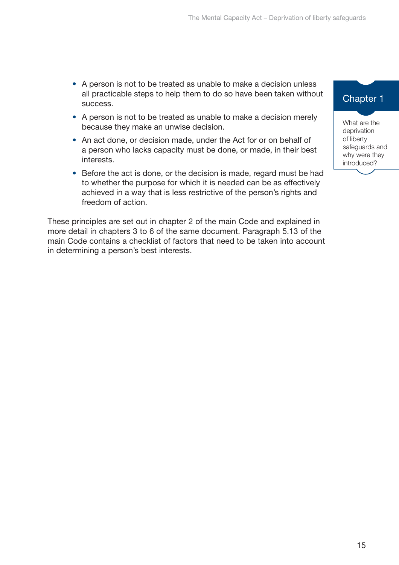- A person is not to be treated as unable to make a decision unless all practicable steps to help them to do so have been taken without success.
- A person is not to be treated as unable to make a decision merely because they make an unwise decision.
- An act done, or decision made, under the Act for or on behalf of a person who lacks capacity must be done, or made, in their best interests.
- Before the act is done, or the decision is made, regard must be had to whether the purpose for which it is needed can be as effectively achieved in a way that is less restrictive of the person's rights and freedom of action.

These principles are set out in chapter 2 of the main Code and explained in more detail in chapters 3 to 6 of the same document. Paragraph 5.13 of the main Code contains a checklist of factors that need to be taken into account in determining a person's best interests.

#### Chapter 1

What are the deprivation of liberty safeguards and why were they introduced?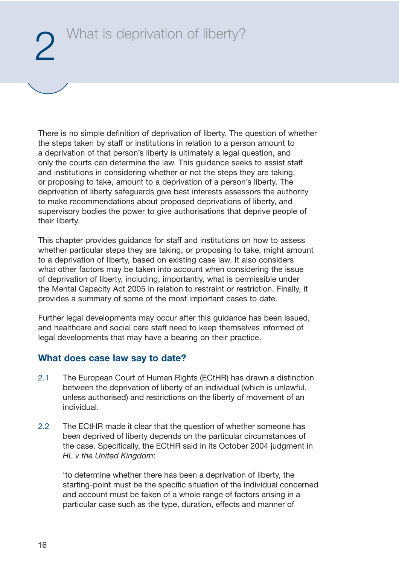There is no simple definition of deprivation of liberty. The question of whether the steps taken by staff or institutions in relation to a person amount to a deprivation of that person's liberty is ultimately a legal question, and only the courts can determine the law. This guidance seeks to assist staff and institutions in considering whether or not the steps they are taking, or proposing to take, amount to a deprivation of a person's liberty. The deprivation of liberty safeguards give best interests assessors the authority to make recommendations about proposed deprivations of liberty, and supervisory bodies the power to give authorisations that deprive people of their liberty.

This chapter provides guidance for staff and institutions on how to assess whether particular steps they are taking, or proposing to take, might amount to a deprivation of liberty, based on existing case law. It also considers what other factors may be taken into account when considering the issue of deprivation of liberty, including, importantly, what is permissible under the Mental Capacity Act 2005 in relation to restraint or restriction. Finally, it provides a summary of some of the most important cases to date.

Further legal developments may occur after this guidance has been issued, and healthcare and social care staff need to keep themselves informed of legal developments that may have a bearing on their practice.

#### **What does case law say to date?**

- 2.1 The European Court of Human Rights (ECtHR) has drawn a distinction between the deprivation of liberty of an individual (which is unlawful, unless authorised) and restrictions on the liberty of movement of an individual.
- 2.2 The ECtHR made it clear that the question of whether someone has been deprived of liberty depends on the particular circumstances of the case. Specifically, the ECtHR said in its October 2004 judgment in *HL v the United Kingdom*:

'to determine whether there has been a deprivation of liberty, the starting-point must be the specific situation of the individual concerned and account must be taken of a whole range of factors arising in a particular case such as the type, duration, effects and manner of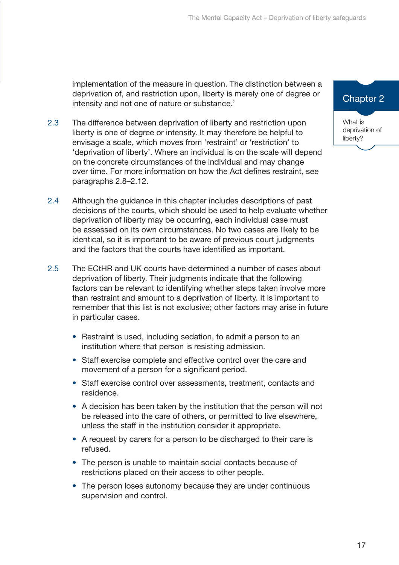implementation of the measure in question. The distinction between a deprivation of, and restriction upon, liberty is merely one of degree or intensity and not one of nature or substance.'

- 2.3 The difference between deprivation of liberty and restriction upon liberty is one of degree or intensity. It may therefore be helpful to envisage a scale, which moves from 'restraint' or 'restriction' to 'deprivation of liberty'. Where an individual is on the scale will depend on the concrete circumstances of the individual and may change over time. For more information on how the Act defines restraint, see paragraphs 2.8–2.12.
- 2.4 Although the guidance in this chapter includes descriptions of past decisions of the courts, which should be used to help evaluate whether deprivation of liberty may be occurring, each individual case must be assessed on its own circumstances. No two cases are likely to be identical, so it is important to be aware of previous court judgments and the factors that the courts have identified as important.
- 2.5 The ECtHR and UK courts have determined a number of cases about deprivation of liberty. Their judgments indicate that the following factors can be relevant to identifying whether steps taken involve more than restraint and amount to a deprivation of liberty. It is important to remember that this list is not exclusive; other factors may arise in future in particular cases.
	- Restraint is used, including sedation, to admit a person to an institution where that person is resisting admission.
	- Staff exercise complete and effective control over the care and movement of a person for a significant period.
	- Staff exercise control over assessments, treatment, contacts and residence.
	- $\bullet$  A decision has been taken by the institution that the person will not be released into the care of others, or permitted to live elsewhere, unless the staff in the institution consider it appropriate.
	- A request by carers for a person to be discharged to their care is refused.
	- The person is unable to maintain social contacts because of restrictions placed on their access to other people.
	- The person loses autonomy because they are under continuous supervision and control.

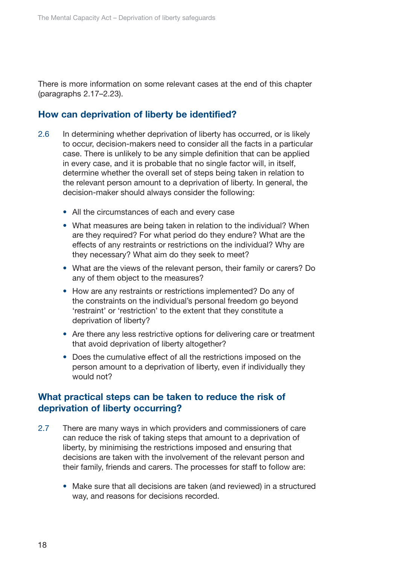There is more information on some relevant cases at the end of this chapter (paragraphs 2.17–2.23).

#### **How can deprivation of liberty be identified?**

- 2.6 In determining whether deprivation of liberty has occurred, or is likely to occur, decision-makers need to consider all the facts in a particular case. There is unlikely to be any simple definition that can be applied in every case, and it is probable that no single factor will, in itself, determine whether the overall set of steps being taken in relation to the relevant person amount to a deprivation of liberty. In general, the decision-maker should always consider the following:
	- All the circumstances of each and every case
	- What measures are being taken in relation to the individual? When are they required? For what period do they endure? What are the effects of any restraints or restrictions on the individual? Why are they necessary? What aim do they seek to meet?
	- What are the views of the relevant person, their family or carers? Do any of them object to the measures?
	- How are any restraints or restrictions implemented? Do any of the constraints on the individual's personal freedom go beyond 'restraint' or 'restriction' to the extent that they constitute a deprivation of liberty?
	- Are there any less restrictive options for delivering care or treatment that avoid deprivation of liberty altogether?
	- Does the cumulative effect of all the restrictions imposed on the person amount to a deprivation of liberty, even if individually they would not?

#### **What practical steps can be taken to reduce the risk of deprivation of liberty occurring?**

- 2.7 There are many ways in which providers and commissioners of care can reduce the risk of taking steps that amount to a deprivation of liberty, by minimising the restrictions imposed and ensuring that decisions are taken with the involvement of the relevant person and their family, friends and carers. The processes for staff to follow are:
	- Make sure that all decisions are taken (and reviewed) in a structured way, and reasons for decisions recorded.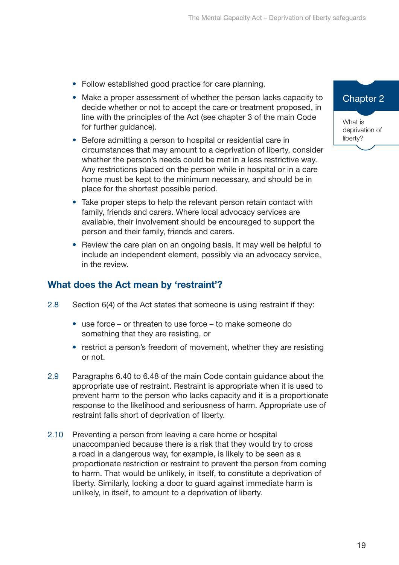- Follow established good practice for care planning.
- Make a proper assessment of whether the person lacks capacity to decide whether or not to accept the care or treatment proposed, in line with the principles of the Act (see chapter 3 of the main Code for further guidance).
- Before admitting a person to hospital or residential care in circumstances that may amount to a deprivation of liberty, consider whether the person's needs could be met in a less restrictive way. Any restrictions placed on the person while in hospital or in a care home must be kept to the minimum necessary, and should be in place for the shortest possible period.
- Take proper steps to help the relevant person retain contact with family, friends and carers. Where local advocacy services are available, their involvement should be encouraged to support the person and their family, friends and carers.
- Review the care plan on an ongoing basis. It may well be helpful to include an independent element, possibly via an advocacy service, in the review.

#### **What does the Act mean by 'restraint'?**

- 2.8 Section 6(4) of the Act states that someone is using restraint if they:
	- $\bullet$  use force or threaten to use force to make someone do something that they are resisting, or
	- restrict a person's freedom of movement, whether they are resisting or not.
- 2.9 Paragraphs 6.40 to 6.48 of the main Code contain guidance about the appropriate use of restraint. Restraint is appropriate when it is used to prevent harm to the person who lacks capacity and it is a proportionate response to the likelihood and seriousness of harm. Appropriate use of restraint falls short of deprivation of liberty.
- 2.10 Preventing a person from leaving a care home or hospital unaccompanied because there is a risk that they would try to cross a road in a dangerous way, for example, is likely to be seen as a proportionate restriction or restraint to prevent the person from coming to harm. That would be unlikely, in itself, to constitute a deprivation of liberty. Similarly, locking a door to guard against immediate harm is unlikely, in itself, to amount to a deprivation of liberty.

### Chapter 2

What is deprivation of liberty?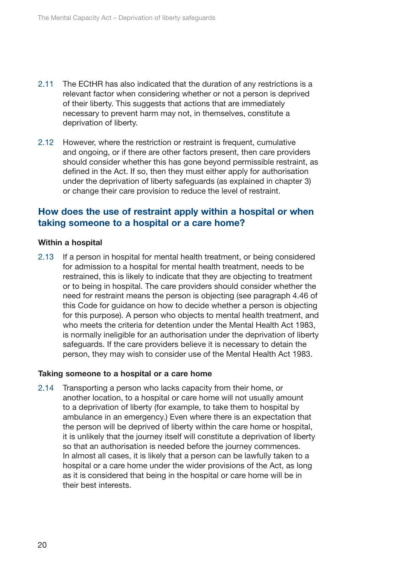- 2.11 The ECtHR has also indicated that the duration of any restrictions is a relevant factor when considering whether or not a person is deprived of their liberty. This suggests that actions that are immediately necessary to prevent harm may not, in themselves, constitute a deprivation of liberty.
- 2.12 However, where the restriction or restraint is frequent, cumulative and ongoing, or if there are other factors present, then care providers should consider whether this has gone beyond permissible restraint, as defined in the Act. If so, then they must either apply for authorisation under the deprivation of liberty safeguards (as explained in chapter 3) or change their care provision to reduce the level of restraint.

#### **How does the use of restraint apply within a hospital or when taking someone to a hospital or a care home?**

#### **Within a hospital**

2.13 If a person in hospital for mental health treatment, or being considered for admission to a hospital for mental health treatment, needs to be restrained, this is likely to indicate that they are objecting to treatment or to being in hospital. The care providers should consider whether the need for restraint means the person is objecting (see paragraph 4.46 of this Code for guidance on how to decide whether a person is objecting for this purpose). A person who objects to mental health treatment, and who meets the criteria for detention under the Mental Health Act 1983, is normally ineligible for an authorisation under the deprivation of liberty safeguards. If the care providers believe it is necessary to detain the person, they may wish to consider use of the Mental Health Act 1983.

#### **Taking someone to a hospital or a care home**

2.14 Transporting a person who lacks capacity from their home, or another location, to a hospital or care home will not usually amount to a deprivation of liberty (for example, to take them to hospital by ambulance in an emergency.) Even where there is an expectation that the person will be deprived of liberty within the care home or hospital, it is unlikely that the journey itself will constitute a deprivation of liberty so that an authorisation is needed before the journey commences. In almost all cases, it is likely that a person can be lawfully taken to a hospital or a care home under the wider provisions of the Act, as long as it is considered that being in the hospital or care home will be in their best interests.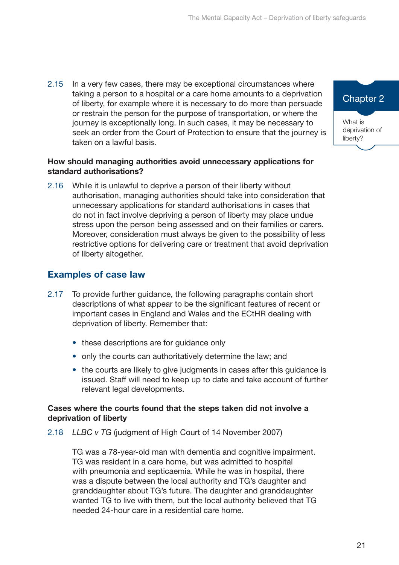2.15 In a very few cases, there may be exceptional circumstances where taking a person to a hospital or a care home amounts to a deprivation of liberty, for example where it is necessary to do more than persuade or restrain the person for the purpose of transportation, or where the journey is exceptionally long. In such cases, it may be necessary to seek an order from the Court of Protection to ensure that the journey is taken on a lawful basis.

#### **How should managing authorities avoid unnecessary applications for standard authorisations?**

2.16 While it is unlawful to deprive a person of their liberty without authorisation, managing authorities should take into consideration that unnecessary applications for standard authorisations in cases that do not in fact involve depriving a person of liberty may place undue stress upon the person being assessed and on their families or carers. Moreover, consideration must always be given to the possibility of less restrictive options for delivering care or treatment that avoid deprivation of liberty altogether.

#### **Examples of case law**

- 2.17 To provide further guidance, the following paragraphs contain short descriptions of what appear to be the significant features of recent or important cases in England and Wales and the ECtHR dealing with deprivation of liberty. Remember that:
	- these descriptions are for guidance only
	- only the courts can authoritatively determine the law; and
	- the courts are likely to give judgments in cases after this guidance is issued. Staff will need to keep up to date and take account of further relevant legal developments.

#### **Cases where the courts found that the steps taken did not involve a deprivation of liberty**

2.18 *LLBC v TG* (judgment of High Court of 14 November 2007)

TG was a 78-year-old man with dementia and cognitive impairment. TG was resident in a care home, but was admitted to hospital with pneumonia and septicaemia. While he was in hospital, there was a dispute between the local authority and TG's daughter and granddaughter about TG's future. The daughter and granddaughter wanted TG to live with them, but the local authority believed that TG needed 24-hour care in a residential care home.



Chapter 2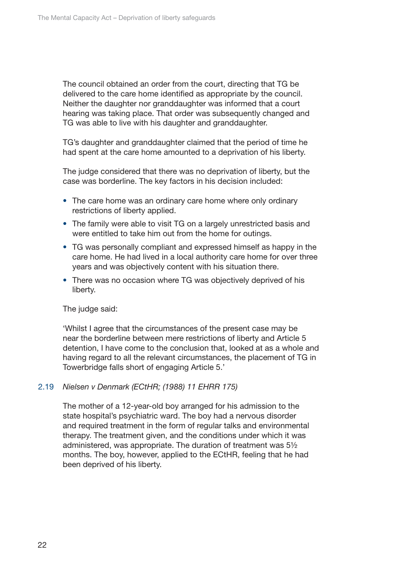The council obtained an order from the court, directing that TG be delivered to the care home identified as appropriate by the council. Neither the daughter nor granddaughter was informed that a court hearing was taking place. That order was subsequently changed and TG was able to live with his daughter and granddaughter.

TG's daughter and granddaughter claimed that the period of time he had spent at the care home amounted to a deprivation of his liberty.

The judge considered that there was no deprivation of liberty, but the case was borderline. The key factors in his decision included:

- The care home was an ordinary care home where only ordinary restrictions of liberty applied.
- The family were able to visit TG on a largely unrestricted basis and were entitled to take him out from the home for outings.
- TG was personally compliant and expressed himself as happy in the care home. He had lived in a local authority care home for over three years and was objectively content with his situation there.
- There was no occasion where TG was objectively deprived of his liberty.

#### The judge said:

'Whilst I agree that the circumstances of the present case may be near the borderline between mere restrictions of liberty and Article 5 detention, I have come to the conclusion that, looked at as a whole and having regard to all the relevant circumstances, the placement of TG in Towerbridge falls short of engaging Article 5.'

#### 2.19 *Nielsen v Denmark (ECtHR; (1988) 11 EHRR 175)*

The mother of a 12-year-old boy arranged for his admission to the state hospital's psychiatric ward. The boy had a nervous disorder and required treatment in the form of regular talks and environmental therapy. The treatment given, and the conditions under which it was administered, was appropriate. The duration of treatment was 5½ months. The boy, however, applied to the ECtHR, feeling that he had been deprived of his liberty.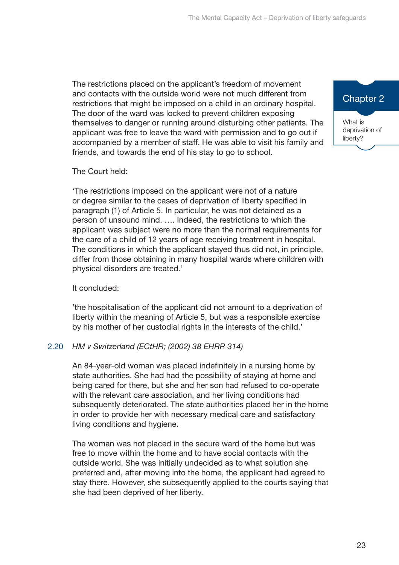The restrictions placed on the applicant's freedom of movement and contacts with the outside world were not much different from restrictions that might be imposed on a child in an ordinary hospital. The door of the ward was locked to prevent children exposing themselves to danger or running around disturbing other patients. The applicant was free to leave the ward with permission and to go out if accompanied by a member of staff. He was able to visit his family and friends, and towards the end of his stay to go to school.

#### The Court held:

'The restrictions imposed on the applicant were not of a nature or degree similar to the cases of deprivation of liberty specified in paragraph (1) of Article 5. In particular, he was not detained as a person of unsound mind. …. Indeed, the restrictions to which the applicant was subject were no more than the normal requirements for the care of a child of 12 years of age receiving treatment in hospital. The conditions in which the applicant stayed thus did not, in principle, differ from those obtaining in many hospital wards where children with physical disorders are treated.'

#### It concluded:

'the hospitalisation of the applicant did not amount to a deprivation of liberty within the meaning of Article 5, but was a responsible exercise by his mother of her custodial rights in the interests of the child.'

#### 2.20 *HM v Switzerland (ECtHR; (2002) 38 EHRR 314)*

An 84-year-old woman was placed indefinitely in a nursing home by state authorities. She had had the possibility of staying at home and being cared for there, but she and her son had refused to co-operate with the relevant care association, and her living conditions had subsequently deteriorated. The state authorities placed her in the home in order to provide her with necessary medical care and satisfactory living conditions and hygiene.

The woman was not placed in the secure ward of the home but was free to move within the home and to have social contacts with the outside world. She was initially undecided as to what solution she preferred and, after moving into the home, the applicant had agreed to stay there. However, she subsequently applied to the courts saying that she had been deprived of her liberty.



deprivation of liberty?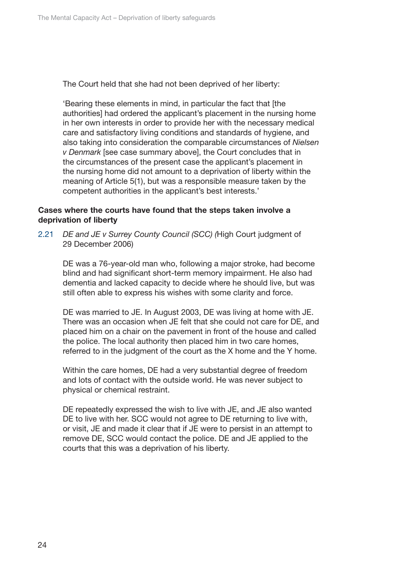The Court held that she had not been deprived of her liberty:

'Bearing these elements in mind, in particular the fact that [the authorities] had ordered the applicant's placement in the nursing home in her own interests in order to provide her with the necessary medical care and satisfactory living conditions and standards of hygiene, and also taking into consideration the comparable circumstances of *Nielsen v Denmark* [see case summary above], the Court concludes that in the circumstances of the present case the applicant's placement in the nursing home did not amount to a deprivation of liberty within the meaning of Article 5(1), but was a responsible measure taken by the competent authorities in the applicant's best interests.'

#### **Cases where the courts have found that the steps taken involve a deprivation of liberty**

2.21 *DE and JE v Surrey County Council (SCC) (*High Court judgment of 29 December 2006)

DE was a 76-year-old man who, following a major stroke, had become blind and had significant short-term memory impairment. He also had dementia and lacked capacity to decide where he should live, but was still often able to express his wishes with some clarity and force.

DE was married to JE. In August 2003, DE was living at home with JE. There was an occasion when JE felt that she could not care for DE, and placed him on a chair on the pavement in front of the house and called the police. The local authority then placed him in two care homes, referred to in the judgment of the court as the X home and the Y home.

Within the care homes, DE had a very substantial degree of freedom and lots of contact with the outside world. He was never subject to physical or chemical restraint.

DE repeatedly expressed the wish to live with JE, and JE also wanted DE to live with her. SCC would not agree to DE returning to live with, or visit, JE and made it clear that if JE were to persist in an attempt to remove DE, SCC would contact the police. DE and JE applied to the courts that this was a deprivation of his liberty.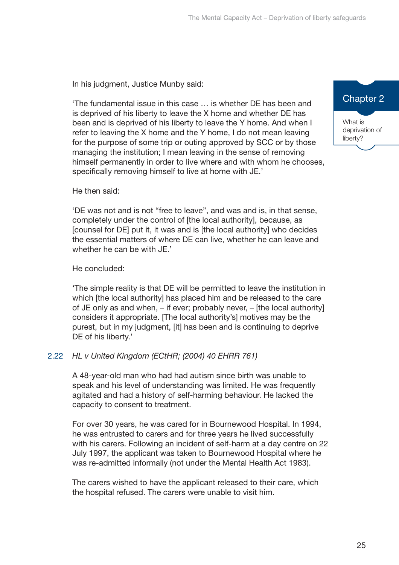In his judgment, Justice Munby said:

'The fundamental issue in this case … is whether DE has been and is deprived of his liberty to leave the X home and whether DE has been and is deprived of his liberty to leave the Y home. And when I refer to leaving the X home and the Y home, I do not mean leaving for the purpose of some trip or outing approved by SCC or by those managing the institution; I mean leaving in the sense of removing himself permanently in order to live where and with whom he chooses, specifically removing himself to live at home with JE.'

#### He then said:

'DE was not and is not "free to leave", and was and is, in that sense, completely under the control of [the local authority], because, as [counsel for DE] put it, it was and is [the local authority] who decides the essential matters of where DE can live, whether he can leave and whether he can be with JE.'

#### He concluded:

'The simple reality is that DE will be permitted to leave the institution in which [the local authority] has placed him and be released to the care of JE only as and when, – if ever; probably never, – [the local authority] considers it appropriate. [The local authority's] motives may be the purest, but in my judgment, [it] has been and is continuing to deprive DE of his liberty.'

#### 2.22 *HL v United Kingdom (ECtHR; (2004) 40 EHRR 761)*

A 48-year-old man who had had autism since birth was unable to speak and his level of understanding was limited. He was frequently agitated and had a history of self-harming behaviour. He lacked the capacity to consent to treatment.

For over 30 years, he was cared for in Bournewood Hospital. In 1994, he was entrusted to carers and for three years he lived successfully with his carers. Following an incident of self-harm at a day centre on 22 July 1997, the applicant was taken to Bournewood Hospital where he was re-admitted informally (not under the Mental Health Act 1983).

The carers wished to have the applicant released to their care, which the hospital refused. The carers were unable to visit him.

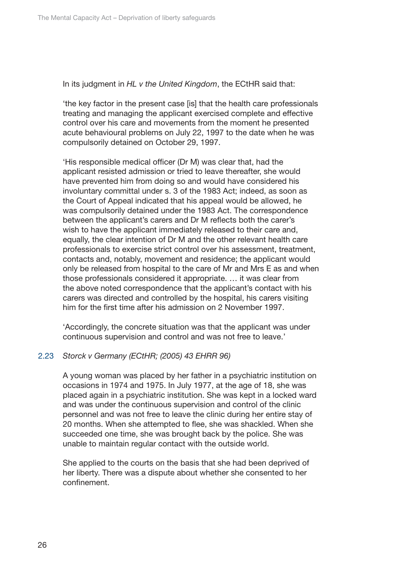In its judgment in *HL v the United Kingdom*, the ECtHR said that:

'the key factor in the present case [is] that the health care professionals treating and managing the applicant exercised complete and effective control over his care and movements from the moment he presented acute behavioural problems on July 22, 1997 to the date when he was compulsorily detained on October 29, 1997.

'His responsible medical officer (Dr M) was clear that, had the applicant resisted admission or tried to leave thereafter, she would have prevented him from doing so and would have considered his involuntary committal under s. 3 of the 1983 Act; indeed, as soon as the Court of Appeal indicated that his appeal would be allowed, he was compulsorily detained under the 1983 Act. The correspondence between the applicant's carers and Dr M reflects both the carer's wish to have the applicant immediately released to their care and, equally, the clear intention of Dr M and the other relevant health care professionals to exercise strict control over his assessment, treatment, contacts and, notably, movement and residence; the applicant would only be released from hospital to the care of Mr and Mrs E as and when those professionals considered it appropriate. … it was clear from the above noted correspondence that the applicant's contact with his carers was directed and controlled by the hospital, his carers visiting him for the first time after his admission on 2 November 1997.

'Accordingly, the concrete situation was that the applicant was under continuous supervision and control and was not free to leave.'

#### 2.23 *Storck v Germany (ECtHR; (2005) 43 EHRR 96)*

A young woman was placed by her father in a psychiatric institution on occasions in 1974 and 1975. In July 1977, at the age of 18, she was placed again in a psychiatric institution. She was kept in a locked ward and was under the continuous supervision and control of the clinic personnel and was not free to leave the clinic during her entire stay of 20 months. When she attempted to flee, she was shackled. When she succeeded one time, she was brought back by the police. She was unable to maintain regular contact with the outside world.

She applied to the courts on the basis that she had been deprived of her liberty. There was a dispute about whether she consented to her confinement.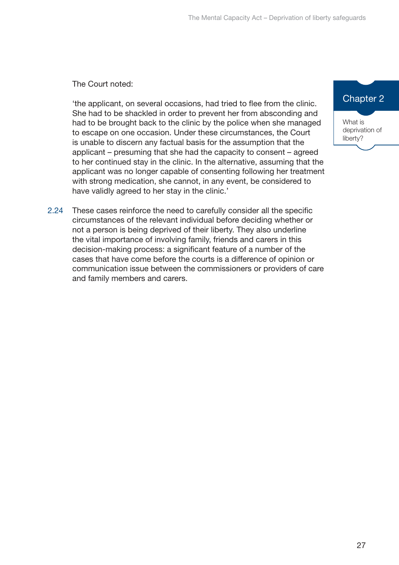#### The Court noted:

'the applicant, on several occasions, had tried to flee from the clinic. She had to be shackled in order to prevent her from absconding and had to be brought back to the clinic by the police when she managed to escape on one occasion. Under these circumstances, the Court is unable to discern any factual basis for the assumption that the applicant – presuming that she had the capacity to consent – agreed to her continued stay in the clinic. In the alternative, assuming that the applicant was no longer capable of consenting following her treatment with strong medication, she cannot, in any event, be considered to have validly agreed to her stay in the clinic.'

2.24 These cases reinforce the need to carefully consider all the specific circumstances of the relevant individual before deciding whether or not a person is being deprived of their liberty. They also underline the vital importance of involving family, friends and carers in this decision-making process: a significant feature of a number of the cases that have come before the courts is a difference of opinion or communication issue between the commissioners or providers of care and family members and carers.

#### Chapter 2

What is deprivation of liberty?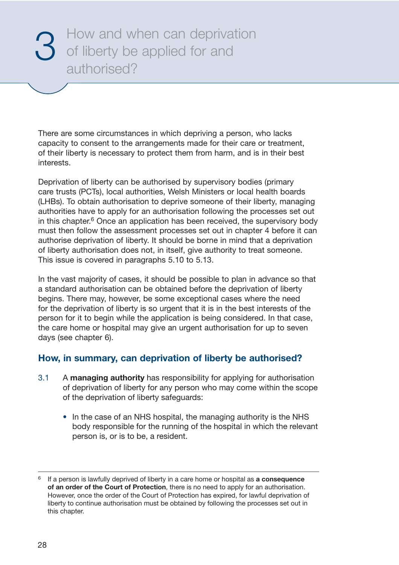There are some circumstances in which depriving a person, who lacks capacity to consent to the arrangements made for their care or treatment, of their liberty is necessary to protect them from harm, and is in their best interests.

Deprivation of liberty can be authorised by supervisory bodies (primary care trusts (PCTs), local authorities, Welsh Ministers or local health boards (LHBs). To obtain authorisation to deprive someone of their liberty, managing authorities have to apply for an authorisation following the processes set out in this chapter.<sup>6</sup> Once an application has been received, the supervisory body must then follow the assessment processes set out in chapter 4 before it can authorise deprivation of liberty. It should be borne in mind that a deprivation of liberty authorisation does not, in itself, give authority to treat someone. This issue is covered in paragraphs 5.10 to 5.13.

In the vast majority of cases, it should be possible to plan in advance so that a standard authorisation can be obtained before the deprivation of liberty begins. There may, however, be some exceptional cases where the need for the deprivation of liberty is so urgent that it is in the best interests of the person for it to begin while the application is being considered. In that case, the care home or hospital may give an urgent authorisation for up to seven days (see chapter 6).

#### **How, in summary, can deprivation of liberty be authorised?**

- 3.1 A **managing authority** has responsibility for applying for authorisation of deprivation of liberty for any person who may come within the scope of the deprivation of liberty safeguards:
	- In the case of an NHS hospital, the managing authority is the NHS body responsible for the running of the hospital in which the relevant person is, or is to be, a resident.

<sup>6</sup> If a person is lawfully deprived of liberty in a care home or hospital as **a consequence of an order of the Court of Protection**, there is no need to apply for an authorisation. However, once the order of the Court of Protection has expired, for lawful deprivation of liberty to continue authorisation must be obtained by following the processes set out in this chapter.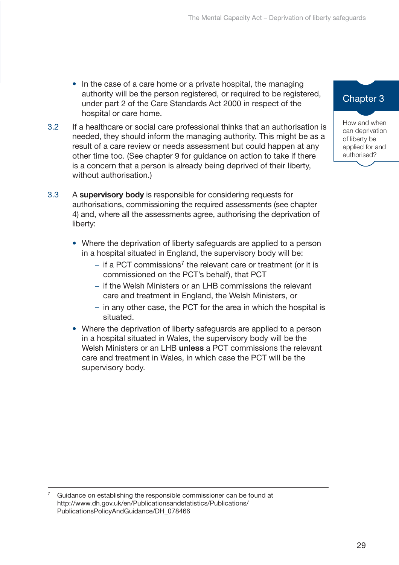- In the case of a care home or a private hospital, the managing authority will be the person registered, or required to be registered, under part 2 of the Care Standards Act 2000 in respect of the hospital or care home.
- 3.2 If a healthcare or social care professional thinks that an authorisation is needed, they should inform the managing authority. This might be as a result of a care review or needs assessment but could happen at any other time too. (See chapter 9 for guidance on action to take if there is a concern that a person is already being deprived of their liberty, without authorisation.)
- 3.3 A **supervisory body** is responsible for considering requests for authorisations, commissioning the required assessments (see chapter 4) and, where all the assessments agree, authorising the deprivation of liberty:
	- Where the deprivation of liberty safeguards are applied to a person in a hospital situated in England, the supervisory body will be:
		- if a PCT commissions<sup>7</sup> the relevant care or treatment (or it is commissioned on the PCT's behalf), that PCT
		- if the Welsh Ministers or an LHB commissions the relevant care and treatment in England, the Welsh Ministers, or
		- in any other case, the PCT for the area in which the hospital is situated.
	- Where the deprivation of liberty safeguards are applied to a person in a hospital situated in Wales, the supervisory body will be the Welsh Ministers or an LHB **unless** a PCT commissions the relevant care and treatment in Wales, in which case the PCT will be the supervisory body.

<sup>7</sup> Guidance on establishing the responsible commissioner can be found at http://www.dh.gov.uk/en/Publicationsandstatistics/Publications/ PublicationsPolicyAndGuidance/DH\_078466

#### Chapter 3

How and when can deprivation of liberty be applied for and authorised?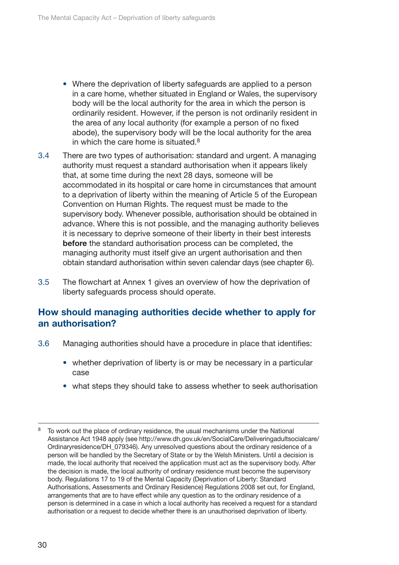- Where the deprivation of liberty safeguards are applied to a person in a care home, whether situated in England or Wales, the supervisory body will be the local authority for the area in which the person is ordinarily resident. However, if the person is not ordinarily resident in the area of any local authority (for example a person of no fixed abode), the supervisory body will be the local authority for the area in which the care home is situated.8
- 3.4 There are two types of authorisation: standard and urgent. A managing authority must request a standard authorisation when it appears likely that, at some time during the next 28 days, someone will be accommodated in its hospital or care home in circumstances that amount to a deprivation of liberty within the meaning of Article 5 of the European Convention on Human Rights. The request must be made to the supervisory body. Whenever possible, authorisation should be obtained in advance. Where this is not possible, and the managing authority believes it is necessary to deprive someone of their liberty in their best interests **before** the standard authorisation process can be completed, the managing authority must itself give an urgent authorisation and then obtain standard authorisation within seven calendar days (see chapter 6).
- 3.5 The flowchart at Annex 1 gives an overview of how the deprivation of liberty safeguards process should operate.

#### **How should managing authorities decide whether to apply for an authorisation?**

- 3.6 Managing authorities should have a procedure in place that identifies:
	- whether deprivation of liberty is or may be necessary in a particular case
	- what steps they should take to assess whether to seek authorisation

To work out the place of ordinary residence, the usual mechanisms under the National Assistance Act 1948 apply (see http://www.dh.gov.uk/en/SocialCare/Deliveringadultsocialcare/ Ordinaryresidence/DH\_079346). Any unresolved questions about the ordinary residence of a person will be handled by the Secretary of State or by the Welsh Ministers. Until a decision is made, the local authority that received the application must act as the supervisory body. After the decision is made, the local authority of ordinary residence must become the supervisory body. Regulations 17 to 19 of the Mental Capacity (Deprivation of Liberty: Standard Authorisations, Assessments and Ordinary Residence) Regulations 2008 set out, for England, arrangements that are to have effect while any question as to the ordinary residence of a person is determined in a case in which a local authority has received a request for a standard authorisation or a request to decide whether there is an unauthorised deprivation of liberty.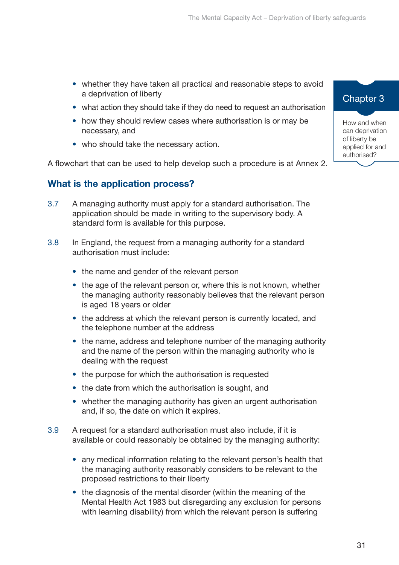- whether they have taken all practical and reasonable steps to avoid a deprivation of liberty
- what action they should take if they do need to request an authorisation
- how they should review cases where authorisation is or may be necessary, and
- who should take the necessary action.

A flowchart that can be used to help develop such a procedure is at Annex 2.

#### **What is the application process?**

- 3.7 A managing authority must apply for a standard authorisation. The application should be made in writing to the supervisory body. A standard form is available for this purpose.
- 3.8 In England, the request from a managing authority for a standard authorisation must include:
	- the name and gender of the relevant person
	- the age of the relevant person or, where this is not known, whether the managing authority reasonably believes that the relevant person is aged 18 years or older
	- the address at which the relevant person is currently located, and the telephone number at the address
	- the name, address and telephone number of the managing authority and the name of the person within the managing authority who is dealing with the request
	- the purpose for which the authorisation is requested
	- the date from which the authorisation is sought, and
	- whether the managing authority has given an urgent authorisation and, if so, the date on which it expires.
- 3.9 A request for a standard authorisation must also include, if it is available or could reasonably be obtained by the managing authority:
	- any medical information relating to the relevant person's health that the managing authority reasonably considers to be relevant to the proposed restrictions to their liberty
	- the diagnosis of the mental disorder (within the meaning of the Mental Health Act 1983 but disregarding any exclusion for persons with learning disability) from which the relevant person is suffering

#### Chapter 3

How and when can deprivation of liberty be applied for and authorised?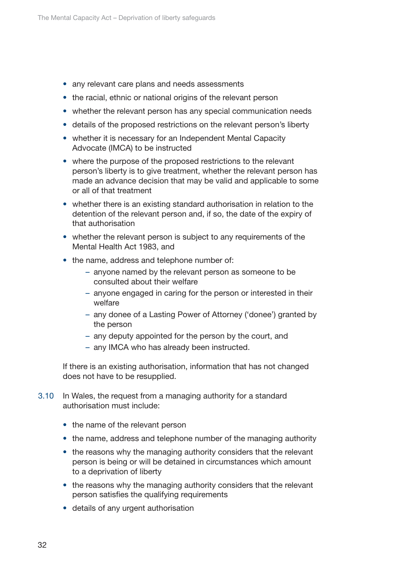- any relevant care plans and needs assessments
- the racial, ethnic or national origins of the relevant person
- whether the relevant person has any special communication needs
- details of the proposed restrictions on the relevant person's liberty
- whether it is necessary for an Independent Mental Capacity Advocate (IMCA) to be instructed
- where the purpose of the proposed restrictions to the relevant person's liberty is to give treatment, whether the relevant person has made an advance decision that may be valid and applicable to some or all of that treatment
- whether there is an existing standard authorisation in relation to the detention of the relevant person and, if so, the date of the expiry of that authorisation
- whether the relevant person is subject to any requirements of the Mental Health Act 1983, and
- the name, address and telephone number of:
	- anyone named by the relevant person as someone to be consulted about their welfare
	- anyone engaged in caring for the person or interested in their welfare
	- any donee of a Lasting Power of Attorney ('donee') granted by the person
	- any deputy appointed for the person by the court, and
	- any IMCA who has already been instructed.

If there is an existing authorisation, information that has not changed does not have to be resupplied.

- 3.10 In Wales, the request from a managing authority for a standard authorisation must include:
	- the name of the relevant person
	- the name, address and telephone number of the managing authority
	- the reasons why the managing authority considers that the relevant person is being or will be detained in circumstances which amount to a deprivation of liberty
	- the reasons why the managing authority considers that the relevant person satisfies the qualifying requirements
	- details of any urgent authorisation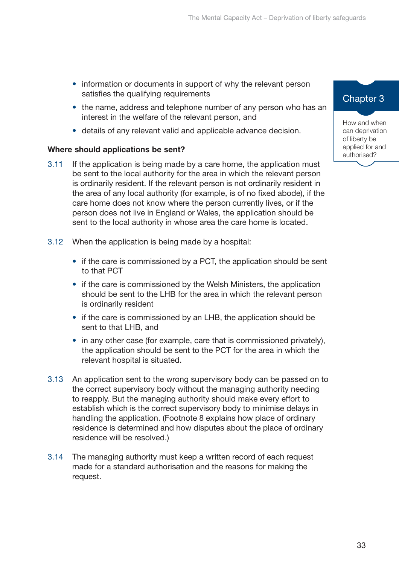- information or documents in support of why the relevant person satisfies the qualifying requirements
- the name, address and telephone number of any person who has an interest in the welfare of the relevant person, and
- details of any relevant valid and applicable advance decision.

### **Where should applications be sent?**

- 3.11 If the application is being made by a care home, the application must be sent to the local authority for the area in which the relevant person is ordinarily resident. If the relevant person is not ordinarily resident in the area of any local authority (for example, is of no fixed abode), if the care home does not know where the person currently lives, or if the person does not live in England or Wales, the application should be sent to the local authority in whose area the care home is located.
- 3.12 When the application is being made by a hospital:
	- if the care is commissioned by a PCT, the application should be sent to that PCT
	- if the care is commissioned by the Welsh Ministers, the application should be sent to the LHB for the area in which the relevant person is ordinarily resident
	- if the care is commissioned by an LHB, the application should be sent to that LHB, and
	- in any other case (for example, care that is commissioned privately), the application should be sent to the PCT for the area in which the relevant hospital is situated.
- 3.13 An application sent to the wrong supervisory body can be passed on to the correct supervisory body without the managing authority needing to reapply. But the managing authority should make every effort to establish which is the correct supervisory body to minimise delays in handling the application. (Footnote 8 explains how place of ordinary residence is determined and how disputes about the place of ordinary residence will be resolved.)
- 3.14 The managing authority must keep a written record of each request made for a standard authorisation and the reasons for making the request.

# Chapter 3

How and when can deprivation of liberty be applied for and authorised?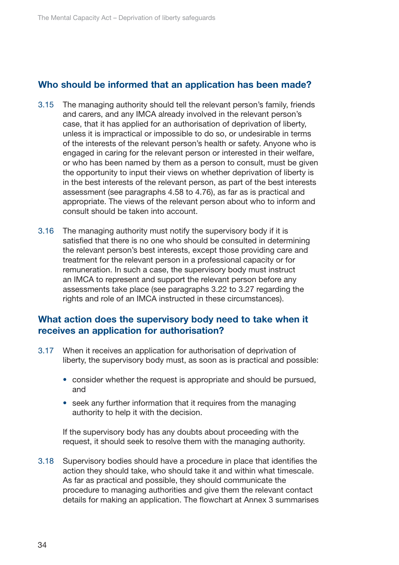## **Who should be informed that an application has been made?**

- 3.15 The managing authority should tell the relevant person's family, friends and carers, and any IMCA already involved in the relevant person's case, that it has applied for an authorisation of deprivation of liberty, unless it is impractical or impossible to do so, or undesirable in terms of the interests of the relevant person's health or safety. Anyone who is engaged in caring for the relevant person or interested in their welfare, or who has been named by them as a person to consult, must be given the opportunity to input their views on whether deprivation of liberty is in the best interests of the relevant person, as part of the best interests assessment (see paragraphs 4.58 to 4.76), as far as is practical and appropriate. The views of the relevant person about who to inform and consult should be taken into account.
- 3.16 The managing authority must notify the supervisory body if it is satisfied that there is no one who should be consulted in determining the relevant person's best interests, except those providing care and treatment for the relevant person in a professional capacity or for remuneration. In such a case, the supervisory body must instruct an IMCA to represent and support the relevant person before any assessments take place (see paragraphs 3.22 to 3.27 regarding the rights and role of an IMCA instructed in these circumstances).

### **What action does the supervisory body need to take when it receives an application for authorisation?**

- 3.17 When it receives an application for authorisation of deprivation of liberty, the supervisory body must, as soon as is practical and possible:
	- consider whether the request is appropriate and should be pursued. and
	- seek any further information that it requires from the managing authority to help it with the decision.

If the supervisory body has any doubts about proceeding with the request, it should seek to resolve them with the managing authority.

3.18 Supervisory bodies should have a procedure in place that identifies the action they should take, who should take it and within what timescale. As far as practical and possible, they should communicate the procedure to managing authorities and give them the relevant contact details for making an application. The flowchart at Annex 3 summarises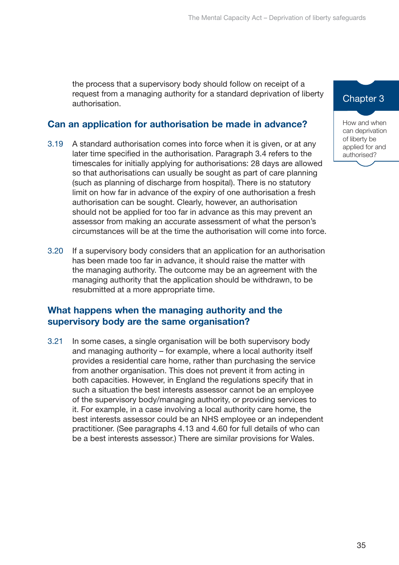the process that a supervisory body should follow on receipt of a request from a managing authority for a standard deprivation of liberty authorisation.

## **Can an application for authorisation be made in advance?**

- 3.19 A standard authorisation comes into force when it is given, or at any later time specified in the authorisation. Paragraph 3.4 refers to the timescales for initially applying for authorisations: 28 days are allowed so that authorisations can usually be sought as part of care planning (such as planning of discharge from hospital). There is no statutory limit on how far in advance of the expiry of one authorisation a fresh authorisation can be sought. Clearly, however, an authorisation should not be applied for too far in advance as this may prevent an assessor from making an accurate assessment of what the person's circumstances will be at the time the authorisation will come into force.
- 3.20 If a supervisory body considers that an application for an authorisation has been made too far in advance, it should raise the matter with the managing authority. The outcome may be an agreement with the managing authority that the application should be withdrawn, to be resubmitted at a more appropriate time.

### **What happens when the managing authority and the supervisory body are the same organisation?**

3.21 In some cases, a single organisation will be both supervisory body and managing authority – for example, where a local authority itself provides a residential care home, rather than purchasing the service from another organisation. This does not prevent it from acting in both capacities. However, in England the regulations specify that in such a situation the best interests assessor cannot be an employee of the supervisory body/managing authority, or providing services to it. For example, in a case involving a local authority care home, the best interests assessor could be an NHS employee or an independent practitioner. (See paragraphs 4.13 and 4.60 for full details of who can be a best interests assessor.) There are similar provisions for Wales.

# Chapter 3

How and when can deprivation of liberty be applied for and authorised?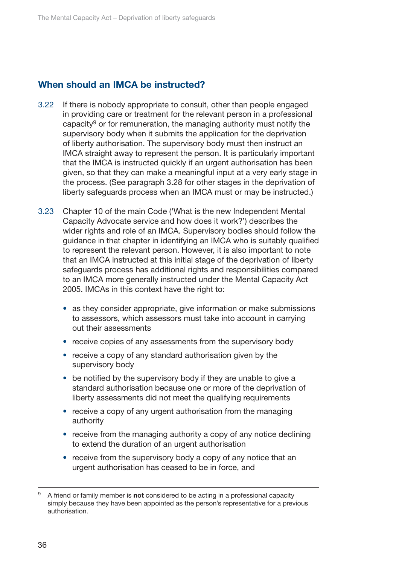## **When should an IMCA be instructed?**

- 3.22 If there is nobody appropriate to consult, other than people engaged in providing care or treatment for the relevant person in a professional capacity<sup>9</sup> or for remuneration, the managing authority must notify the supervisory body when it submits the application for the deprivation of liberty authorisation. The supervisory body must then instruct an IMCA straight away to represent the person. It is particularly important that the IMCA is instructed quickly if an urgent authorisation has been given, so that they can make a meaningful input at a very early stage in the process. (See paragraph 3.28 for other stages in the deprivation of liberty safeguards process when an IMCA must or may be instructed.)
- 3.23 Chapter 10 of the main Code ('What is the new Independent Mental Capacity Advocate service and how does it work?') describes the wider rights and role of an IMCA. Supervisory bodies should follow the guidance in that chapter in identifying an IMCA who is suitably qualified to represent the relevant person. However, it is also important to note that an IMCA instructed at this initial stage of the deprivation of liberty safeguards process has additional rights and responsibilities compared to an IMCA more generally instructed under the Mental Capacity Act 2005. IMCAs in this context have the right to:
	- as they consider appropriate, give information or make submissions to assessors, which assessors must take into account in carrying out their assessments
	- receive copies of any assessments from the supervisory body
	- receive a copy of any standard authorisation given by the supervisory body
	- be notified by the supervisory body if they are unable to give a standard authorisation because one or more of the deprivation of liberty assessments did not meet the qualifying requirements
	- receive a copy of any urgent authorisation from the managing authority
	- receive from the managing authority a copy of any notice declining to extend the duration of an urgent authorisation
	- receive from the supervisory body a copy of any notice that an urgent authorisation has ceased to be in force, and

<sup>9</sup> A friend or family member is **not** considered to be acting in a professional capacity simply because they have been appointed as the person's representative for a previous authorisation.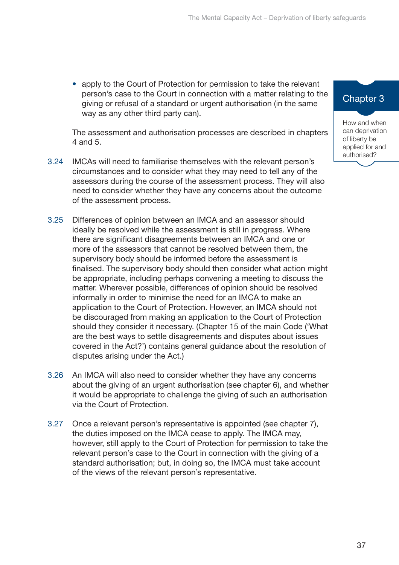• apply to the Court of Protection for permission to take the relevant person's case to the Court in connection with a matter relating to the giving or refusal of a standard or urgent authorisation (in the same way as any other third party can).

The assessment and authorisation processes are described in chapters 4 and 5.

- 3.24 IMCAs will need to familiarise themselves with the relevant person's circumstances and to consider what they may need to tell any of the assessors during the course of the assessment process. They will also need to consider whether they have any concerns about the outcome of the assessment process.
- 3.25 Differences of opinion between an IMCA and an assessor should ideally be resolved while the assessment is still in progress. Where there are significant disagreements between an IMCA and one or more of the assessors that cannot be resolved between them, the supervisory body should be informed before the assessment is finalised. The supervisory body should then consider what action might be appropriate, including perhaps convening a meeting to discuss the matter. Wherever possible, differences of opinion should be resolved informally in order to minimise the need for an IMCA to make an application to the Court of Protection. However, an IMCA should not be discouraged from making an application to the Court of Protection should they consider it necessary. (Chapter 15 of the main Code ('What are the best ways to settle disagreements and disputes about issues covered in the Act?') contains general guidance about the resolution of disputes arising under the Act.)
- 3.26 An IMCA will also need to consider whether they have any concerns about the giving of an urgent authorisation (see chapter 6), and whether it would be appropriate to challenge the giving of such an authorisation via the Court of Protection.
- 3.27 Once a relevant person's representative is appointed (see chapter 7), the duties imposed on the IMCA cease to apply. The IMCA may, however, still apply to the Court of Protection for permission to take the relevant person's case to the Court in connection with the giving of a standard authorisation; but, in doing so, the IMCA must take account of the views of the relevant person's representative.

# Chapter 3

How and when can deprivation of liberty be applied for and authorised?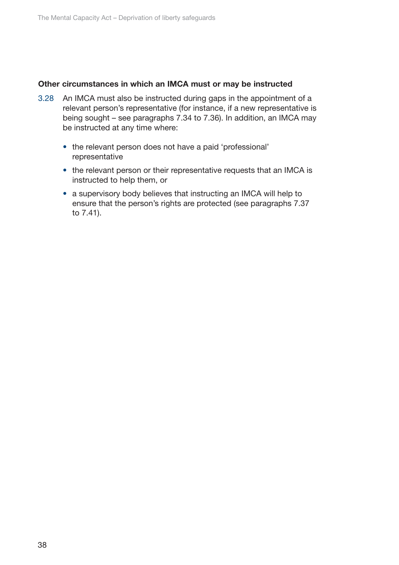#### **Other circumstances in which an IMCA must or may be instructed**

- 3.28 An IMCA must also be instructed during gaps in the appointment of a relevant person's representative (for instance, if a new representative is being sought – see paragraphs 7.34 to 7.36). In addition, an IMCA may be instructed at any time where:
	- the relevant person does not have a paid 'professional' representative
	- the relevant person or their representative requests that an IMCA is instructed to help them, or
	- a supervisory body believes that instructing an IMCA will help to ensure that the person's rights are protected (see paragraphs 7.37 to 7.41).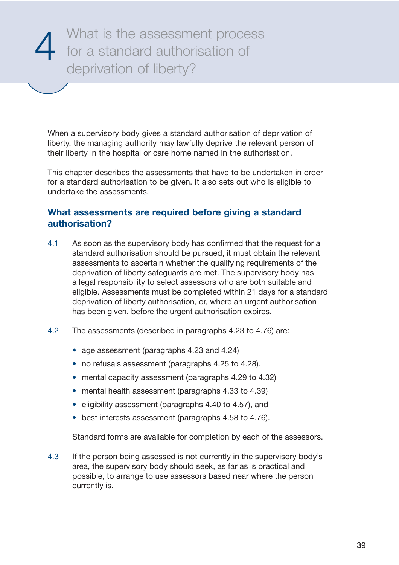When a supervisory body gives a standard authorisation of deprivation of liberty, the managing authority may lawfully deprive the relevant person of their liberty in the hospital or care home named in the authorisation.

This chapter describes the assessments that have to be undertaken in order for a standard authorisation to be given. It also sets out who is eligible to undertake the assessments.

### **What assessments are required before giving a standard authorisation?**

- 4.1 As soon as the supervisory body has confirmed that the request for a standard authorisation should be pursued, it must obtain the relevant assessments to ascertain whether the qualifying requirements of the deprivation of liberty safeguards are met. The supervisory body has a legal responsibility to select assessors who are both suitable and eligible. Assessments must be completed within 21 days for a standard deprivation of liberty authorisation, or, where an urgent authorisation has been given, before the urgent authorisation expires.
- 4.2 The assessments (described in paragraphs 4.23 to 4.76) are:
	- age assessment (paragraphs  $4.23$  and  $4.24$ )
	- no refusals assessment (paragraphs 4.25 to 4.28).
	- mental capacity assessment (paragraphs 4.29 to 4.32)
	- mental health assessment (paragraphs 4.33 to 4.39)
	- $\bullet$  eligibility assessment (paragraphs 4.40 to 4.57), and
	- $\bullet$  best interests assessment (paragraphs 4.58 to 4.76).

Standard forms are available for completion by each of the assessors.

4.3 If the person being assessed is not currently in the supervisory body's area, the supervisory body should seek, as far as is practical and possible, to arrange to use assessors based near where the person currently is.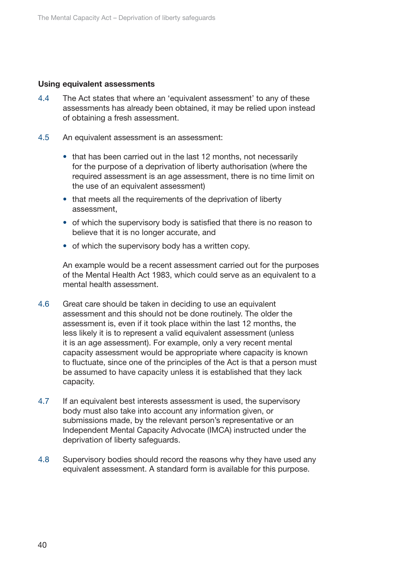#### **Using equivalent assessments**

- 4.4 The Act states that where an 'equivalent assessment' to any of these assessments has already been obtained, it may be relied upon instead of obtaining a fresh assessment.
- 4.5 An equivalent assessment is an assessment:
	- that has been carried out in the last 12 months, not necessarily for the purpose of a deprivation of liberty authorisation (where the required assessment is an age assessment, there is no time limit on the use of an equivalent assessment)
	- that meets all the requirements of the deprivation of liberty assessment,
	- of which the supervisory body is satisfied that there is no reason to believe that it is no longer accurate, and
	- of which the supervisory body has a written copy.

An example would be a recent assessment carried out for the purposes of the Mental Health Act 1983, which could serve as an equivalent to a mental health assessment.

- 4.6 Great care should be taken in deciding to use an equivalent assessment and this should not be done routinely. The older the assessment is, even if it took place within the last 12 months, the less likely it is to represent a valid equivalent assessment (unless it is an age assessment). For example, only a very recent mental capacity assessment would be appropriate where capacity is known to fluctuate, since one of the principles of the Act is that a person must be assumed to have capacity unless it is established that they lack capacity.
- 4.7 If an equivalent best interests assessment is used, the supervisory body must also take into account any information given, or submissions made, by the relevant person's representative or an Independent Mental Capacity Advocate (IMCA) instructed under the deprivation of liberty safeguards.
- 4.8 Supervisory bodies should record the reasons why they have used any equivalent assessment. A standard form is available for this purpose.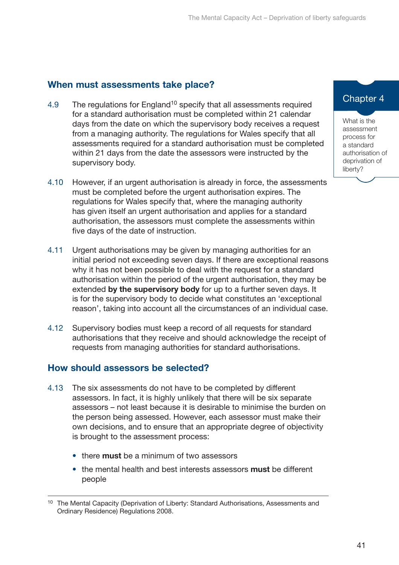## **When must assessments take place?**

- 4.9 The regulations for England<sup>10</sup> specify that all assessments required for a standard authorisation must be completed within 21 calendar days from the date on which the supervisory body receives a request from a managing authority. The regulations for Wales specify that all assessments required for a standard authorisation must be completed within 21 days from the date the assessors were instructed by the supervisory body.
- 4.10 However, if an urgent authorisation is already in force, the assessments must be completed before the urgent authorisation expires. The regulations for Wales specify that, where the managing authority has given itself an urgent authorisation and applies for a standard authorisation, the assessors must complete the assessments within five days of the date of instruction.
- 4.11 Urgent authorisations may be given by managing authorities for an initial period not exceeding seven days. If there are exceptional reasons why it has not been possible to deal with the request for a standard authorisation within the period of the urgent authorisation, they may be extended **by the supervisory body** for up to a further seven days. It is for the supervisory body to decide what constitutes an 'exceptional reason', taking into account all the circumstances of an individual case.
- 4.12 Supervisory bodies must keep a record of all requests for standard authorisations that they receive and should acknowledge the receipt of requests from managing authorities for standard authorisations.

### **How should assessors be selected?**

- 4.13 The six assessments do not have to be completed by different assessors. In fact, it is highly unlikely that there will be six separate assessors – not least because it is desirable to minimise the burden on the person being assessed. However, each assessor must make their own decisions, and to ensure that an appropriate degree of objectivity is brought to the assessment process:
	- there **must** be a minimum of two assessors
	- the mental health and best interests assessors **must** be different people

## Chapter 4

<sup>&</sup>lt;sup>10</sup> The Mental Capacity (Deprivation of Liberty: Standard Authorisations, Assessments and Ordinary Residence) Regulations 2008.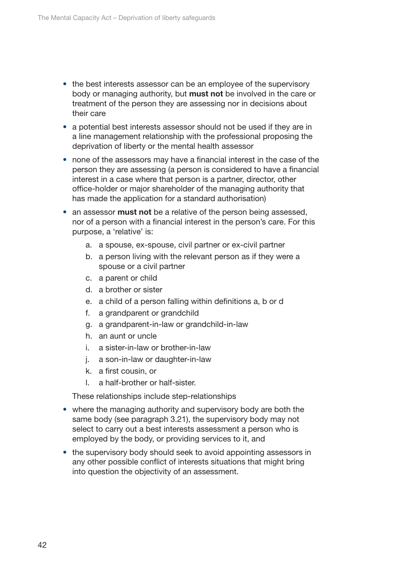- the best interests assessor can be an employee of the supervisory body or managing authority, but **must not** be involved in the care or treatment of the person they are assessing nor in decisions about their care
- a potential best interests assessor should not be used if they are in a line management relationship with the professional proposing the deprivation of liberty or the mental health assessor
- none of the assessors may have a financial interest in the case of the person they are assessing (a person is considered to have a financial interest in a case where that person is a partner, director, other office-holder or major shareholder of the managing authority that has made the application for a standard authorisation)
- an assessor **must not** be a relative of the person being assessed, nor of a person with a financial interest in the person's care. For this purpose, a 'relative' is:
	- a. a spouse, ex-spouse, civil partner or ex-civil partner
	- b. a person living with the relevant person as if they were a spouse or a civil partner
	- c. a parent or child
	- d. a brother or sister
	- e. a child of a person falling within definitions a, b or d
	- f. a grandparent or grandchild
	- g. a grandparent-in-law or grandchild-in-law
	- h. an aunt or uncle
	- i. a sister-in-law or brother-in-law
	- j. a son-in-law or daughter-in-law
	- k. a first cousin, or
	- l. a half-brother or half-sister.

These relationships include step-relationships

- where the managing authority and supervisory body are both the same body (see paragraph 3.21), the supervisory body may not select to carry out a best interests assessment a person who is employed by the body, or providing services to it, and
- the supervisory body should seek to avoid appointing assessors in any other possible conflict of interests situations that might bring into question the objectivity of an assessment.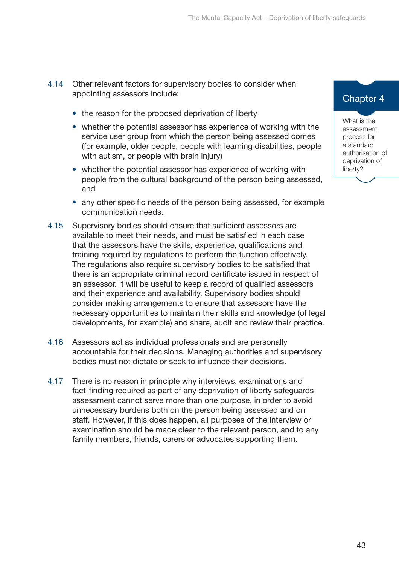- 4.14 Other relevant factors for supervisory bodies to consider when appointing assessors include:
	- the reason for the proposed deprivation of liberty
	- whether the potential assessor has experience of working with the service user group from which the person being assessed comes (for example, older people, people with learning disabilities, people with autism, or people with brain injury)
	- whether the potential assessor has experience of working with people from the cultural background of the person being assessed, and
	- any other specific needs of the person being assessed, for example communication needs.
- 4.15 Supervisory bodies should ensure that sufficient assessors are available to meet their needs, and must be satisfied in each case that the assessors have the skills, experience, qualifications and training required by regulations to perform the function effectively. The regulations also require supervisory bodies to be satisfied that there is an appropriate criminal record certificate issued in respect of an assessor. It will be useful to keep a record of qualified assessors and their experience and availability. Supervisory bodies should consider making arrangements to ensure that assessors have the necessary opportunities to maintain their skills and knowledge (of legal developments, for example) and share, audit and review their practice.
- 4.16 Assessors act as individual professionals and are personally accountable for their decisions. Managing authorities and supervisory bodies must not dictate or seek to influence their decisions.
- 4.17 There is no reason in principle why interviews, examinations and fact-finding required as part of any deprivation of liberty safeguards assessment cannot serve more than one purpose, in order to avoid unnecessary burdens both on the person being assessed and on staff. However, if this does happen, all purposes of the interview or examination should be made clear to the relevant person, and to any family members, friends, carers or advocates supporting them.

## Chapter 4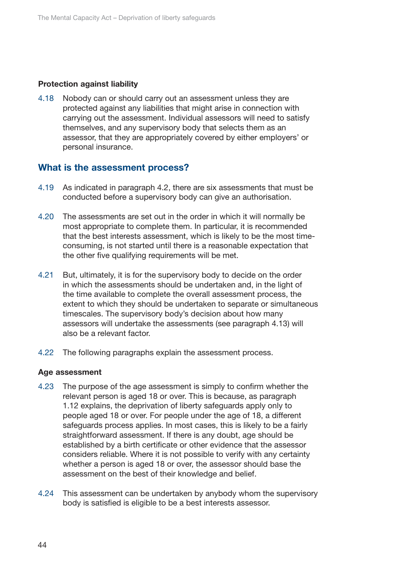### **Protection against liability**

4.18 Nobody can or should carry out an assessment unless they are protected against any liabilities that might arise in connection with carrying out the assessment. Individual assessors will need to satisfy themselves, and any supervisory body that selects them as an assessor, that they are appropriately covered by either employers' or personal insurance.

### **What is the assessment process?**

- 4.19 As indicated in paragraph 4.2, there are six assessments that must be conducted before a supervisory body can give an authorisation.
- 4.20 The assessments are set out in the order in which it will normally be most appropriate to complete them. In particular, it is recommended that the best interests assessment, which is likely to be the most timeconsuming, is not started until there is a reasonable expectation that the other five qualifying requirements will be met.
- 4.21 But, ultimately, it is for the supervisory body to decide on the order in which the assessments should be undertaken and, in the light of the time available to complete the overall assessment process, the extent to which they should be undertaken to separate or simultaneous timescales. The supervisory body's decision about how many assessors will undertake the assessments (see paragraph 4.13) will also be a relevant factor.
- 4.22 The following paragraphs explain the assessment process.

### **Age assessment**

- 4.23 The purpose of the age assessment is simply to confirm whether the relevant person is aged 18 or over. This is because, as paragraph 1.12 explains, the deprivation of liberty safeguards apply only to people aged 18 or over. For people under the age of 18, a different safeguards process applies. In most cases, this is likely to be a fairly straightforward assessment. If there is any doubt, age should be established by a birth certificate or other evidence that the assessor considers reliable. Where it is not possible to verify with any certainty whether a person is aged 18 or over, the assessor should base the assessment on the best of their knowledge and belief.
- 4.24 This assessment can be undertaken by anybody whom the supervisory body is satisfied is eligible to be a best interests assessor.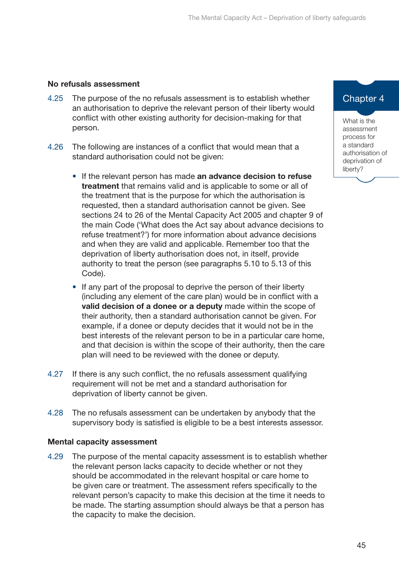#### **No refusals assessment**

- 4.25 The purpose of the no refusals assessment is to establish whether an authorisation to deprive the relevant person of their liberty would conflict with other existing authority for decision-making for that person.
- 4.26 The following are instances of a conflict that would mean that a standard authorisation could not be given:
	- **•** If the relevant person has made an advance decision to refuse **treatment** that remains valid and is applicable to some or all of the treatment that is the purpose for which the authorisation is requested, then a standard authorisation cannot be given. See sections 24 to 26 of the Mental Capacity Act 2005 and chapter 9 of the main Code ('What does the Act say about advance decisions to refuse treatment?') for more information about advance decisions and when they are valid and applicable. Remember too that the deprivation of liberty authorisation does not, in itself, provide authority to treat the person (see paragraphs 5.10 to 5.13 of this Code).
	- If any part of the proposal to deprive the person of their liberty (including any element of the care plan) would be in conflict with a **valid decision of a donee or a deputy** made within the scope of their authority, then a standard authorisation cannot be given. For example, if a donee or deputy decides that it would not be in the best interests of the relevant person to be in a particular care home, and that decision is within the scope of their authority, then the care plan will need to be reviewed with the donee or deputy.
- 4.27 If there is any such conflict, the no refusals assessment qualifying requirement will not be met and a standard authorisation for deprivation of liberty cannot be given.
- 4.28 The no refusals assessment can be undertaken by anybody that the supervisory body is satisfied is eligible to be a best interests assessor.

#### **Mental capacity assessment**

4.29 The purpose of the mental capacity assessment is to establish whether the relevant person lacks capacity to decide whether or not they should be accommodated in the relevant hospital or care home to be given care or treatment. The assessment refers specifically to the relevant person's capacity to make this decision at the time it needs to be made. The starting assumption should always be that a person has the capacity to make the decision.

## Chapter 4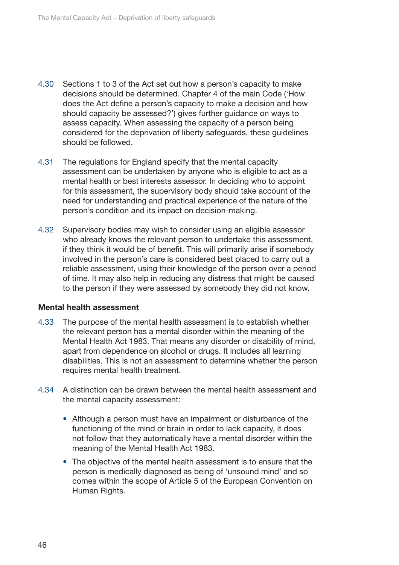- 4.30 Sections 1 to 3 of the Act set out how a person's capacity to make decisions should be determined. Chapter 4 of the main Code ('How does the Act define a person's capacity to make a decision and how should capacity be assessed?') gives further guidance on ways to assess capacity. When assessing the capacity of a person being considered for the deprivation of liberty safeguards, these guidelines should be followed.
- 4.31 The regulations for England specify that the mental capacity assessment can be undertaken by anyone who is eligible to act as a mental health or best interests assessor. In deciding who to appoint for this assessment, the supervisory body should take account of the need for understanding and practical experience of the nature of the person's condition and its impact on decision-making.
- 4.32 Supervisory bodies may wish to consider using an eligible assessor who already knows the relevant person to undertake this assessment, if they think it would be of benefit. This will primarily arise if somebody involved in the person's care is considered best placed to carry out a reliable assessment, using their knowledge of the person over a period of time. It may also help in reducing any distress that might be caused to the person if they were assessed by somebody they did not know.

### **Mental health assessment**

- 4.33 The purpose of the mental health assessment is to establish whether the relevant person has a mental disorder within the meaning of the Mental Health Act 1983. That means any disorder or disability of mind, apart from dependence on alcohol or drugs. It includes all learning disabilities. This is not an assessment to determine whether the person requires mental health treatment.
- 4.34 A distinction can be drawn between the mental health assessment and the mental capacity assessment:
	- Although a person must have an impairment or disturbance of the functioning of the mind or brain in order to lack capacity, it does not follow that they automatically have a mental disorder within the meaning of the Mental Health Act 1983.
	- The objective of the mental health assessment is to ensure that the person is medically diagnosed as being of 'unsound mind' and so comes within the scope of Article 5 of the European Convention on Human Rights.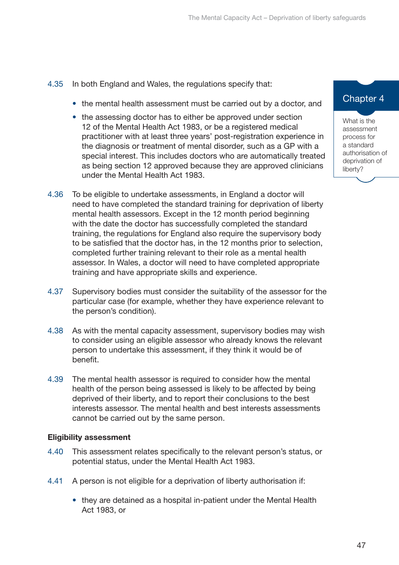- 4.35 In both England and Wales, the regulations specify that:
	- the mental health assessment must be carried out by a doctor, and
	- the assessing doctor has to either be approved under section 12 of the Mental Health Act 1983, or be a registered medical practitioner with at least three years' post-registration experience in the diagnosis or treatment of mental disorder, such as a GP with a special interest. This includes doctors who are automatically treated as being section 12 approved because they are approved clinicians under the Mental Health Act 1983.
- 4.36 To be eligible to undertake assessments, in England a doctor will need to have completed the standard training for deprivation of liberty mental health assessors. Except in the 12 month period beginning with the date the doctor has successfully completed the standard training, the regulations for England also require the supervisory body to be satisfied that the doctor has, in the 12 months prior to selection, completed further training relevant to their role as a mental health assessor. In Wales, a doctor will need to have completed appropriate training and have appropriate skills and experience.
- 4.37 Supervisory bodies must consider the suitability of the assessor for the particular case (for example, whether they have experience relevant to the person's condition).
- 4.38 As with the mental capacity assessment, supervisory bodies may wish to consider using an eligible assessor who already knows the relevant person to undertake this assessment, if they think it would be of benefit.
- 4.39 The mental health assessor is required to consider how the mental health of the person being assessed is likely to be affected by being deprived of their liberty, and to report their conclusions to the best interests assessor. The mental health and best interests assessments cannot be carried out by the same person.

### **Eligibility assessment**

- 4.40 This assessment relates specifically to the relevant person's status, or potential status, under the Mental Health Act 1983.
- 4.41 A person is not eligible for a deprivation of liberty authorisation if:
	- they are detained as a hospital in-patient under the Mental Health Act 1983, or

## Chapter 4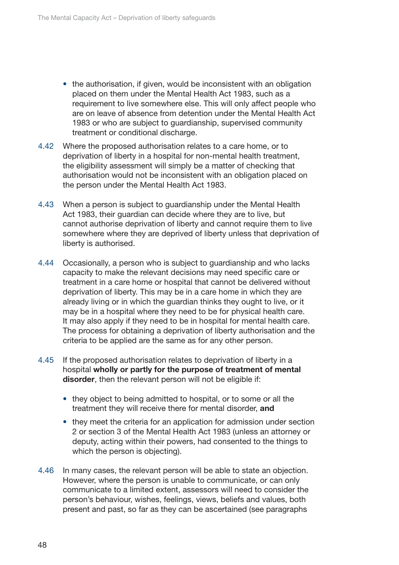- the authorisation, if given, would be inconsistent with an obligation placed on them under the Mental Health Act 1983, such as a requirement to live somewhere else. This will only affect people who are on leave of absence from detention under the Mental Health Act 1983 or who are subject to guardianship, supervised community treatment or conditional discharge.
- 4.42 Where the proposed authorisation relates to a care home, or to deprivation of liberty in a hospital for non-mental health treatment, the eligibility assessment will simply be a matter of checking that authorisation would not be inconsistent with an obligation placed on the person under the Mental Health Act 1983.
- 4.43 When a person is subject to guardianship under the Mental Health Act 1983, their guardian can decide where they are to live, but cannot authorise deprivation of liberty and cannot require them to live somewhere where they are deprived of liberty unless that deprivation of liberty is authorised.
- 4.44 Occasionally, a person who is subject to guardianship and who lacks capacity to make the relevant decisions may need specific care or treatment in a care home or hospital that cannot be delivered without deprivation of liberty. This may be in a care home in which they are already living or in which the guardian thinks they ought to live, or it may be in a hospital where they need to be for physical health care. It may also apply if they need to be in hospital for mental health care. The process for obtaining a deprivation of liberty authorisation and the criteria to be applied are the same as for any other person.
- 4.45 If the proposed authorisation relates to deprivation of liberty in a hospital **wholly or partly for the purpose of treatment of mental disorder**, then the relevant person will not be eligible if:
	- they object to being admitted to hospital, or to some or all the treatment they will receive there for mental disorder, **and**
	- they meet the criteria for an application for admission under section 2 or section 3 of the Mental Health Act 1983 (unless an attorney or deputy, acting within their powers, had consented to the things to which the person is objecting).
- 4.46 In many cases, the relevant person will be able to state an objection. However, where the person is unable to communicate, or can only communicate to a limited extent, assessors will need to consider the person's behaviour, wishes, feelings, views, beliefs and values, both present and past, so far as they can be ascertained (see paragraphs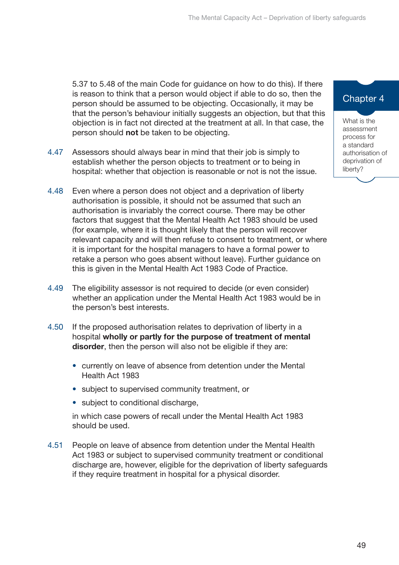5.37 to 5.48 of the main Code for guidance on how to do this). If there is reason to think that a person would object if able to do so, then the person should be assumed to be objecting. Occasionally, it may be that the person's behaviour initially suggests an objection, but that this objection is in fact not directed at the treatment at all. In that case, the person should **not** be taken to be objecting.

- 4.47 Assessors should always bear in mind that their job is simply to establish whether the person objects to treatment or to being in hospital: whether that objection is reasonable or not is not the issue.
- 4.48 Even where a person does not object and a deprivation of liberty authorisation is possible, it should not be assumed that such an authorisation is invariably the correct course. There may be other factors that suggest that the Mental Health Act 1983 should be used (for example, where it is thought likely that the person will recover relevant capacity and will then refuse to consent to treatment, or where it is important for the hospital managers to have a formal power to retake a person who goes absent without leave). Further guidance on this is given in the Mental Health Act 1983 Code of Practice.
- 4.49 The eligibility assessor is not required to decide (or even consider) whether an application under the Mental Health Act 1983 would be in the person's best interests.
- 4.50 If the proposed authorisation relates to deprivation of liberty in a hospital **wholly or partly for the purpose of treatment of mental disorder**, then the person will also not be eligible if they are:
	- currently on leave of absence from detention under the Mental Health Act 1983
	- subject to supervised community treatment, or
	- subject to conditional discharge,

in which case powers of recall under the Mental Health Act 1983 should be used.

4.51 People on leave of absence from detention under the Mental Health Act 1983 or subject to supervised community treatment or conditional discharge are, however, eligible for the deprivation of liberty safeguards if they require treatment in hospital for a physical disorder.

## Chapter 4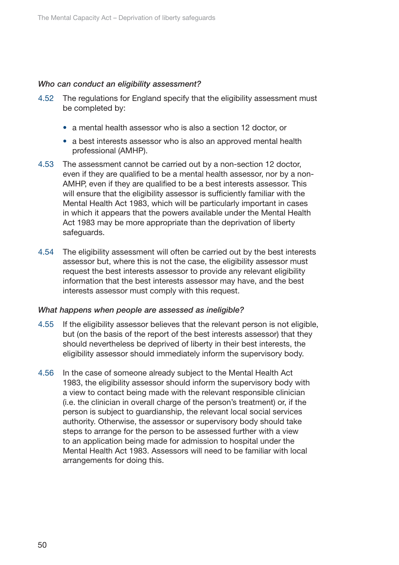#### *Who can conduct an eligibility assessment?*

- 4.52 The regulations for England specify that the eligibility assessment must be completed by:
	- a mental health assessor who is also a section 12 doctor, or
	- a best interests assessor who is also an approved mental health professional (AMHP).
- 4.53 The assessment cannot be carried out by a non-section 12 doctor, even if they are qualified to be a mental health assessor, nor by a non-AMHP, even if they are qualified to be a best interests assessor. This will ensure that the eligibility assessor is sufficiently familiar with the Mental Health Act 1983, which will be particularly important in cases in which it appears that the powers available under the Mental Health Act 1983 may be more appropriate than the deprivation of liberty safeguards.
- 4.54 The eligibility assessment will often be carried out by the best interests assessor but, where this is not the case, the eligibility assessor must request the best interests assessor to provide any relevant eligibility information that the best interests assessor may have, and the best interests assessor must comply with this request.

### *What happens when people are assessed as ineligible?*

- 4.55 If the eligibility assessor believes that the relevant person is not eligible, but (on the basis of the report of the best interests assessor) that they should nevertheless be deprived of liberty in their best interests, the eligibility assessor should immediately inform the supervisory body.
- 4.56 In the case of someone already subject to the Mental Health Act 1983, the eligibility assessor should inform the supervisory body with a view to contact being made with the relevant responsible clinician (i.e. the clinician in overall charge of the person's treatment) or, if the person is subject to guardianship, the relevant local social services authority. Otherwise, the assessor or supervisory body should take steps to arrange for the person to be assessed further with a view to an application being made for admission to hospital under the Mental Health Act 1983. Assessors will need to be familiar with local arrangements for doing this.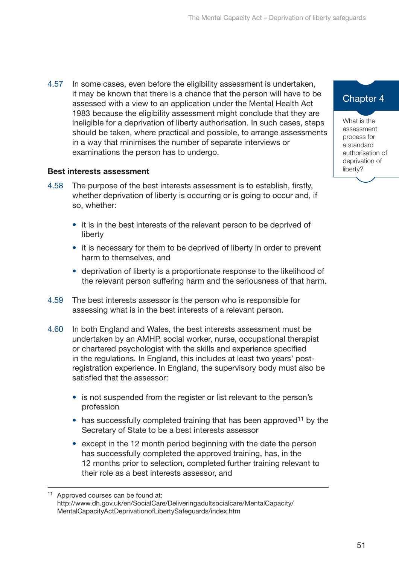4.57 In some cases, even before the eligibility assessment is undertaken, it may be known that there is a chance that the person will have to be assessed with a view to an application under the Mental Health Act 1983 because the eligibility assessment might conclude that they are ineligible for a deprivation of liberty authorisation. In such cases, steps should be taken, where practical and possible, to arrange assessments in a way that minimises the number of separate interviews or examinations the person has to undergo.

### **Best interests assessment**

- 4.58 The purpose of the best interests assessment is to establish, firstly, whether deprivation of liberty is occurring or is going to occur and, if so, whether:
	- it is in the best interests of the relevant person to be deprived of liberty
	- it is necessary for them to be deprived of liberty in order to prevent harm to themselves, and
	- deprivation of liberty is a proportionate response to the likelihood of the relevant person suffering harm and the seriousness of that harm.
- 4.59 The best interests assessor is the person who is responsible for assessing what is in the best interests of a relevant person.
- 4.60 In both England and Wales, the best interests assessment must be undertaken by an AMHP, social worker, nurse, occupational therapist or chartered psychologist with the skills and experience specified in the regulations. In England, this includes at least two years' postregistration experience. In England, the supervisory body must also be satisfied that the assessor:
	- is not suspended from the register or list relevant to the person's profession
	- $\bullet$  has successfully completed training that has been approved<sup>11</sup> by the Secretary of State to be a best interests assessor
	- except in the 12 month period beginning with the date the person has successfully completed the approved training, has, in the 12 months prior to selection, completed further training relevant to their role as a best interests assessor, and

## Chapter 4

<sup>&</sup>lt;sup>11</sup> Approved courses can be found at: http://www.dh.gov.uk/en/SocialCare/Deliveringadultsocialcare/MentalCapacity/ MentalCapacityActDeprivationofLibertySafeguards/index.htm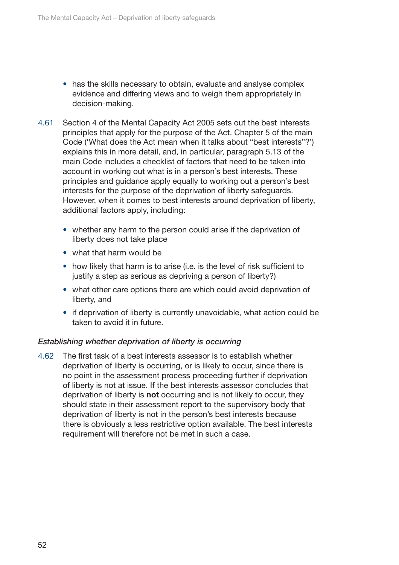- has the skills necessary to obtain, evaluate and analyse complex evidence and differing views and to weigh them appropriately in decision-making.
- 4.61 Section 4 of the Mental Capacity Act 2005 sets out the best interests principles that apply for the purpose of the Act. Chapter 5 of the main Code ('What does the Act mean when it talks about "best interests"?') explains this in more detail, and, in particular, paragraph 5.13 of the main Code includes a checklist of factors that need to be taken into account in working out what is in a person's best interests. These principles and guidance apply equally to working out a person's best interests for the purpose of the deprivation of liberty safeguards. However, when it comes to best interests around deprivation of liberty, additional factors apply, including:
	- whether any harm to the person could arise if the deprivation of liberty does not take place
	- what that harm would be
	- how likely that harm is to arise (i.e. is the level of risk sufficient to justify a step as serious as depriving a person of liberty?)
	- what other care options there are which could avoid deprivation of liberty, and
	- if deprivation of liberty is currently unavoidable, what action could be taken to avoid it in future.

### *Establishing whether deprivation of liberty is occurring*

4.62 The first task of a best interests assessor is to establish whether deprivation of liberty is occurring, or is likely to occur, since there is no point in the assessment process proceeding further if deprivation of liberty is not at issue. If the best interests assessor concludes that deprivation of liberty is **not** occurring and is not likely to occur, they should state in their assessment report to the supervisory body that deprivation of liberty is not in the person's best interests because there is obviously a less restrictive option available. The best interests requirement will therefore not be met in such a case.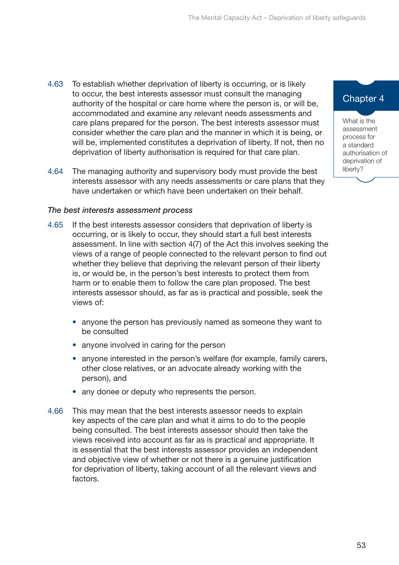- 4.63 To establish whether deprivation of liberty is occurring, or is likely to occur, the best interests assessor must consult the managing authority of the hospital or care home where the person is, or will be, accommodated and examine any relevant needs assessments and care plans prepared for the person. The best interests assessor must consider whether the care plan and the manner in which it is being, or will be, implemented constitutes a deprivation of liberty. If not, then no deprivation of liberty authorisation is required for that care plan.
- 4.64 The managing authority and supervisory body must provide the best interests assessor with any needs assessments or care plans that they have undertaken or which have been undertaken on their behalf.

### *The best interests assessment process*

- 4.65 If the best interests assessor considers that deprivation of liberty is occurring, or is likely to occur, they should start a full best interests assessment. In line with section 4(7) of the Act this involves seeking the views of a range of people connected to the relevant person to find out whether they believe that depriving the relevant person of their liberty is, or would be, in the person's best interests to protect them from harm or to enable them to follow the care plan proposed. The best interests assessor should, as far as is practical and possible, seek the views of:
	- anyone the person has previously named as someone they want to be consulted
	- anyone involved in caring for the person
	- anyone interested in the person's welfare (for example, family carers, other close relatives, or an advocate already working with the person), and
	- any donee or deputy who represents the person.
- 4.66 This may mean that the best interests assessor needs to explain key aspects of the care plan and what it aims to do to the people being consulted. The best interests assessor should then take the views received into account as far as is practical and appropriate. It is essential that the best interests assessor provides an independent and objective view of whether or not there is a genuine justification for deprivation of liberty, taking account of all the relevant views and factors.

## Chapter 4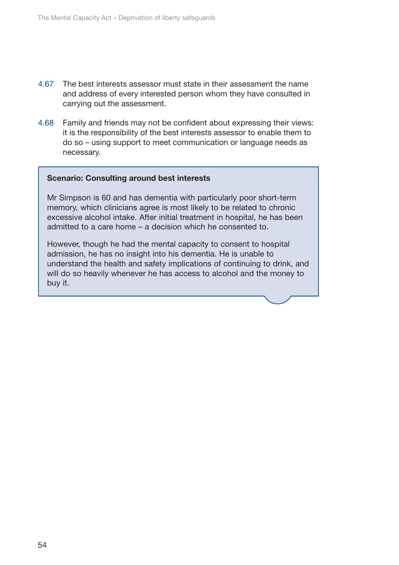- 4.67 The best interests assessor must state in their assessment the name and address of every interested person whom they have consulted in carrying out the assessment.
- 4.68 Family and friends may not be confident about expressing their views: it is the responsibility of the best interests assessor to enable them to do so – using support to meet communication or language needs as necessary.

### **Scenario: Consulting around best interests**

Mr Simpson is 60 and has dementia with particularly poor short-term memory, which clinicians agree is most likely to be related to chronic excessive alcohol intake. After initial treatment in hospital, he has been admitted to a care home – a decision which he consented to.

However, though he had the mental capacity to consent to hospital admission, he has no insight into his dementia. He is unable to understand the health and safety implications of continuing to drink, and will do so heavily whenever he has access to alcohol and the money to buy it.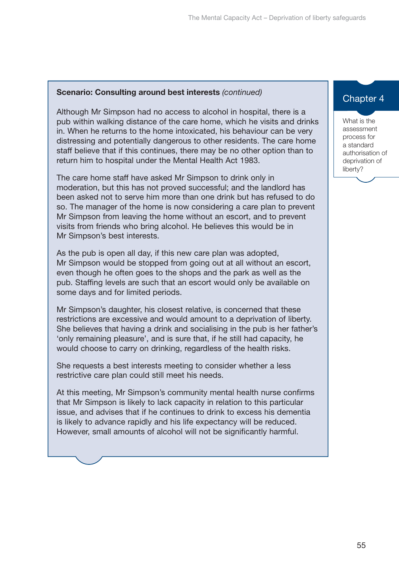#### **Scenario: Consulting around best interests** *(continued)*

Although Mr Simpson had no access to alcohol in hospital, there is a pub within walking distance of the care home, which he visits and drinks in. When he returns to the home intoxicated, his behaviour can be very distressing and potentially dangerous to other residents. The care home staff believe that if this continues, there may be no other option than to return him to hospital under the Mental Health Act 1983.

The care home staff have asked Mr Simpson to drink only in moderation, but this has not proved successful; and the landlord has been asked not to serve him more than one drink but has refused to do so. The manager of the home is now considering a care plan to prevent Mr Simpson from leaving the home without an escort, and to prevent visits from friends who bring alcohol. He believes this would be in Mr Simpson's best interests.

As the pub is open all day, if this new care plan was adopted, Mr Simpson would be stopped from going out at all without an escort, even though he often goes to the shops and the park as well as the pub. Staffing levels are such that an escort would only be available on some days and for limited periods.

Mr Simpson's daughter, his closest relative, is concerned that these restrictions are excessive and would amount to a deprivation of liberty. She believes that having a drink and socialising in the pub is her father's 'only remaining pleasure', and is sure that, if he still had capacity, he would choose to carry on drinking, regardless of the health risks.

She requests a best interests meeting to consider whether a less restrictive care plan could still meet his needs.

At this meeting, Mr Simpson's community mental health nurse confirms that Mr Simpson is likely to lack capacity in relation to this particular issue, and advises that if he continues to drink to excess his dementia is likely to advance rapidly and his life expectancy will be reduced. However, small amounts of alcohol will not be significantly harmful.

### Chapter 4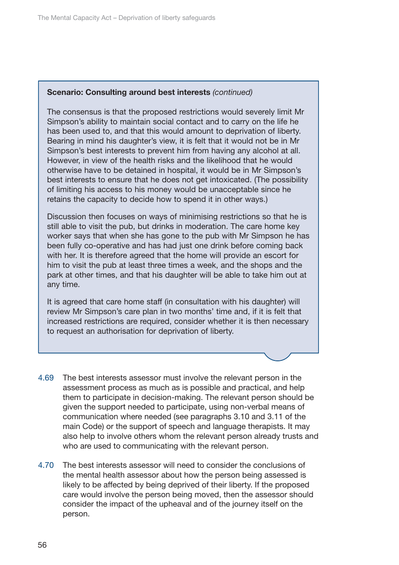#### **Scenario: Consulting around best interests** *(continued)*

The consensus is that the proposed restrictions would severely limit Mr Simpson's ability to maintain social contact and to carry on the life he has been used to, and that this would amount to deprivation of liberty. Bearing in mind his daughter's view, it is felt that it would not be in Mr Simpson's best interests to prevent him from having any alcohol at all. However, in view of the health risks and the likelihood that he would otherwise have to be detained in hospital, it would be in Mr Simpson's best interests to ensure that he does not get intoxicated. (The possibility of limiting his access to his money would be unacceptable since he retains the capacity to decide how to spend it in other ways.)

Discussion then focuses on ways of minimising restrictions so that he is still able to visit the pub, but drinks in moderation. The care home key worker says that when she has gone to the pub with Mr Simpson he has been fully co-operative and has had just one drink before coming back with her. It is therefore agreed that the home will provide an escort for him to visit the pub at least three times a week, and the shops and the park at other times, and that his daughter will be able to take him out at any time.

It is agreed that care home staff (in consultation with his daughter) will review Mr Simpson's care plan in two months' time and, if it is felt that increased restrictions are required, consider whether it is then necessary to request an authorisation for deprivation of liberty.

- 4.69 The best interests assessor must involve the relevant person in the assessment process as much as is possible and practical, and help them to participate in decision-making. The relevant person should be given the support needed to participate, using non-verbal means of communication where needed (see paragraphs 3.10 and 3.11 of the main Code) or the support of speech and language therapists. It may also help to involve others whom the relevant person already trusts and who are used to communicating with the relevant person.
- 4.70 The best interests assessor will need to consider the conclusions of the mental health assessor about how the person being assessed is likely to be affected by being deprived of their liberty. If the proposed care would involve the person being moved, then the assessor should consider the impact of the upheaval and of the journey itself on the person.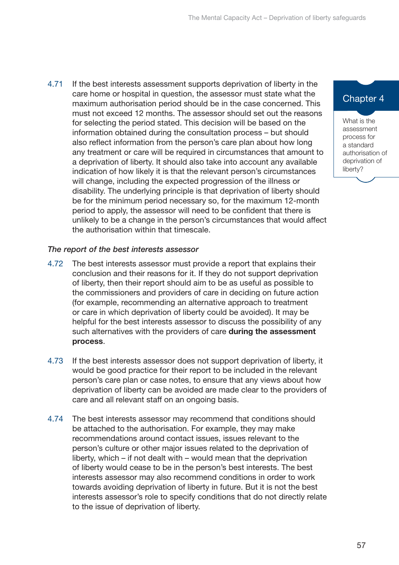4.71 If the best interests assessment supports deprivation of liberty in the care home or hospital in question, the assessor must state what the maximum authorisation period should be in the case concerned. This must not exceed 12 months. The assessor should set out the reasons for selecting the period stated. This decision will be based on the information obtained during the consultation process – but should also reflect information from the person's care plan about how long any treatment or care will be required in circumstances that amount to a deprivation of liberty. It should also take into account any available indication of how likely it is that the relevant person's circumstances will change, including the expected progression of the illness or disability. The underlying principle is that deprivation of liberty should be for the minimum period necessary so, for the maximum 12-month period to apply, the assessor will need to be confident that there is unlikely to be a change in the person's circumstances that would affect the authorisation within that timescale.

### *The report of the best interests assessor*

- 4.72 The best interests assessor must provide a report that explains their conclusion and their reasons for it. If they do not support deprivation of liberty, then their report should aim to be as useful as possible to the commissioners and providers of care in deciding on future action (for example, recommending an alternative approach to treatment or care in which deprivation of liberty could be avoided). It may be helpful for the best interests assessor to discuss the possibility of any such alternatives with the providers of care **during the assessment process**.
- 4.73 If the best interests assessor does not support deprivation of liberty, it would be good practice for their report to be included in the relevant person's care plan or case notes, to ensure that any views about how deprivation of liberty can be avoided are made clear to the providers of care and all relevant staff on an ongoing basis.
- 4.74 The best interests assessor may recommend that conditions should be attached to the authorisation. For example, they may make recommendations around contact issues, issues relevant to the person's culture or other major issues related to the deprivation of liberty, which – if not dealt with – would mean that the deprivation of liberty would cease to be in the person's best interests. The best interests assessor may also recommend conditions in order to work towards avoiding deprivation of liberty in future. But it is not the best interests assessor's role to specify conditions that do not directly relate to the issue of deprivation of liberty.

## Chapter 4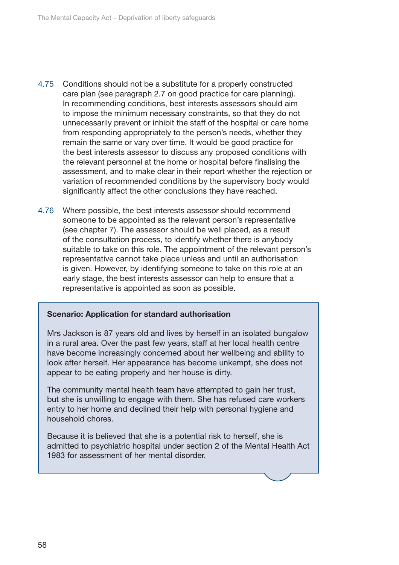- 4.75 Conditions should not be a substitute for a properly constructed care plan (see paragraph 2.7 on good practice for care planning). In recommending conditions, best interests assessors should aim to impose the minimum necessary constraints, so that they do not unnecessarily prevent or inhibit the staff of the hospital or care home from responding appropriately to the person's needs, whether they remain the same or vary over time. It would be good practice for the best interests assessor to discuss any proposed conditions with the relevant personnel at the home or hospital before finalising the assessment, and to make clear in their report whether the rejection or variation of recommended conditions by the supervisory body would significantly affect the other conclusions they have reached.
- 4.76 Where possible, the best interests assessor should recommend someone to be appointed as the relevant person's representative (see chapter 7). The assessor should be well placed, as a result of the consultation process, to identify whether there is anybody suitable to take on this role. The appointment of the relevant person's representative cannot take place unless and until an authorisation is given. However, by identifying someone to take on this role at an early stage, the best interests assessor can help to ensure that a representative is appointed as soon as possible.

### **Scenario: Application for standard authorisation**

Mrs Jackson is 87 years old and lives by herself in an isolated bungalow in a rural area. Over the past few years, staff at her local health centre have become increasingly concerned about her wellbeing and ability to look after herself. Her appearance has become unkempt, she does not appear to be eating properly and her house is dirty.

The community mental health team have attempted to gain her trust, but she is unwilling to engage with them. She has refused care workers entry to her home and declined their help with personal hygiene and household chores.

Because it is believed that she is a potential risk to herself, she is admitted to psychiatric hospital under section 2 of the Mental Health Act 1983 for assessment of her mental disorder.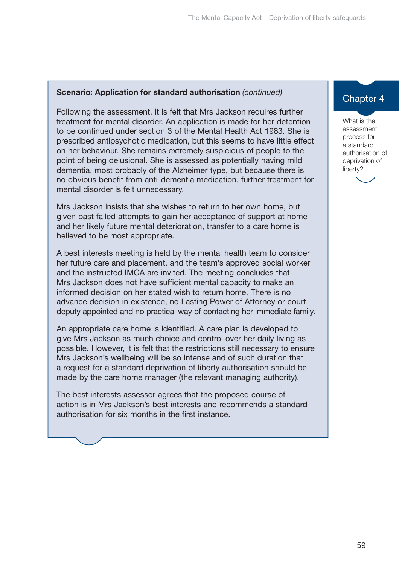#### **Scenario: Application for standard authorisation** *(continued)*

Following the assessment, it is felt that Mrs Jackson requires further treatment for mental disorder. An application is made for her detention to be continued under section 3 of the Mental Health Act 1983. She is prescribed antipsychotic medication, but this seems to have little effect on her behaviour. She remains extremely suspicious of people to the point of being delusional. She is assessed as potentially having mild dementia, most probably of the Alzheimer type, but because there is no obvious benefit from anti-dementia medication, further treatment for mental disorder is felt unnecessary.

Mrs Jackson insists that she wishes to return to her own home, but given past failed attempts to gain her acceptance of support at home and her likely future mental deterioration, transfer to a care home is believed to be most appropriate.

A best interests meeting is held by the mental health team to consider her future care and placement, and the team's approved social worker and the instructed IMCA are invited. The meeting concludes that Mrs Jackson does not have sufficient mental capacity to make an informed decision on her stated wish to return home. There is no advance decision in existence, no Lasting Power of Attorney or court deputy appointed and no practical way of contacting her immediate family.

An appropriate care home is identified. A care plan is developed to give Mrs Jackson as much choice and control over her daily living as possible. However, it is felt that the restrictions still necessary to ensure Mrs Jackson's wellbeing will be so intense and of such duration that a request for a standard deprivation of liberty authorisation should be made by the care home manager (the relevant managing authority).

The best interests assessor agrees that the proposed course of action is in Mrs Jackson's best interests and recommends a standard authorisation for six months in the first instance.

## Chapter 4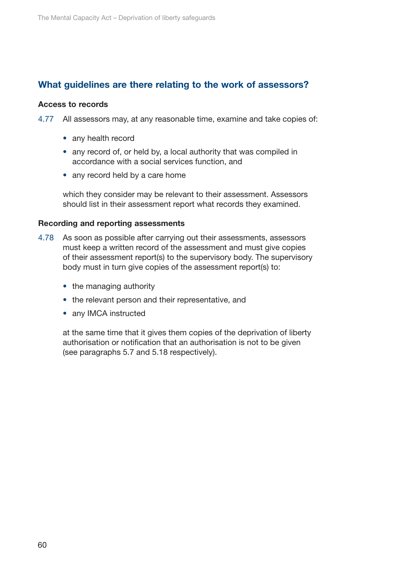## **What guidelines are there relating to the work of assessors?**

### **Access to records**

4.77 All assessors may, at any reasonable time, examine and take copies of:

- any health record
- any record of, or held by, a local authority that was compiled in accordance with a social services function, and
- any record held by a care home

which they consider may be relevant to their assessment. Assessors should list in their assessment report what records they examined.

### **Recording and reporting assessments**

- 4.78 As soon as possible after carrying out their assessments, assessors must keep a written record of the assessment and must give copies of their assessment report(s) to the supervisory body. The supervisory body must in turn give copies of the assessment report(s) to:
	- $\bullet$  the managing authority
	- the relevant person and their representative, and
	- any IMCA instructed

at the same time that it gives them copies of the deprivation of liberty authorisation or notification that an authorisation is not to be given (see paragraphs 5.7 and 5.18 respectively).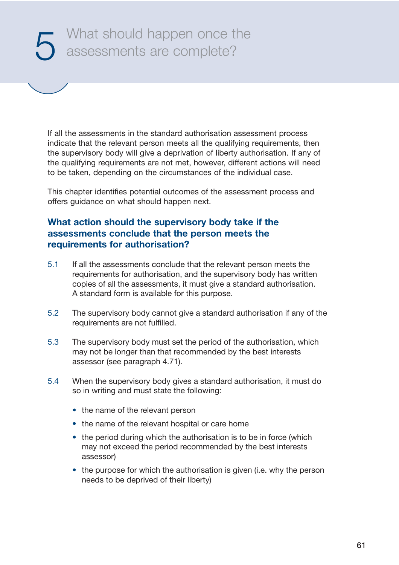If all the assessments in the standard authorisation assessment process indicate that the relevant person meets all the qualifying requirements, then the supervisory body will give a deprivation of liberty authorisation. If any of the qualifying requirements are not met, however, different actions will need to be taken, depending on the circumstances of the individual case.

This chapter identifies potential outcomes of the assessment process and offers guidance on what should happen next.

## **What action should the supervisory body take if the assessments conclude that the person meets the requirements for authorisation?**

- 5.1 If all the assessments conclude that the relevant person meets the requirements for authorisation, and the supervisory body has written copies of all the assessments, it must give a standard authorisation. A standard form is available for this purpose.
- 5.2 The supervisory body cannot give a standard authorisation if any of the requirements are not fulfilled.
- 5.3 The supervisory body must set the period of the authorisation, which may not be longer than that recommended by the best interests assessor (see paragraph 4.71).
- 5.4 When the supervisory body gives a standard authorisation, it must do so in writing and must state the following:
	- the name of the relevant person
	- the name of the relevant hospital or care home
	- the period during which the authorisation is to be in force (which may not exceed the period recommended by the best interests assessor)
	- the purpose for which the authorisation is given (i.e. why the person needs to be deprived of their liberty)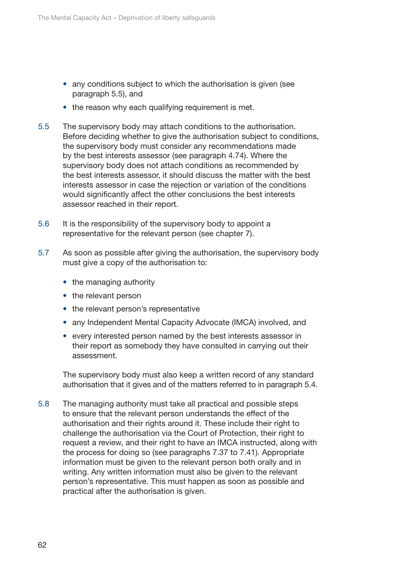- any conditions subject to which the authorisation is given (see paragraph 5.5), and
- the reason why each qualifying requirement is met.
- 5.5 The supervisory body may attach conditions to the authorisation. Before deciding whether to give the authorisation subject to conditions, the supervisory body must consider any recommendations made by the best interests assessor (see paragraph 4.74). Where the supervisory body does not attach conditions as recommended by the best interests assessor, it should discuss the matter with the best interests assessor in case the rejection or variation of the conditions would significantly affect the other conclusions the best interests assessor reached in their report.
- 5.6 It is the responsibility of the supervisory body to appoint a representative for the relevant person (see chapter 7).
- 5.7 As soon as possible after giving the authorisation, the supervisory body must give a copy of the authorisation to:
	- $\bullet$  the managing authority
	- the relevant person
	- the relevant person's representative
	- any Independent Mental Capacity Advocate (IMCA) involved, and
	- every interested person named by the best interests assessor in their report as somebody they have consulted in carrying out their assessment.

The supervisory body must also keep a written record of any standard authorisation that it gives and of the matters referred to in paragraph 5.4.

5.8 The managing authority must take all practical and possible steps to ensure that the relevant person understands the effect of the authorisation and their rights around it. These include their right to challenge the authorisation via the Court of Protection, their right to request a review, and their right to have an IMCA instructed, along with the process for doing so (see paragraphs 7.37 to 7.41). Appropriate information must be given to the relevant person both orally and in writing. Any written information must also be given to the relevant person's representative. This must happen as soon as possible and practical after the authorisation is given.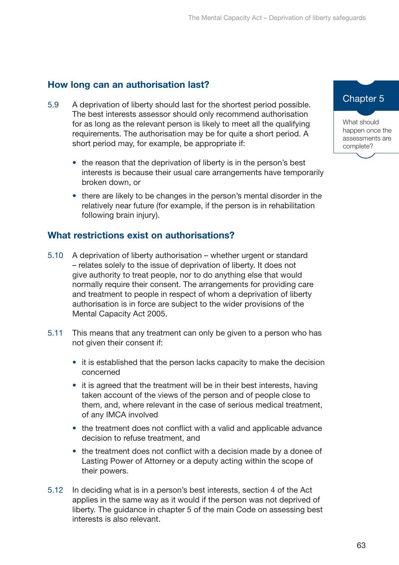## **How long can an authorisation last?**

- 5.9 A deprivation of liberty should last for the shortest period possible. The best interests assessor should only recommend authorisation for as long as the relevant person is likely to meet all the qualifying requirements. The authorisation may be for quite a short period. A short period may, for example, be appropriate if:
	- the reason that the deprivation of liberty is in the person's best interests is because their usual care arrangements have temporarily broken down, or
	- there are likely to be changes in the person's mental disorder in the relatively near future (for example, if the person is in rehabilitation following brain injury).

### **What restrictions exist on authorisations?**

- 5.10 A deprivation of liberty authorisation whether urgent or standard – relates solely to the issue of deprivation of liberty. It does not give authority to treat people, nor to do anything else that would normally require their consent. The arrangements for providing care and treatment to people in respect of whom a deprivation of liberty authorisation is in force are subject to the wider provisions of the Mental Capacity Act 2005.
- 5.11 This means that any treatment can only be given to a person who has not given their consent if:
	- it is established that the person lacks capacity to make the decision concerned
	- it is agreed that the treatment will be in their best interests, having taken account of the views of the person and of people close to them, and, where relevant in the case of serious medical treatment, of any IMCA involved
	- the treatment does not conflict with a valid and applicable advance decision to refuse treatment, and
	- the treatment does not conflict with a decision made by a donee of Lasting Power of Attorney or a deputy acting within the scope of their powers.
- 5.12 In deciding what is in a person's best interests, section 4 of the Act applies in the same way as it would if the person was not deprived of liberty. The guidance in chapter 5 of the main Code on assessing best interests is also relevant.

# Chapter 5

What should happen once the assessments are complete?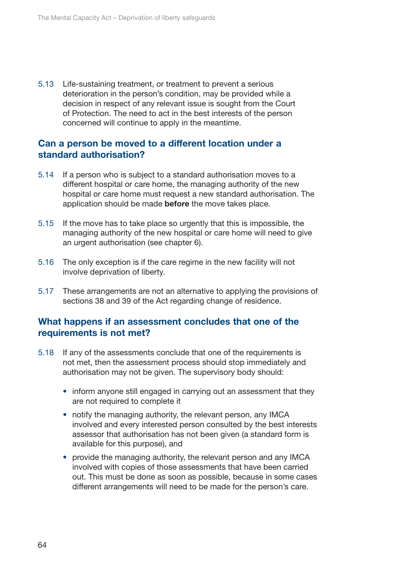5.13 Life-sustaining treatment, or treatment to prevent a serious deterioration in the person's condition, may be provided while a decision in respect of any relevant issue is sought from the Court of Protection. The need to act in the best interests of the person concerned will continue to apply in the meantime.

### **Can a person be moved to a different location under a standard authorisation?**

- 5.14 If a person who is subject to a standard authorisation moves to a different hospital or care home, the managing authority of the new hospital or care home must request a new standard authorisation. The application should be made **before** the move takes place.
- 5.15 If the move has to take place so urgently that this is impossible, the managing authority of the new hospital or care home will need to give an urgent authorisation (see chapter 6).
- 5.16 The only exception is if the care regime in the new facility will not involve deprivation of liberty.
- 5.17 These arrangements are not an alternative to applying the provisions of sections 38 and 39 of the Act regarding change of residence.

### **What happens if an assessment concludes that one of the requirements is not met?**

- 5.18 If any of the assessments conclude that one of the requirements is not met, then the assessment process should stop immediately and authorisation may not be given. The supervisory body should:
	- inform anyone still engaged in carrying out an assessment that they are not required to complete it
	- notify the managing authority, the relevant person, any IMCA involved and every interested person consulted by the best interests assessor that authorisation has not been given (a standard form is available for this purpose), and
	- provide the managing authority, the relevant person and any IMCA involved with copies of those assessments that have been carried out. This must be done as soon as possible, because in some cases different arrangements will need to be made for the person's care.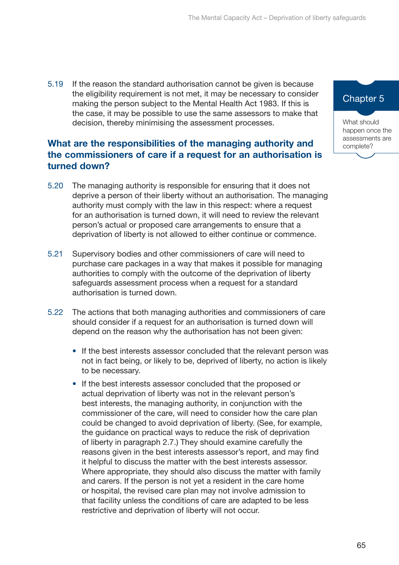5.19 If the reason the standard authorisation cannot be given is because the eligibility requirement is not met, it may be necessary to consider making the person subject to the Mental Health Act 1983. If this is the case, it may be possible to use the same assessors to make that decision, thereby minimising the assessment processes.

## **What are the responsibilities of the managing authority and the commissioners of care if a request for an authorisation is turned down?**

- 5.20 The managing authority is responsible for ensuring that it does not deprive a person of their liberty without an authorisation. The managing authority must comply with the law in this respect: where a request for an authorisation is turned down, it will need to review the relevant person's actual or proposed care arrangements to ensure that a deprivation of liberty is not allowed to either continue or commence.
- 5.21 Supervisory bodies and other commissioners of care will need to purchase care packages in a way that makes it possible for managing authorities to comply with the outcome of the deprivation of liberty safeguards assessment process when a request for a standard authorisation is turned down.
- 5.22 The actions that both managing authorities and commissioners of care should consider if a request for an authorisation is turned down will depend on the reason why the authorisation has not been given:
	- If the best interests assessor concluded that the relevant person was not in fact being, or likely to be, deprived of liberty, no action is likely to be necessary.
	- If the best interests assessor concluded that the proposed or actual deprivation of liberty was not in the relevant person's best interests, the managing authority, in conjunction with the commissioner of the care, will need to consider how the care plan could be changed to avoid deprivation of liberty. (See, for example, the guidance on practical ways to reduce the risk of deprivation of liberty in paragraph 2.7.) They should examine carefully the reasons given in the best interests assessor's report, and may find it helpful to discuss the matter with the best interests assessor. Where appropriate, they should also discuss the matter with family and carers. If the person is not yet a resident in the care home or hospital, the revised care plan may not involve admission to that facility unless the conditions of care are adapted to be less restrictive and deprivation of liberty will not occur.

# Chapter 5

What should happen once the assessments are complete?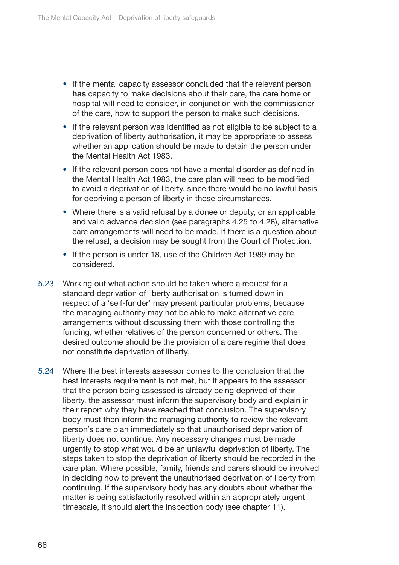- If the mental capacity assessor concluded that the relevant person **has** capacity to make decisions about their care, the care home or hospital will need to consider, in conjunction with the commissioner of the care, how to support the person to make such decisions.
- If the relevant person was identified as not eligible to be subject to a deprivation of liberty authorisation, it may be appropriate to assess whether an application should be made to detain the person under the Mental Health Act 1983.
- If the relevant person does not have a mental disorder as defined in the Mental Health Act 1983, the care plan will need to be modified to avoid a deprivation of liberty, since there would be no lawful basis for depriving a person of liberty in those circumstances.
- Where there is a valid refusal by a donee or deputy, or an applicable and valid advance decision (see paragraphs 4.25 to 4.28), alternative care arrangements will need to be made. If there is a question about the refusal, a decision may be sought from the Court of Protection.
- If the person is under 18, use of the Children Act 1989 may be considered.
- 5.23 Working out what action should be taken where a request for a standard deprivation of liberty authorisation is turned down in respect of a 'self-funder' may present particular problems, because the managing authority may not be able to make alternative care arrangements without discussing them with those controlling the funding, whether relatives of the person concerned or others. The desired outcome should be the provision of a care regime that does not constitute deprivation of liberty.
- 5.24 Where the best interests assessor comes to the conclusion that the best interests requirement is not met, but it appears to the assessor that the person being assessed is already being deprived of their liberty, the assessor must inform the supervisory body and explain in their report why they have reached that conclusion. The supervisory body must then inform the managing authority to review the relevant person's care plan immediately so that unauthorised deprivation of liberty does not continue. Any necessary changes must be made urgently to stop what would be an unlawful deprivation of liberty. The steps taken to stop the deprivation of liberty should be recorded in the care plan. Where possible, family, friends and carers should be involved in deciding how to prevent the unauthorised deprivation of liberty from continuing. If the supervisory body has any doubts about whether the matter is being satisfactorily resolved within an appropriately urgent timescale, it should alert the inspection body (see chapter 11).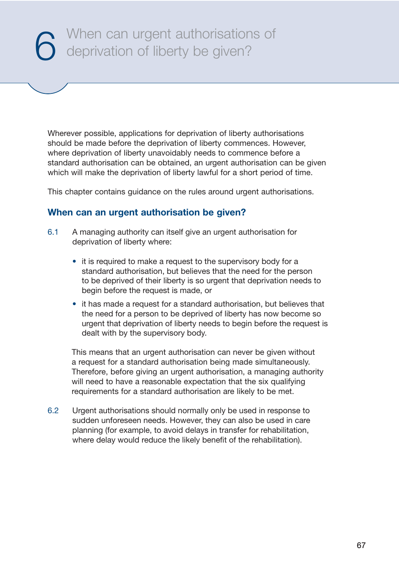

Wherever possible, applications for deprivation of liberty authorisations should be made before the deprivation of liberty commences. However, where deprivation of liberty unavoidably needs to commence before a standard authorisation can be obtained, an urgent authorisation can be given which will make the deprivation of liberty lawful for a short period of time.

This chapter contains guidance on the rules around urgent authorisations.

### **When can an urgent authorisation be given?**

- 6.1 A managing authority can itself give an urgent authorisation for deprivation of liberty where:
	- it is required to make a request to the supervisory body for a standard authorisation, but believes that the need for the person to be deprived of their liberty is so urgent that deprivation needs to begin before the request is made, or
	- it has made a request for a standard authorisation, but believes that the need for a person to be deprived of liberty has now become so urgent that deprivation of liberty needs to begin before the request is dealt with by the supervisory body.

 This means that an urgent authorisation can never be given without a request for a standard authorisation being made simultaneously. Therefore, before giving an urgent authorisation, a managing authority will need to have a reasonable expectation that the six qualifying requirements for a standard authorisation are likely to be met.

6.2 Urgent authorisations should normally only be used in response to sudden unforeseen needs. However, they can also be used in care planning (for example, to avoid delays in transfer for rehabilitation, where delay would reduce the likely benefit of the rehabilitation).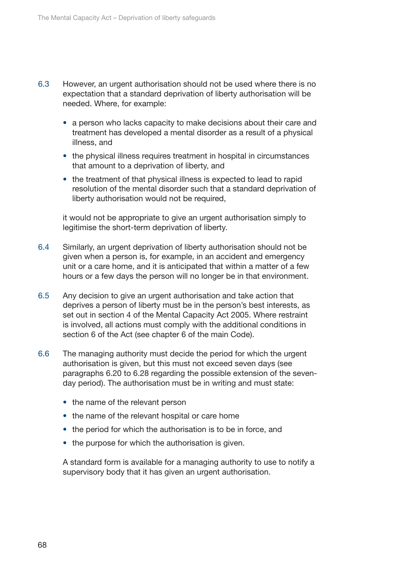- 6.3 However, an urgent authorisation should not be used where there is no expectation that a standard deprivation of liberty authorisation will be needed. Where, for example:
	- a person who lacks capacity to make decisions about their care and treatment has developed a mental disorder as a result of a physical illness, and
	- the physical illness requires treatment in hospital in circumstances that amount to a deprivation of liberty, and
	- the treatment of that physical illness is expected to lead to rapid resolution of the mental disorder such that a standard deprivation of liberty authorisation would not be required,

it would not be appropriate to give an urgent authorisation simply to legitimise the short-term deprivation of liberty.

- 6.4 Similarly, an urgent deprivation of liberty authorisation should not be given when a person is, for example, in an accident and emergency unit or a care home, and it is anticipated that within a matter of a few hours or a few days the person will no longer be in that environment.
- 6.5 Any decision to give an urgent authorisation and take action that deprives a person of liberty must be in the person's best interests, as set out in section 4 of the Mental Capacity Act 2005. Where restraint is involved, all actions must comply with the additional conditions in section 6 of the Act (see chapter 6 of the main Code).
- 6.6 The managing authority must decide the period for which the urgent authorisation is given, but this must not exceed seven days (see paragraphs 6.20 to 6.28 regarding the possible extension of the sevenday period). The authorisation must be in writing and must state:
	- the name of the relevant person
	- the name of the relevant hospital or care home
	- the period for which the authorisation is to be in force, and
	- the purpose for which the authorisation is given.

A standard form is available for a managing authority to use to notify a supervisory body that it has given an urgent authorisation.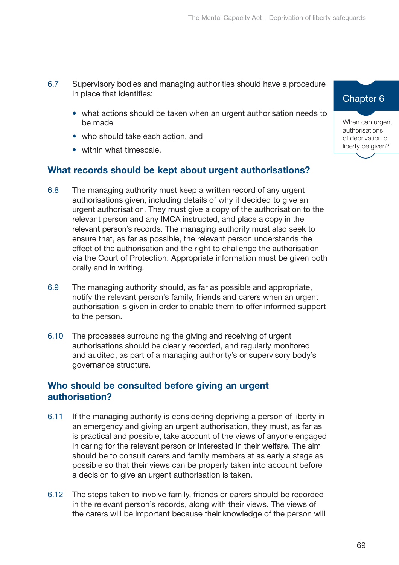- 6.7 Supervisory bodies and managing authorities should have a procedure in place that identifies:
	- what actions should be taken when an urgent authorisation needs to be made
	- who should take each action, and
	- within what timescale.

## **What records should be kept about urgent authorisations?**

- 6.8 The managing authority must keep a written record of any urgent authorisations given, including details of why it decided to give an urgent authorisation. They must give a copy of the authorisation to the relevant person and any IMCA instructed, and place a copy in the relevant person's records. The managing authority must also seek to ensure that, as far as possible, the relevant person understands the effect of the authorisation and the right to challenge the authorisation via the Court of Protection. Appropriate information must be given both orally and in writing.
- 6.9 The managing authority should, as far as possible and appropriate, notify the relevant person's family, friends and carers when an urgent authorisation is given in order to enable them to offer informed support to the person.
- 6.10 The processes surrounding the giving and receiving of urgent authorisations should be clearly recorded, and regularly monitored and audited, as part of a managing authority's or supervisory body's governance structure.

## **Who should be consulted before giving an urgent authorisation?**

- 6.11 If the managing authority is considering depriving a person of liberty in an emergency and giving an urgent authorisation, they must, as far as is practical and possible, take account of the views of anyone engaged in caring for the relevant person or interested in their welfare. The aim should be to consult carers and family members at as early a stage as possible so that their views can be properly taken into account before a decision to give an urgent authorisation is taken.
- 6.12 The steps taken to involve family, friends or carers should be recorded in the relevant person's records, along with their views. The views of the carers will be important because their knowledge of the person will

# Chapter 6

When can urgent authorisations of deprivation of liberty be given?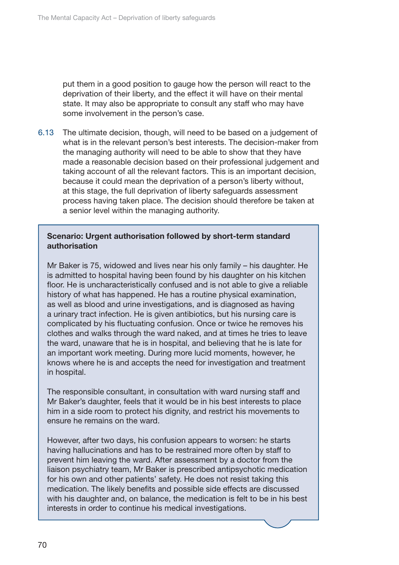put them in a good position to gauge how the person will react to the deprivation of their liberty, and the effect it will have on their mental state. It may also be appropriate to consult any staff who may have some involvement in the person's case.

6.13 The ultimate decision, though, will need to be based on a judgement of what is in the relevant person's best interests. The decision-maker from the managing authority will need to be able to show that they have made a reasonable decision based on their professional judgement and taking account of all the relevant factors. This is an important decision, because it could mean the deprivation of a person's liberty without, at this stage, the full deprivation of liberty safeguards assessment process having taken place. The decision should therefore be taken at a senior level within the managing authority.

#### **Scenario: Urgent authorisation followed by short-term standard authorisation**

Mr Baker is 75, widowed and lives near his only family – his daughter. He is admitted to hospital having been found by his daughter on his kitchen floor. He is uncharacteristically confused and is not able to give a reliable history of what has happened. He has a routine physical examination, as well as blood and urine investigations, and is diagnosed as having a urinary tract infection. He is given antibiotics, but his nursing care is complicated by his fluctuating confusion. Once or twice he removes his clothes and walks through the ward naked, and at times he tries to leave the ward, unaware that he is in hospital, and believing that he is late for an important work meeting. During more lucid moments, however, he knows where he is and accepts the need for investigation and treatment in hospital.

The responsible consultant, in consultation with ward nursing staff and Mr Baker's daughter, feels that it would be in his best interests to place him in a side room to protect his dignity, and restrict his movements to ensure he remains on the ward.

However, after two days, his confusion appears to worsen: he starts having hallucinations and has to be restrained more often by staff to prevent him leaving the ward. After assessment by a doctor from the liaison psychiatry team, Mr Baker is prescribed antipsychotic medication for his own and other patients' safety. He does not resist taking this medication. The likely benefits and possible side effects are discussed with his daughter and, on balance, the medication is felt to be in his best interests in order to continue his medical investigations.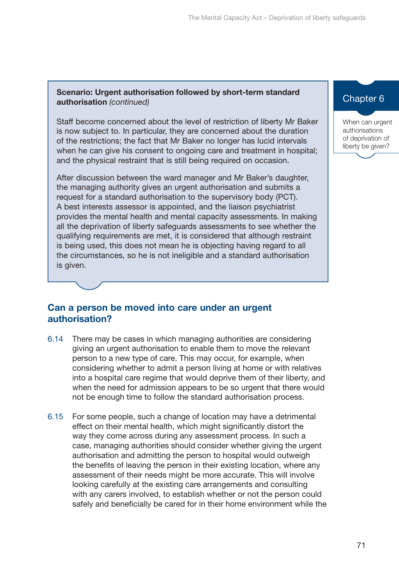#### **Scenario: Urgent authorisation followed by short-term standard authorisation** *(continued)*

Staff become concerned about the level of restriction of liberty Mr Baker is now subject to. In particular, they are concerned about the duration of the restrictions; the fact that Mr Baker no longer has lucid intervals when he can give his consent to ongoing care and treatment in hospital; and the physical restraint that is still being required on occasion.

After discussion between the ward manager and Mr Baker's daughter, the managing authority gives an urgent authorisation and submits a request for a standard authorisation to the supervisory body (PCT). A best interests assessor is appointed, and the liaison psychiatrist provides the mental health and mental capacity assessments. In making all the deprivation of liberty safeguards assessments to see whether the qualifying requirements are met, it is considered that although restraint is being used, this does not mean he is objecting having regard to all the circumstances, so he is not ineligible and a standard authorisation is given.

# Chapter 6

When can urgent authorisations of deprivation of liberty be given?

## **Can a person be moved into care under an urgent authorisation?**

- 6.14 There may be cases in which managing authorities are considering giving an urgent authorisation to enable them to move the relevant person to a new type of care. This may occur, for example, when considering whether to admit a person living at home or with relatives into a hospital care regime that would deprive them of their liberty, and when the need for admission appears to be so urgent that there would not be enough time to follow the standard authorisation process.
- 6.15 For some people, such a change of location may have a detrimental effect on their mental health, which might significantly distort the way they come across during any assessment process. In such a case, managing authorities should consider whether giving the urgent authorisation and admitting the person to hospital would outweigh the benefits of leaving the person in their existing location, where any assessment of their needs might be more accurate. This will involve looking carefully at the existing care arrangements and consulting with any carers involved, to establish whether or not the person could safely and beneficially be cared for in their home environment while the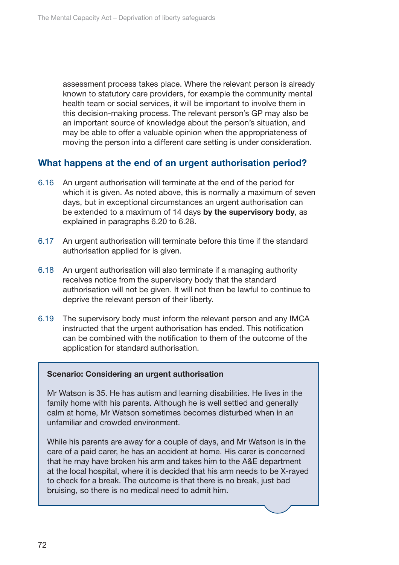assessment process takes place. Where the relevant person is already known to statutory care providers, for example the community mental health team or social services, it will be important to involve them in this decision-making process. The relevant person's GP may also be an important source of knowledge about the person's situation, and may be able to offer a valuable opinion when the appropriateness of moving the person into a different care setting is under consideration.

## **What happens at the end of an urgent authorisation period?**

- 6.16 An urgent authorisation will terminate at the end of the period for which it is given. As noted above, this is normally a maximum of seven days, but in exceptional circumstances an urgent authorisation can be extended to a maximum of 14 days **by the supervisory body**, as explained in paragraphs 6.20 to 6.28.
- 6.17 An urgent authorisation will terminate before this time if the standard authorisation applied for is given.
- 6.18 An urgent authorisation will also terminate if a managing authority receives notice from the supervisory body that the standard authorisation will not be given. It will not then be lawful to continue to deprive the relevant person of their liberty.
- 6.19 The supervisory body must inform the relevant person and any IMCA instructed that the urgent authorisation has ended. This notification can be combined with the notification to them of the outcome of the application for standard authorisation.

#### **Scenario: Considering an urgent authorisation**

Mr Watson is 35. He has autism and learning disabilities. He lives in the family home with his parents. Although he is well settled and generally calm at home, Mr Watson sometimes becomes disturbed when in an unfamiliar and crowded environment.

While his parents are away for a couple of days, and Mr Watson is in the care of a paid carer, he has an accident at home. His carer is concerned that he may have broken his arm and takes him to the A&E department at the local hospital, where it is decided that his arm needs to be X-rayed to check for a break. The outcome is that there is no break, just bad bruising, so there is no medical need to admit him.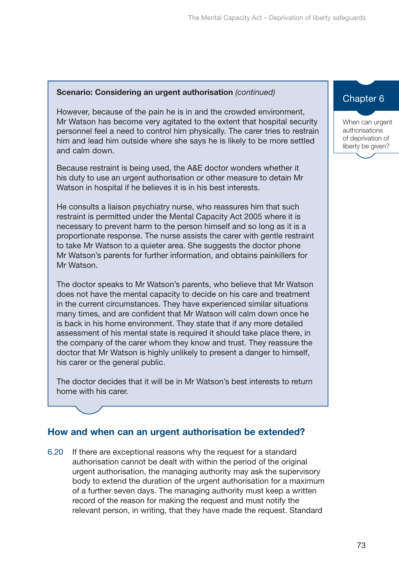#### **Scenario: Considering an urgent authorisation** *(continued)*

However, because of the pain he is in and the crowded environment, Mr Watson has become very agitated to the extent that hospital security personnel feel a need to control him physically. The carer tries to restrain him and lead him outside where she says he is likely to be more settled and calm down.

Because restraint is being used, the A&E doctor wonders whether it his duty to use an urgent authorisation or other measure to detain Mr Watson in hospital if he believes it is in his best interests.

He consults a liaison psychiatry nurse, who reassures him that such restraint is permitted under the Mental Capacity Act 2005 where it is necessary to prevent harm to the person himself and so long as it is a proportionate response. The nurse assists the carer with gentle restraint to take Mr Watson to a quieter area. She suggests the doctor phone Mr Watson's parents for further information, and obtains painkillers for Mr Watson.

The doctor speaks to Mr Watson's parents, who believe that Mr Watson does not have the mental capacity to decide on his care and treatment in the current circumstances. They have experienced similar situations many times, and are confident that Mr Watson will calm down once he is back in his home environment. They state that if any more detailed assessment of his mental state is required it should take place there, in the company of the carer whom they know and trust. They reassure the doctor that Mr Watson is highly unlikely to present a danger to himself, his carer or the general public.

The doctor decides that it will be in Mr Watson's best interests to return home with his carer.

#### **How and when can an urgent authorisation be extended?**

6.20 If there are exceptional reasons why the request for a standard authorisation cannot be dealt with within the period of the original urgent authorisation, the managing authority may ask the supervisory body to extend the duration of the urgent authorisation for a maximum of a further seven days. The managing authority must keep a written record of the reason for making the request and must notify the relevant person, in writing, that they have made the request. Standard

## Chapter 6

When can urgent authorisations of deprivation of liberty be given?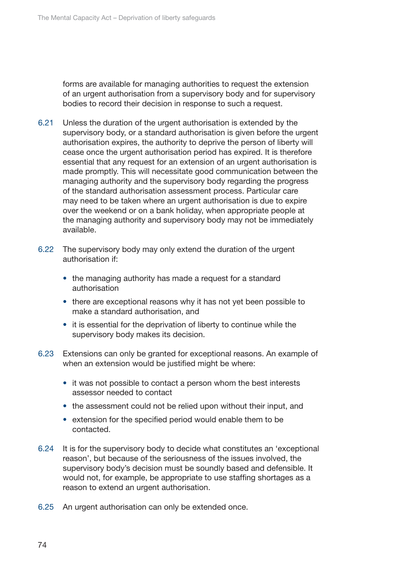forms are available for managing authorities to request the extension of an urgent authorisation from a supervisory body and for supervisory bodies to record their decision in response to such a request.

- 6.21 Unless the duration of the urgent authorisation is extended by the supervisory body, or a standard authorisation is given before the urgent authorisation expires, the authority to deprive the person of liberty will cease once the urgent authorisation period has expired. It is therefore essential that any request for an extension of an urgent authorisation is made promptly. This will necessitate good communication between the managing authority and the supervisory body regarding the progress of the standard authorisation assessment process. Particular care may need to be taken where an urgent authorisation is due to expire over the weekend or on a bank holiday, when appropriate people at the managing authority and supervisory body may not be immediately available.
- 6.22 The supervisory body may only extend the duration of the urgent authorisation if:
	- the managing authority has made a request for a standard authorisation
	- there are exceptional reasons why it has not yet been possible to make a standard authorisation, and
	- it is essential for the deprivation of liberty to continue while the supervisory body makes its decision.
- 6.23 Extensions can only be granted for exceptional reasons. An example of when an extension would be justified might be where:
	- it was not possible to contact a person whom the best interests assessor needed to contact
	- the assessment could not be relied upon without their input, and
	- extension for the specified period would enable them to be contacted.
- 6.24 It is for the supervisory body to decide what constitutes an 'exceptional reason', but because of the seriousness of the issues involved, the supervisory body's decision must be soundly based and defensible. It would not, for example, be appropriate to use staffing shortages as a reason to extend an urgent authorisation.
- 6.25 An urgent authorisation can only be extended once.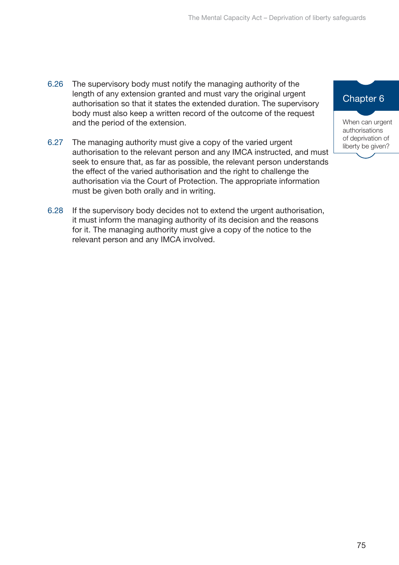- 6.26 The supervisory body must notify the managing authority of the length of any extension granted and must vary the original urgent authorisation so that it states the extended duration. The supervisory body must also keep a written record of the outcome of the request and the period of the extension.
- 6.27 The managing authority must give a copy of the varied urgent authorisation to the relevant person and any IMCA instructed, and must seek to ensure that, as far as possible, the relevant person understands the effect of the varied authorisation and the right to challenge the authorisation via the Court of Protection. The appropriate information must be given both orally and in writing.
- 6.28 If the supervisory body decides not to extend the urgent authorisation, it must inform the managing authority of its decision and the reasons for it. The managing authority must give a copy of the notice to the relevant person and any IMCA involved.

# Chapter 6

When can urgent authorisations of deprivation of liberty be given?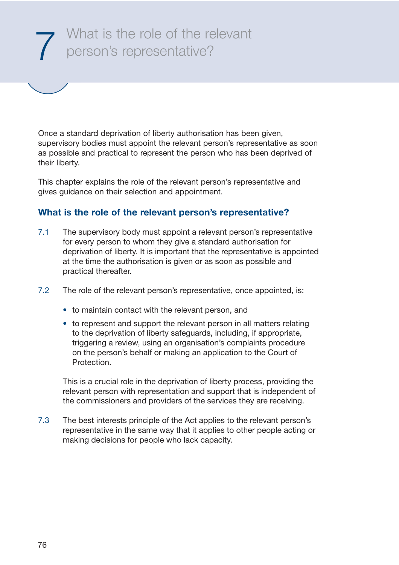Once a standard deprivation of liberty authorisation has been given, supervisory bodies must appoint the relevant person's representative as soon as possible and practical to represent the person who has been deprived of their liberty.

This chapter explains the role of the relevant person's representative and gives guidance on their selection and appointment.

## **What is the role of the relevant person's representative?**

- 7.1 The supervisory body must appoint a relevant person's representative for every person to whom they give a standard authorisation for deprivation of liberty. It is important that the representative is appointed at the time the authorisation is given or as soon as possible and practical thereafter.
- 7.2 The role of the relevant person's representative, once appointed, is:
	- to maintain contact with the relevant person, and
	- to represent and support the relevant person in all matters relating to the deprivation of liberty safeguards, including, if appropriate, triggering a review, using an organisation's complaints procedure on the person's behalf or making an application to the Court of Protection.

This is a crucial role in the deprivation of liberty process, providing the relevant person with representation and support that is independent of the commissioners and providers of the services they are receiving.

7.3 The best interests principle of the Act applies to the relevant person's representative in the same way that it applies to other people acting or making decisions for people who lack capacity.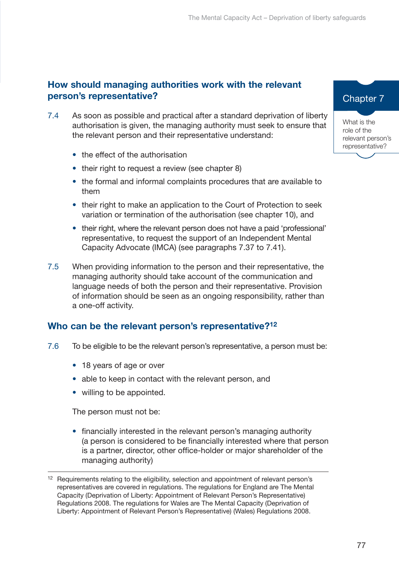## **How should managing authorities work with the relevant person's representative?**

- 7.4 As soon as possible and practical after a standard deprivation of liberty authorisation is given, the managing authority must seek to ensure that the relevant person and their representative understand:
	- $\bullet$  the effect of the authorisation
	- $\bullet$  their right to request a review (see chapter 8)
	- the formal and informal complaints procedures that are available to them
	- their right to make an application to the Court of Protection to seek variation or termination of the authorisation (see chapter 10), and
	- their right, where the relevant person does not have a paid 'professional' representative, to request the support of an Independent Mental Capacity Advocate (IMCA) (see paragraphs 7.37 to 7.41).
- 7.5 When providing information to the person and their representative, the managing authority should take account of the communication and language needs of both the person and their representative. Provision of information should be seen as an ongoing responsibility, rather than a one-off activity.

## **Who can be the relevant person's representative?12**

- 7.6 To be eligible to be the relevant person's representative, a person must be:
	- 18 years of age or over
	- able to keep in contact with the relevant person, and
	- willing to be appointed.

The person must not be:

• financially interested in the relevant person's managing authority (a person is considered to be financially interested where that person is a partner, director, other office-holder or major shareholder of the managing authority)

# Chapter 7

What is the role of the relevant person's representative?

<sup>&</sup>lt;sup>12</sup> Requirements relating to the eligibility, selection and appointment of relevant person's representatives are covered in regulations. The regulations for England are The Mental Capacity (Deprivation of Liberty: Appointment of Relevant Person's Representative) Regulations 2008. The regulations for Wales are The Mental Capacity (Deprivation of Liberty: Appointment of Relevant Person's Representative) (Wales) Regulations 2008.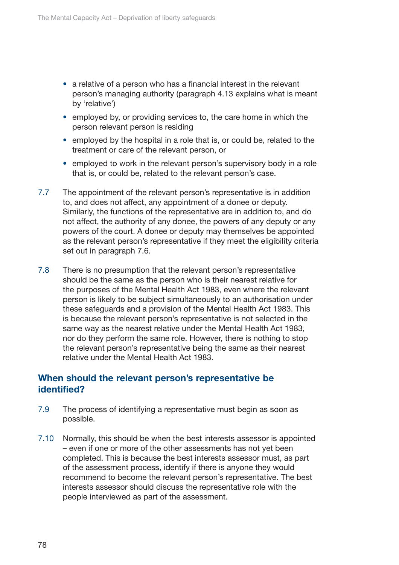- a relative of a person who has a financial interest in the relevant person's managing authority (paragraph 4.13 explains what is meant by 'relative')
- employed by, or providing services to, the care home in which the person relevant person is residing
- employed by the hospital in a role that is, or could be, related to the treatment or care of the relevant person, or
- employed to work in the relevant person's supervisory body in a role that is, or could be, related to the relevant person's case.
- 7.7 The appointment of the relevant person's representative is in addition to, and does not affect, any appointment of a donee or deputy. Similarly, the functions of the representative are in addition to, and do not affect, the authority of any donee, the powers of any deputy or any powers of the court. A donee or deputy may themselves be appointed as the relevant person's representative if they meet the eligibility criteria set out in paragraph 7.6.
- 7.8 There is no presumption that the relevant person's representative should be the same as the person who is their nearest relative for the purposes of the Mental Health Act 1983, even where the relevant person is likely to be subject simultaneously to an authorisation under these safeguards and a provision of the Mental Health Act 1983. This is because the relevant person's representative is not selected in the same way as the nearest relative under the Mental Health Act 1983, nor do they perform the same role. However, there is nothing to stop the relevant person's representative being the same as their nearest relative under the Mental Health Act 1983.

## **When should the relevant person's representative be identified?**

- 7.9 The process of identifying a representative must begin as soon as possible.
- 7.10 Normally, this should be when the best interests assessor is appointed – even if one or more of the other assessments has not yet been completed. This is because the best interests assessor must, as part of the assessment process, identify if there is anyone they would recommend to become the relevant person's representative. The best interests assessor should discuss the representative role with the people interviewed as part of the assessment.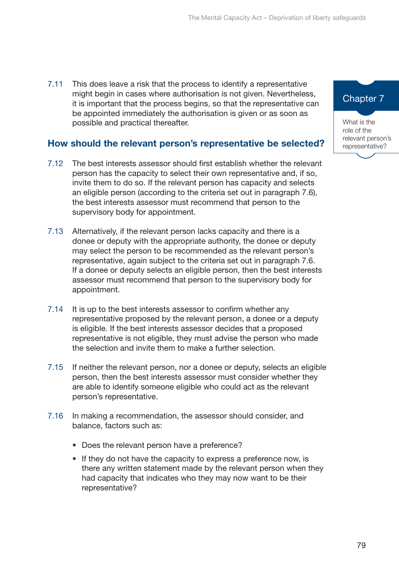7.11 This does leave a risk that the process to identify a representative might begin in cases where authorisation is not given. Nevertheless, it is important that the process begins, so that the representative can be appointed immediately the authorisation is given or as soon as possible and practical thereafter.

## **How should the relevant person's representative be selected?**

- 7.12 The best interests assessor should first establish whether the relevant person has the capacity to select their own representative and, if so, invite them to do so. If the relevant person has capacity and selects an eligible person (according to the criteria set out in paragraph 7.6), the best interests assessor must recommend that person to the supervisory body for appointment.
- 7.13 Alternatively, if the relevant person lacks capacity and there is a donee or deputy with the appropriate authority, the donee or deputy may select the person to be recommended as the relevant person's representative, again subject to the criteria set out in paragraph 7.6. If a donee or deputy selects an eligible person, then the best interests assessor must recommend that person to the supervisory body for appointment.
- 7.14 It is up to the best interests assessor to confirm whether any representative proposed by the relevant person, a donee or a deputy is eligible. If the best interests assessor decides that a proposed representative is not eligible, they must advise the person who made the selection and invite them to make a further selection.
- 7.15 If neither the relevant person, nor a donee or deputy, selects an eligible person, then the best interests assessor must consider whether they are able to identify someone eligible who could act as the relevant person's representative.
- 7.16 In making a recommendation, the assessor should consider, and balance, factors such as:
	- Does the relevant person have a preference?
	- If they do not have the capacity to express a preference now, is there any written statement made by the relevant person when they had capacity that indicates who they may now want to be their representative?

# Chapter 7

What is the role of the relevant person's representative?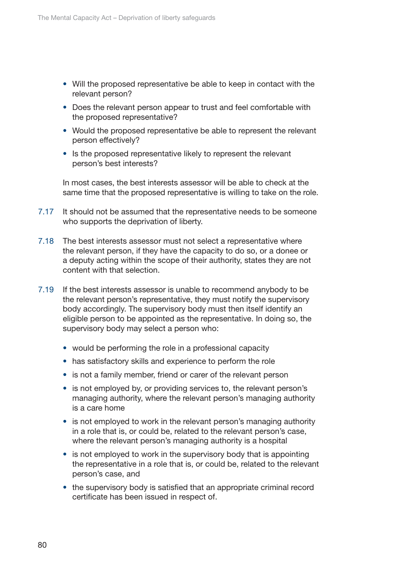- Will the proposed representative be able to keep in contact with the relevant person?
- Does the relevant person appear to trust and feel comfortable with the proposed representative?
- Would the proposed representative be able to represent the relevant person effectively?
- Is the proposed representative likely to represent the relevant person's best interests?

In most cases, the best interests assessor will be able to check at the same time that the proposed representative is willing to take on the role.

- 7.17 It should not be assumed that the representative needs to be someone who supports the deprivation of liberty.
- 7.18 The best interests assessor must not select a representative where the relevant person, if they have the capacity to do so, or a donee or a deputy acting within the scope of their authority, states they are not content with that selection.
- 7.19 If the best interests assessor is unable to recommend anybody to be the relevant person's representative, they must notify the supervisory body accordingly. The supervisory body must then itself identify an eligible person to be appointed as the representative. In doing so, the supervisory body may select a person who:
	- would be performing the role in a professional capacity
	- has satisfactory skills and experience to perform the role
	- is not a family member, friend or carer of the relevant person
	- is not employed by, or providing services to, the relevant person's managing authority, where the relevant person's managing authority is a care home
	- is not employed to work in the relevant person's managing authority in a role that is, or could be, related to the relevant person's case, where the relevant person's managing authority is a hospital
	- is not employed to work in the supervisory body that is appointing the representative in a role that is, or could be, related to the relevant person's case, and
	- the supervisory body is satisfied that an appropriate criminal record certificate has been issued in respect of.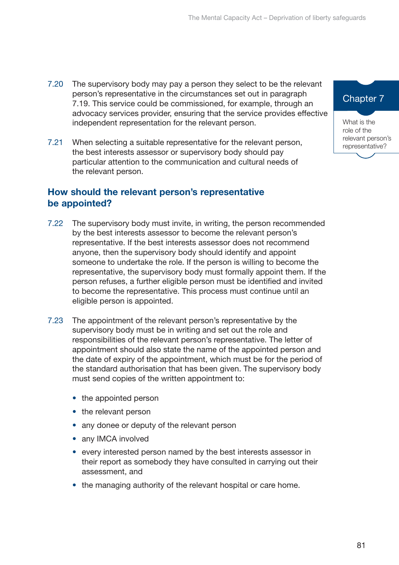- 7.20 The supervisory body may pay a person they select to be the relevant person's representative in the circumstances set out in paragraph 7.19. This service could be commissioned, for example, through an advocacy services provider, ensuring that the service provides effective independent representation for the relevant person.
- 7.21 When selecting a suitable representative for the relevant person, the best interests assessor or supervisory body should pay particular attention to the communication and cultural needs of the relevant person.

## **How should the relevant person's representative be appointed?**

- 7.22 The supervisory body must invite, in writing, the person recommended by the best interests assessor to become the relevant person's representative. If the best interests assessor does not recommend anyone, then the supervisory body should identify and appoint someone to undertake the role. If the person is willing to become the representative, the supervisory body must formally appoint them. If the person refuses, a further eligible person must be identified and invited to become the representative. This process must continue until an eligible person is appointed.
- 7.23 The appointment of the relevant person's representative by the supervisory body must be in writing and set out the role and responsibilities of the relevant person's representative. The letter of appointment should also state the name of the appointed person and the date of expiry of the appointment, which must be for the period of the standard authorisation that has been given. The supervisory body must send copies of the written appointment to:
	- $\bullet$  the appointed person
	- the relevant person
	- any donee or deputy of the relevant person
	- any IMCA involved
	- every interested person named by the best interests assessor in their report as somebody they have consulted in carrying out their assessment, and
	- the managing authority of the relevant hospital or care home.

# Chapter 7

What is the role of the relevant person's representative?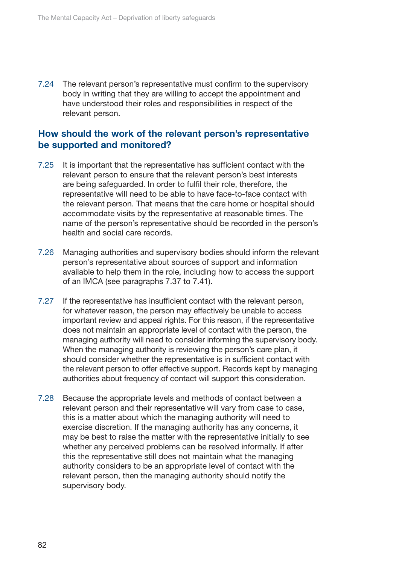7.24 The relevant person's representative must confirm to the supervisory body in writing that they are willing to accept the appointment and have understood their roles and responsibilities in respect of the relevant person.

## **How should the work of the relevant person's representative be supported and monitored?**

- 7.25 It is important that the representative has sufficient contact with the relevant person to ensure that the relevant person's best interests are being safeguarded. In order to fulfil their role, therefore, the representative will need to be able to have face-to-face contact with the relevant person. That means that the care home or hospital should accommodate visits by the representative at reasonable times. The name of the person's representative should be recorded in the person's health and social care records.
- 7.26 Managing authorities and supervisory bodies should inform the relevant person's representative about sources of support and information available to help them in the role, including how to access the support of an IMCA (see paragraphs 7.37 to 7.41).
- 7.27 If the representative has insufficient contact with the relevant person, for whatever reason, the person may effectively be unable to access important review and appeal rights. For this reason, if the representative does not maintain an appropriate level of contact with the person, the managing authority will need to consider informing the supervisory body. When the managing authority is reviewing the person's care plan, it should consider whether the representative is in sufficient contact with the relevant person to offer effective support. Records kept by managing authorities about frequency of contact will support this consideration.
- 7.28 Because the appropriate levels and methods of contact between a relevant person and their representative will vary from case to case, this is a matter about which the managing authority will need to exercise discretion. If the managing authority has any concerns, it may be best to raise the matter with the representative initially to see whether any perceived problems can be resolved informally. If after this the representative still does not maintain what the managing authority considers to be an appropriate level of contact with the relevant person, then the managing authority should notify the supervisory body.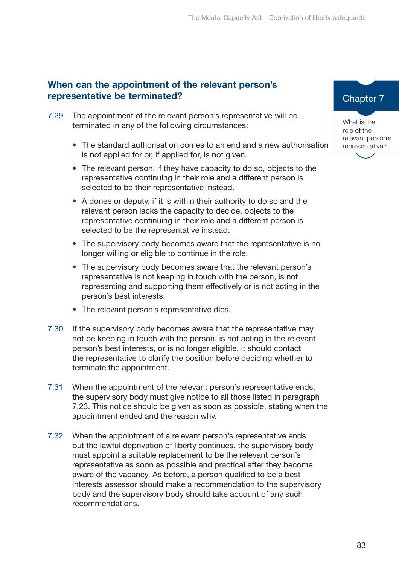## **When can the appointment of the relevant person's representative be terminated?**

- 7.29 The appointment of the relevant person's representative will be terminated in any of the following circumstances:
	- The standard authorisation comes to an end and a new authorisation is not applied for or, if applied for, is not given.
	- The relevant person, if they have capacity to do so, objects to the representative continuing in their role and a different person is selected to be their representative instead.
	- A donee or deputy, if it is within their authority to do so and the relevant person lacks the capacity to decide, objects to the representative continuing in their role and a different person is selected to be the representative instead.
	- The supervisory body becomes aware that the representative is no longer willing or eligible to continue in the role.
	- The supervisory body becomes aware that the relevant person's representative is not keeping in touch with the person, is not representing and supporting them effectively or is not acting in the person's best interests.
	- The relevant person's representative dies.
- 7.30 If the supervisory body becomes aware that the representative may not be keeping in touch with the person, is not acting in the relevant person's best interests, or is no longer eligible, it should contact the representative to clarify the position before deciding whether to terminate the appointment.
- 7.31 When the appointment of the relevant person's representative ends, the supervisory body must give notice to all those listed in paragraph 7.23. This notice should be given as soon as possible, stating when the appointment ended and the reason why.
- 7.32 When the appointment of a relevant person's representative ends but the lawful deprivation of liberty continues, the supervisory body must appoint a suitable replacement to be the relevant person's representative as soon as possible and practical after they become aware of the vacancy. As before, a person qualified to be a best interests assessor should make a recommendation to the supervisory body and the supervisory body should take account of any such recommendations.

# Chapter 7

What is the role of the relevant person's representative?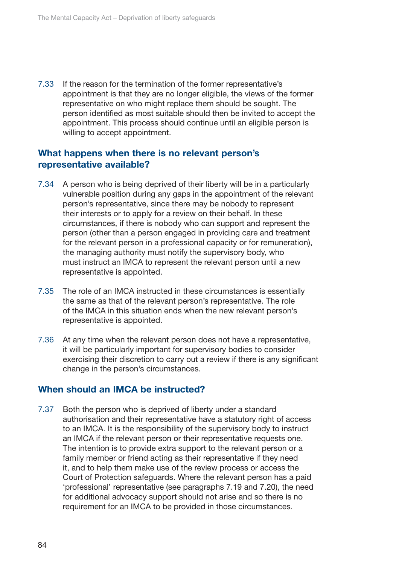7.33 If the reason for the termination of the former representative's appointment is that they are no longer eligible, the views of the former representative on who might replace them should be sought. The person identified as most suitable should then be invited to accept the appointment. This process should continue until an eligible person is willing to accept appointment.

## **What happens when there is no relevant person's representative available?**

- 7.34 A person who is being deprived of their liberty will be in a particularly vulnerable position during any gaps in the appointment of the relevant person's representative, since there may be nobody to represent their interests or to apply for a review on their behalf. In these circumstances, if there is nobody who can support and represent the person (other than a person engaged in providing care and treatment for the relevant person in a professional capacity or for remuneration), the managing authority must notify the supervisory body, who must instruct an IMCA to represent the relevant person until a new representative is appointed.
- 7.35 The role of an IMCA instructed in these circumstances is essentially the same as that of the relevant person's representative. The role of the IMCA in this situation ends when the new relevant person's representative is appointed.
- 7.36 At any time when the relevant person does not have a representative, it will be particularly important for supervisory bodies to consider exercising their discretion to carry out a review if there is any significant change in the person's circumstances.

## **When should an IMCA be instructed?**

7.37 Both the person who is deprived of liberty under a standard authorisation and their representative have a statutory right of access to an IMCA. It is the responsibility of the supervisory body to instruct an IMCA if the relevant person or their representative requests one. The intention is to provide extra support to the relevant person or a family member or friend acting as their representative if they need it, and to help them make use of the review process or access the Court of Protection safeguards. Where the relevant person has a paid 'professional' representative (see paragraphs 7.19 and 7.20), the need for additional advocacy support should not arise and so there is no requirement for an IMCA to be provided in those circumstances.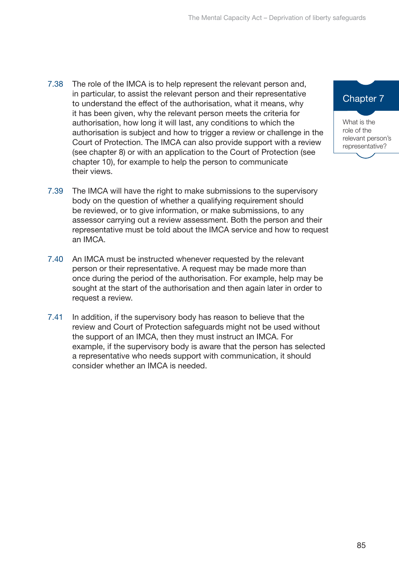- 7.38 The role of the IMCA is to help represent the relevant person and, in particular, to assist the relevant person and their representative to understand the effect of the authorisation, what it means, why it has been given, why the relevant person meets the criteria for authorisation, how long it will last, any conditions to which the authorisation is subject and how to trigger a review or challenge in the Court of Protection. The IMCA can also provide support with a review (see chapter 8) or with an application to the Court of Protection (see chapter 10), for example to help the person to communicate their views.
- 7.39 The IMCA will have the right to make submissions to the supervisory body on the question of whether a qualifying requirement should be reviewed, or to give information, or make submissions, to any assessor carrying out a review assessment. Both the person and their representative must be told about the IMCA service and how to request an IMCA.
- 7.40 An IMCA must be instructed whenever requested by the relevant person or their representative. A request may be made more than once during the period of the authorisation. For example, help may be sought at the start of the authorisation and then again later in order to request a review.
- 7.41 In addition, if the supervisory body has reason to believe that the review and Court of Protection safeguards might not be used without the support of an IMCA, then they must instruct an IMCA. For example, if the supervisory body is aware that the person has selected a representative who needs support with communication, it should consider whether an IMCA is needed.

# Chapter 7

What is the role of the relevant person's representative?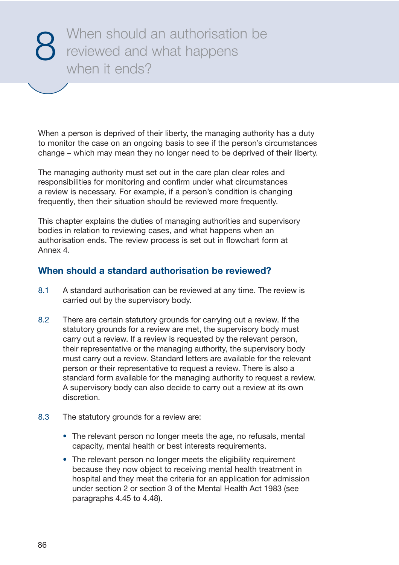When a person is deprived of their liberty, the managing authority has a duty to monitor the case on an ongoing basis to see if the person's circumstances change – which may mean they no longer need to be deprived of their liberty.

The managing authority must set out in the care plan clear roles and responsibilities for monitoring and confirm under what circumstances a review is necessary. For example, if a person's condition is changing frequently, then their situation should be reviewed more frequently.

This chapter explains the duties of managing authorities and supervisory bodies in relation to reviewing cases, and what happens when an authorisation ends. The review process is set out in flowchart form at Annex 4.

## **When should a standard authorisation be reviewed?**

- 8.1 A standard authorisation can be reviewed at any time. The review is carried out by the supervisory body.
- 8.2 There are certain statutory grounds for carrying out a review. If the statutory grounds for a review are met, the supervisory body must carry out a review. If a review is requested by the relevant person, their representative or the managing authority, the supervisory body must carry out a review. Standard letters are available for the relevant person or their representative to request a review. There is also a standard form available for the managing authority to request a review. A supervisory body can also decide to carry out a review at its own discretion.
- 8.3 The statutory grounds for a review are:
	- The relevant person no longer meets the age, no refusals, mental capacity, mental health or best interests requirements.
	- The relevant person no longer meets the eligibility requirement because they now object to receiving mental health treatment in hospital and they meet the criteria for an application for admission under section 2 or section 3 of the Mental Health Act 1983 (see paragraphs 4.45 to 4.48).

8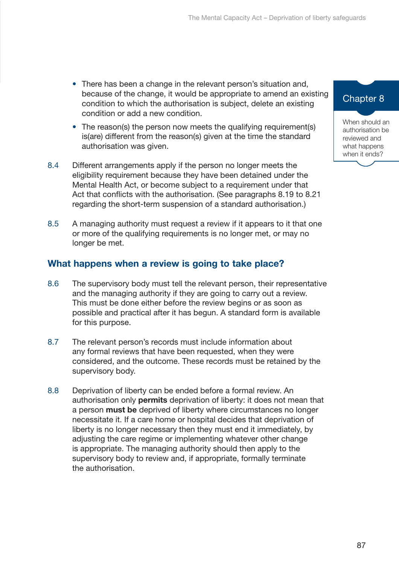- There has been a change in the relevant person's situation and, because of the change, it would be appropriate to amend an existing condition to which the authorisation is subject, delete an existing condition or add a new condition.
- The reason(s) the person now meets the qualifying requirement(s) is(are) different from the reason(s) given at the time the standard authorisation was given.
- 8.4 Different arrangements apply if the person no longer meets the eligibility requirement because they have been detained under the Mental Health Act, or become subject to a requirement under that Act that conflicts with the authorisation. (See paragraphs 8.19 to 8.21 regarding the short-term suspension of a standard authorisation.)
- 8.5 A managing authority must request a review if it appears to it that one or more of the qualifying requirements is no longer met, or may no longer be met.

## **What happens when a review is going to take place?**

- 8.6 The supervisory body must tell the relevant person, their representative and the managing authority if they are going to carry out a review. This must be done either before the review begins or as soon as possible and practical after it has begun. A standard form is available for this purpose.
- 8.7 The relevant person's records must include information about any formal reviews that have been requested, when they were considered, and the outcome. These records must be retained by the supervisory body.
- 8.8 Deprivation of liberty can be ended before a formal review. An authorisation only **permits** deprivation of liberty: it does not mean that a person **must be** deprived of liberty where circumstances no longer necessitate it. If a care home or hospital decides that deprivation of liberty is no longer necessary then they must end it immediately, by adjusting the care regime or implementing whatever other change is appropriate. The managing authority should then apply to the supervisory body to review and, if appropriate, formally terminate the authorisation.

# Chapter 8

When should an authorisation be reviewed and what happens when it ends?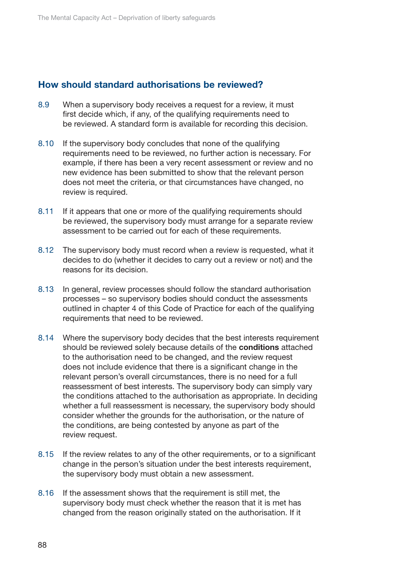### **How should standard authorisations be reviewed?**

- 8.9 When a supervisory body receives a request for a review, it must first decide which, if any, of the qualifying requirements need to be reviewed. A standard form is available for recording this decision.
- 8.10 If the supervisory body concludes that none of the qualifying requirements need to be reviewed, no further action is necessary. For example, if there has been a very recent assessment or review and no new evidence has been submitted to show that the relevant person does not meet the criteria, or that circumstances have changed, no review is required.
- 8.11 If it appears that one or more of the qualifying requirements should be reviewed, the supervisory body must arrange for a separate review assessment to be carried out for each of these requirements.
- 8.12 The supervisory body must record when a review is requested, what it decides to do (whether it decides to carry out a review or not) and the reasons for its decision.
- 8.13 In general, review processes should follow the standard authorisation processes – so supervisory bodies should conduct the assessments outlined in chapter 4 of this Code of Practice for each of the qualifying requirements that need to be reviewed.
- 8.14 Where the supervisory body decides that the best interests requirement should be reviewed solely because details of the **conditions** attached to the authorisation need to be changed, and the review request does not include evidence that there is a significant change in the relevant person's overall circumstances, there is no need for a full reassessment of best interests. The supervisory body can simply vary the conditions attached to the authorisation as appropriate. In deciding whether a full reassessment is necessary, the supervisory body should consider whether the grounds for the authorisation, or the nature of the conditions, are being contested by anyone as part of the review request.
- 8.15 If the review relates to any of the other requirements, or to a significant change in the person's situation under the best interests requirement, the supervisory body must obtain a new assessment.
- 8.16 If the assessment shows that the requirement is still met, the supervisory body must check whether the reason that it is met has changed from the reason originally stated on the authorisation. If it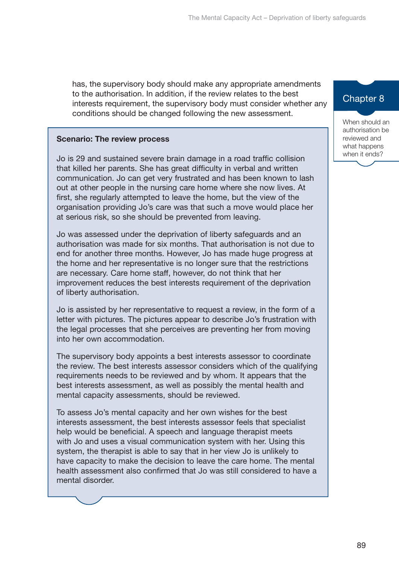has, the supervisory body should make any appropriate amendments to the authorisation. In addition, if the review relates to the best interests requirement, the supervisory body must consider whether any conditions should be changed following the new assessment.

#### **Scenario: The review process**

Jo is 29 and sustained severe brain damage in a road traffic collision that killed her parents. She has great difficulty in verbal and written communication. Jo can get very frustrated and has been known to lash out at other people in the nursing care home where she now lives. At first, she regularly attempted to leave the home, but the view of the organisation providing Jo's care was that such a move would place her at serious risk, so she should be prevented from leaving.

Jo was assessed under the deprivation of liberty safeguards and an authorisation was made for six months. That authorisation is not due to end for another three months. However, Jo has made huge progress at the home and her representative is no longer sure that the restrictions are necessary. Care home staff, however, do not think that her improvement reduces the best interests requirement of the deprivation of liberty authorisation.

Jo is assisted by her representative to request a review, in the form of a letter with pictures. The pictures appear to describe Jo's frustration with the legal processes that she perceives are preventing her from moving into her own accommodation.

The supervisory body appoints a best interests assessor to coordinate the review. The best interests assessor considers which of the qualifying requirements needs to be reviewed and by whom. It appears that the best interests assessment, as well as possibly the mental health and mental capacity assessments, should be reviewed.

To assess Jo's mental capacity and her own wishes for the best interests assessment, the best interests assessor feels that specialist help would be beneficial. A speech and language therapist meets with Jo and uses a visual communication system with her. Using this system, the therapist is able to say that in her view Jo is unlikely to have capacity to make the decision to leave the care home. The mental health assessment also confirmed that Jo was still considered to have a mental disorder.

# Chapter 8

When should an authorisation be reviewed and what happens when it ends?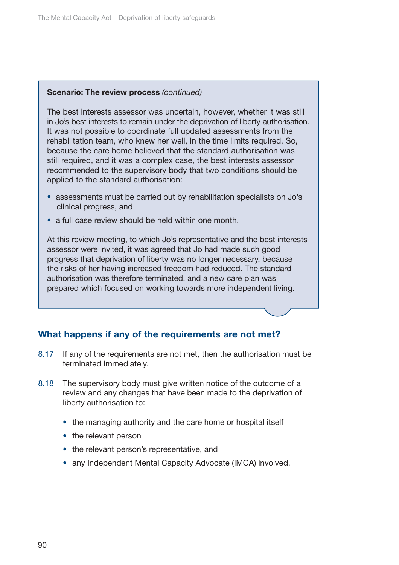#### **Scenario: The review process** *(continued)*

The best interests assessor was uncertain, however, whether it was still in Jo's best interests to remain under the deprivation of liberty authorisation. It was not possible to coordinate full updated assessments from the rehabilitation team, who knew her well, in the time limits required. So, because the care home believed that the standard authorisation was still required, and it was a complex case, the best interests assessor recommended to the supervisory body that two conditions should be applied to the standard authorisation:

- assessments must be carried out by rehabilitation specialists on Jo's clinical progress, and
- a full case review should be held within one month.

At this review meeting, to which Jo's representative and the best interests assessor were invited, it was agreed that Jo had made such good progress that deprivation of liberty was no longer necessary, because the risks of her having increased freedom had reduced. The standard authorisation was therefore terminated, and a new care plan was prepared which focused on working towards more independent living.

## **What happens if any of the requirements are not met?**

- 8.17 If any of the requirements are not met, then the authorisation must be terminated immediately.
- 8.18 The supervisory body must give written notice of the outcome of a review and any changes that have been made to the deprivation of liberty authorisation to:
	- the managing authority and the care home or hospital itself
	- the relevant person
	- the relevant person's representative, and
	- any Independent Mental Capacity Advocate (IMCA) involved.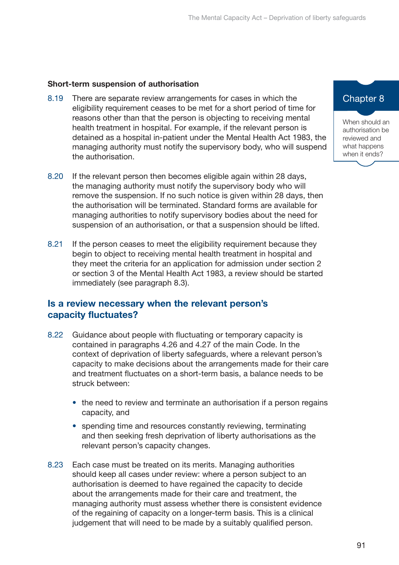#### **Short-term suspension of authorisation**

- 8.19 There are separate review arrangements for cases in which the eligibility requirement ceases to be met for a short period of time for reasons other than that the person is objecting to receiving mental health treatment in hospital. For example, if the relevant person is detained as a hospital in-patient under the Mental Health Act 1983, the managing authority must notify the supervisory body, who will suspend the authorisation.
- 8.20 If the relevant person then becomes eligible again within 28 days, the managing authority must notify the supervisory body who will remove the suspension. If no such notice is given within 28 days, then the authorisation will be terminated. Standard forms are available for managing authorities to notify supervisory bodies about the need for suspension of an authorisation, or that a suspension should be lifted.
- 8.21 If the person ceases to meet the eligibility requirement because they begin to object to receiving mental health treatment in hospital and they meet the criteria for an application for admission under section 2 or section 3 of the Mental Health Act 1983, a review should be started immediately (see paragraph 8.3).

## **Is a review necessary when the relevant person's capacity fluctuates?**

- 8.22 Guidance about people with fluctuating or temporary capacity is contained in paragraphs 4.26 and 4.27 of the main Code. In the context of deprivation of liberty safeguards, where a relevant person's capacity to make decisions about the arrangements made for their care and treatment fluctuates on a short-term basis, a balance needs to be struck between:
	- the need to review and terminate an authorisation if a person regains capacity, and
	- spending time and resources constantly reviewing, terminating and then seeking fresh deprivation of liberty authorisations as the relevant person's capacity changes.
- 8.23 Each case must be treated on its merits. Managing authorities should keep all cases under review: where a person subject to an authorisation is deemed to have regained the capacity to decide about the arrangements made for their care and treatment, the managing authority must assess whether there is consistent evidence of the regaining of capacity on a longer-term basis. This is a clinical judgement that will need to be made by a suitably qualified person.

## Chapter 8

When should an authorisation be reviewed and what happens when it ends?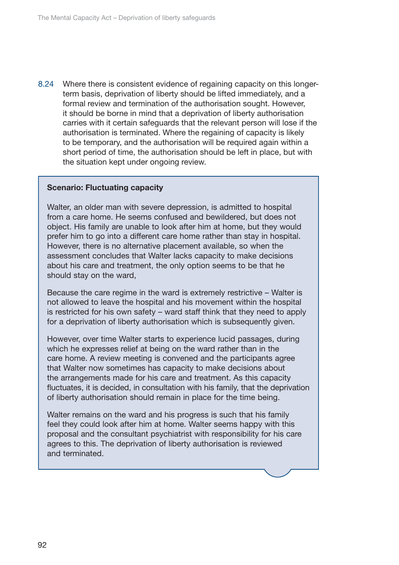8.24 Where there is consistent evidence of regaining capacity on this longerterm basis, deprivation of liberty should be lifted immediately, and a formal review and termination of the authorisation sought. However, it should be borne in mind that a deprivation of liberty authorisation carries with it certain safeguards that the relevant person will lose if the authorisation is terminated. Where the regaining of capacity is likely to be temporary, and the authorisation will be required again within a short period of time, the authorisation should be left in place, but with the situation kept under ongoing review.

#### **Scenario: Fluctuating capacity**

Walter, an older man with severe depression, is admitted to hospital from a care home. He seems confused and bewildered, but does not object. His family are unable to look after him at home, but they would prefer him to go into a different care home rather than stay in hospital. However, there is no alternative placement available, so when the assessment concludes that Walter lacks capacity to make decisions about his care and treatment, the only option seems to be that he should stay on the ward,

Because the care regime in the ward is extremely restrictive – Walter is not allowed to leave the hospital and his movement within the hospital is restricted for his own safety – ward staff think that they need to apply for a deprivation of liberty authorisation which is subsequently given.

However, over time Walter starts to experience lucid passages, during which he expresses relief at being on the ward rather than in the care home. A review meeting is convened and the participants agree that Walter now sometimes has capacity to make decisions about the arrangements made for his care and treatment. As this capacity fluctuates, it is decided, in consultation with his family, that the deprivation of liberty authorisation should remain in place for the time being.

Walter remains on the ward and his progress is such that his family feel they could look after him at home. Walter seems happy with this proposal and the consultant psychiatrist with responsibility for his care agrees to this. The deprivation of liberty authorisation is reviewed and terminated.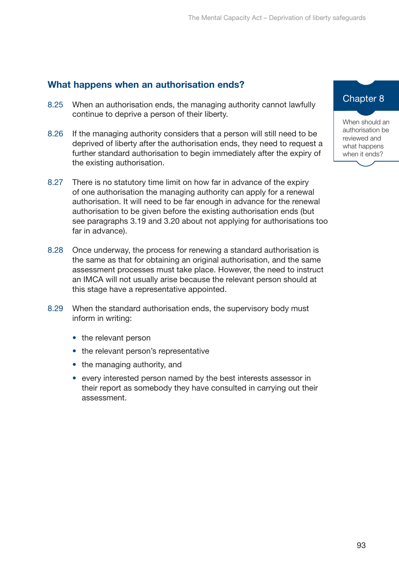## **What happens when an authorisation ends?**

- 8.25 When an authorisation ends, the managing authority cannot lawfully continue to deprive a person of their liberty.
- 8.26 If the managing authority considers that a person will still need to be deprived of liberty after the authorisation ends, they need to request a further standard authorisation to begin immediately after the expiry of the existing authorisation.
- 8.27 There is no statutory time limit on how far in advance of the expiry of one authorisation the managing authority can apply for a renewal authorisation. It will need to be far enough in advance for the renewal authorisation to be given before the existing authorisation ends (but see paragraphs 3.19 and 3.20 about not applying for authorisations too far in advance).
- 8.28 Once underway, the process for renewing a standard authorisation is the same as that for obtaining an original authorisation, and the same assessment processes must take place. However, the need to instruct an IMCA will not usually arise because the relevant person should at this stage have a representative appointed.
- 8.29 When the standard authorisation ends, the supervisory body must inform in writing:
	- the relevant person
	- the relevant person's representative
	- $\bullet$  the managing authority, and
	- every interested person named by the best interests assessor in their report as somebody they have consulted in carrying out their assessment.

# Chapter 8

When should an authorisation be reviewed and what happens when it ends?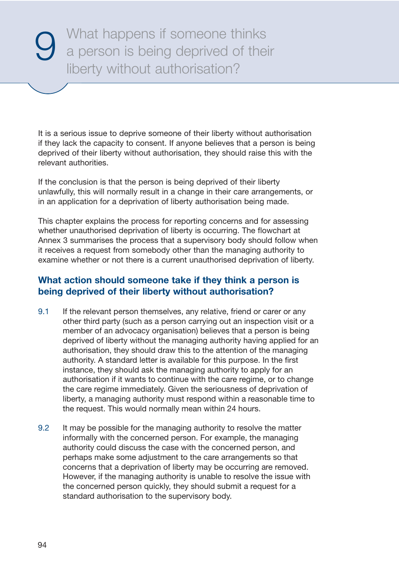It is a serious issue to deprive someone of their liberty without authorisation if they lack the capacity to consent. If anyone believes that a person is being deprived of their liberty without authorisation, they should raise this with the relevant authorities.

If the conclusion is that the person is being deprived of their liberty unlawfully, this will normally result in a change in their care arrangements, or in an application for a deprivation of liberty authorisation being made.

This chapter explains the process for reporting concerns and for assessing whether unauthorised deprivation of liberty is occurring. The flowchart at Annex 3 summarises the process that a supervisory body should follow when it receives a request from somebody other than the managing authority to examine whether or not there is a current unauthorised deprivation of liberty.

## **What action should someone take if they think a person is being deprived of their liberty without authorisation?**

- 9.1 If the relevant person themselves, any relative, friend or carer or any other third party (such as a person carrying out an inspection visit or a member of an advocacy organisation) believes that a person is being deprived of liberty without the managing authority having applied for an authorisation, they should draw this to the attention of the managing authority. A standard letter is available for this purpose. In the first instance, they should ask the managing authority to apply for an authorisation if it wants to continue with the care regime, or to change the care regime immediately. Given the seriousness of deprivation of liberty, a managing authority must respond within a reasonable time to the request. This would normally mean within 24 hours.
- 9.2 It may be possible for the managing authority to resolve the matter informally with the concerned person. For example, the managing authority could discuss the case with the concerned person, and perhaps make some adjustment to the care arrangements so that concerns that a deprivation of liberty may be occurring are removed. However, if the managing authority is unable to resolve the issue with the concerned person quickly, they should submit a request for a standard authorisation to the supervisory body.

9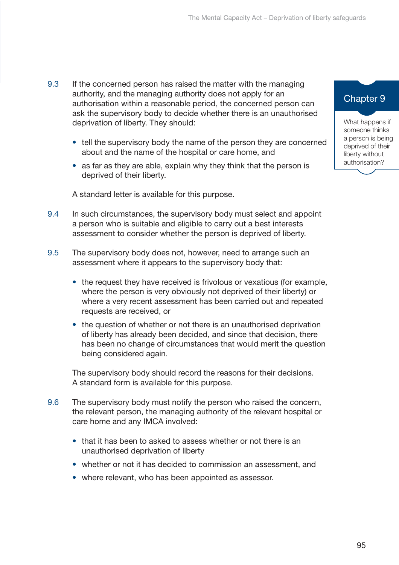- 9.3 If the concerned person has raised the matter with the managing authority, and the managing authority does not apply for an authorisation within a reasonable period, the concerned person can ask the supervisory body to decide whether there is an unauthorised deprivation of liberty. They should:
	- tell the supervisory body the name of the person they are concerned about and the name of the hospital or care home, and
	- as far as they are able, explain why they think that the person is deprived of their liberty.

A standard letter is available for this purpose.

- 9.4 In such circumstances, the supervisory body must select and appoint a person who is suitable and eligible to carry out a best interests assessment to consider whether the person is deprived of liberty.
- 9.5 The supervisory body does not, however, need to arrange such an assessment where it appears to the supervisory body that:
	- the request they have received is frivolous or vexatious (for example, where the person is very obviously not deprived of their liberty) or where a very recent assessment has been carried out and repeated requests are received, or
	- the question of whether or not there is an unauthorised deprivation of liberty has already been decided, and since that decision, there has been no change of circumstances that would merit the question being considered again.

The supervisory body should record the reasons for their decisions. A standard form is available for this purpose.

- 9.6 The supervisory body must notify the person who raised the concern, the relevant person, the managing authority of the relevant hospital or care home and any IMCA involved:
	- that it has been to asked to assess whether or not there is an unauthorised deprivation of liberty
	- whether or not it has decided to commission an assessment, and
	- where relevant, who has been appointed as assessor.

## Chapter 9

What happens if someone thinks a person is being deprived of their liberty without authorisation?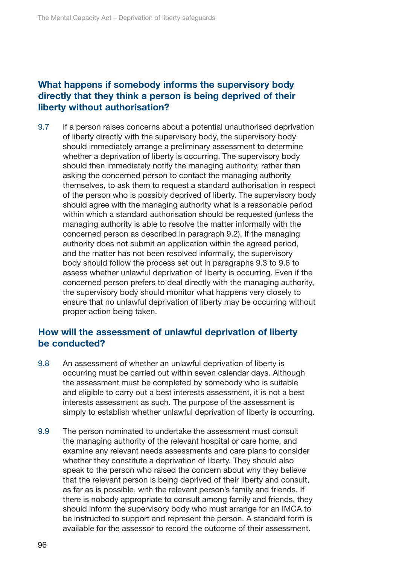## **What happens if somebody informs the supervisory body directly that they think a person is being deprived of their liberty without authorisation?**

9.7 If a person raises concerns about a potential unauthorised deprivation of liberty directly with the supervisory body, the supervisory body should immediately arrange a preliminary assessment to determine whether a deprivation of liberty is occurring. The supervisory body should then immediately notify the managing authority, rather than asking the concerned person to contact the managing authority themselves, to ask them to request a standard authorisation in respect of the person who is possibly deprived of liberty. The supervisory body should agree with the managing authority what is a reasonable period within which a standard authorisation should be requested (unless the managing authority is able to resolve the matter informally with the concerned person as described in paragraph 9.2). If the managing authority does not submit an application within the agreed period, and the matter has not been resolved informally, the supervisory body should follow the process set out in paragraphs 9.3 to 9.6 to assess whether unlawful deprivation of liberty is occurring. Even if the concerned person prefers to deal directly with the managing authority, the supervisory body should monitor what happens very closely to ensure that no unlawful deprivation of liberty may be occurring without proper action being taken.

## **How will the assessment of unlawful deprivation of liberty be conducted?**

- 9.8 An assessment of whether an unlawful deprivation of liberty is occurring must be carried out within seven calendar days. Although the assessment must be completed by somebody who is suitable and eligible to carry out a best interests assessment, it is not a best interests assessment as such. The purpose of the assessment is simply to establish whether unlawful deprivation of liberty is occurring.
- 9.9 The person nominated to undertake the assessment must consult the managing authority of the relevant hospital or care home, and examine any relevant needs assessments and care plans to consider whether they constitute a deprivation of liberty. They should also speak to the person who raised the concern about why they believe that the relevant person is being deprived of their liberty and consult, as far as is possible, with the relevant person's family and friends. If there is nobody appropriate to consult among family and friends, they should inform the supervisory body who must arrange for an IMCA to be instructed to support and represent the person. A standard form is available for the assessor to record the outcome of their assessment.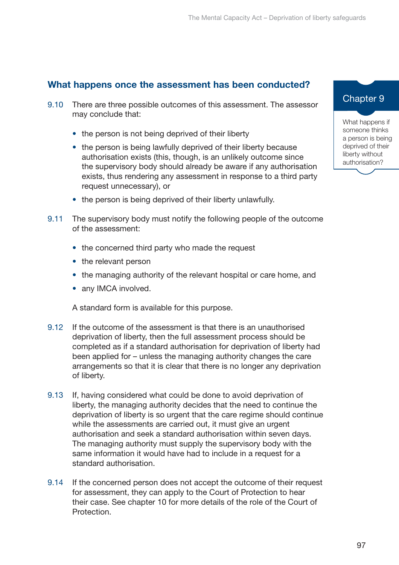## **What happens once the assessment has been conducted?**

- 9.10 There are three possible outcomes of this assessment. The assessor may conclude that:
	- the person is not being deprived of their liberty
	- the person is being lawfully deprived of their liberty because authorisation exists (this, though, is an unlikely outcome since the supervisory body should already be aware if any authorisation exists, thus rendering any assessment in response to a third party request unnecessary), or
	- the person is being deprived of their liberty unlawfully.
- 9.11 The supervisory body must notify the following people of the outcome of the assessment:
	- the concerned third party who made the request
	- $\bullet$  the relevant person
	- the managing authority of the relevant hospital or care home, and
	- any IMCA involved.

A standard form is available for this purpose.

- 9.12 If the outcome of the assessment is that there is an unauthorised deprivation of liberty, then the full assessment process should be completed as if a standard authorisation for deprivation of liberty had been applied for – unless the managing authority changes the care arrangements so that it is clear that there is no longer any deprivation of liberty.
- 9.13 If, having considered what could be done to avoid deprivation of liberty, the managing authority decides that the need to continue the deprivation of liberty is so urgent that the care regime should continue while the assessments are carried out, it must give an urgent authorisation and seek a standard authorisation within seven days. The managing authority must supply the supervisory body with the same information it would have had to include in a request for a standard authorisation.
- 9.14 If the concerned person does not accept the outcome of their request for assessment, they can apply to the Court of Protection to hear their case. See chapter 10 for more details of the role of the Court of Protection.

# Chapter 9

What happens if someone thinks a person is being deprived of their liberty without authorisation?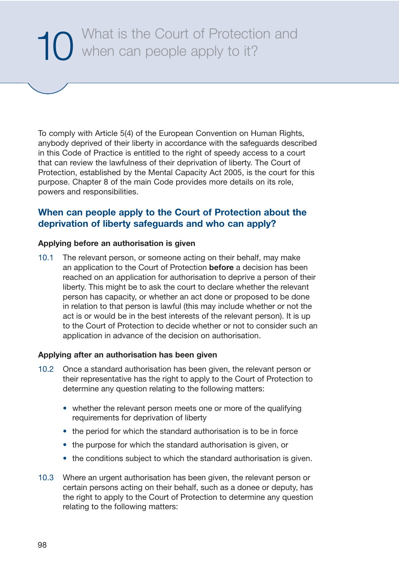# TO What is the Court of Protection and<br>When can people apply to it? when can people apply to it?

To comply with Article 5(4) of the European Convention on Human Rights, anybody deprived of their liberty in accordance with the safeguards described in this Code of Practice is entitled to the right of speedy access to a court that can review the lawfulness of their deprivation of liberty. The Court of Protection, established by the Mental Capacity Act 2005, is the court for this purpose. Chapter 8 of the main Code provides more details on its role, powers and responsibilities.

## **When can people apply to the Court of Protection about the deprivation of liberty safeguards and who can apply?**

#### **Applying before an authorisation is given**

10.1 The relevant person, or someone acting on their behalf, may make an application to the Court of Protection **before** a decision has been reached on an application for authorisation to deprive a person of their liberty. This might be to ask the court to declare whether the relevant person has capacity, or whether an act done or proposed to be done in relation to that person is lawful (this may include whether or not the act is or would be in the best interests of the relevant person). It is up to the Court of Protection to decide whether or not to consider such an application in advance of the decision on authorisation.

#### **Applying after an authorisation has been given**

- 10.2 Once a standard authorisation has been given, the relevant person or their representative has the right to apply to the Court of Protection to determine any question relating to the following matters:
	- whether the relevant person meets one or more of the qualifying requirements for deprivation of liberty
	- the period for which the standard authorisation is to be in force
	- the purpose for which the standard authorisation is given, or
	- the conditions subject to which the standard authorisation is given.
- 10.3 Where an urgent authorisation has been given, the relevant person or certain persons acting on their behalf, such as a donee or deputy, has the right to apply to the Court of Protection to determine any question relating to the following matters: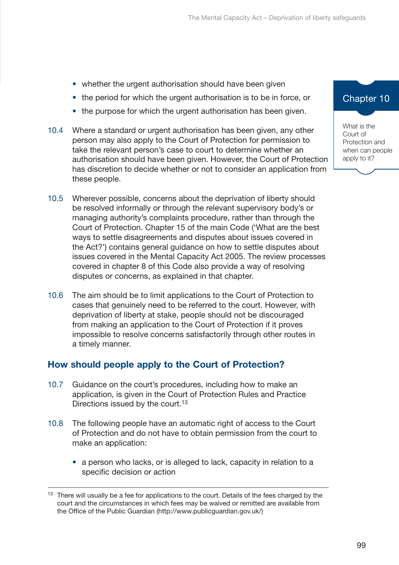- whether the urgent authorisation should have been given
- the period for which the urgent authorisation is to be in force, or
- the purpose for which the urgent authorisation has been given.
- 10.4 Where a standard or urgent authorisation has been given, any other person may also apply to the Court of Protection for permission to take the relevant person's case to court to determine whether an authorisation should have been given. However, the Court of Protection has discretion to decide whether or not to consider an application from these people.
- 10.5 Wherever possible, concerns about the deprivation of liberty should be resolved informally or through the relevant supervisory body's or managing authority's complaints procedure, rather than through the Court of Protection. Chapter 15 of the main Code ('What are the best ways to settle disagreements and disputes about issues covered in the Act?') contains general guidance on how to settle disputes about issues covered in the Mental Capacity Act 2005. The review processes covered in chapter 8 of this Code also provide a way of resolving disputes or concerns, as explained in that chapter.
- 10.6 The aim should be to limit applications to the Court of Protection to cases that genuinely need to be referred to the court. However, with deprivation of liberty at stake, people should not be discouraged from making an application to the Court of Protection if it proves impossible to resolve concerns satisfactorily through other routes in a timely manner.

## **How should people apply to the Court of Protection?**

- 10.7 Guidance on the court's procedures, including how to make an application, is given in the Court of Protection Rules and Practice Directions issued by the court.<sup>13</sup>
- 10.8 The following people have an automatic right of access to the Court of Protection and do not have to obtain permission from the court to make an application:
	- a person who lacks, or is alleged to lack, capacity in relation to a specific decision or action

## Chapter 10

What is the Court of Protection and when can people apply to it?

<sup>&</sup>lt;sup>13</sup> There will usually be a fee for applications to the court. Details of the fees charged by the court and the circumstances in which fees may be waived or remitted are available from the Office of the Public Guardian (http://www.publicguardian.gov.uk/)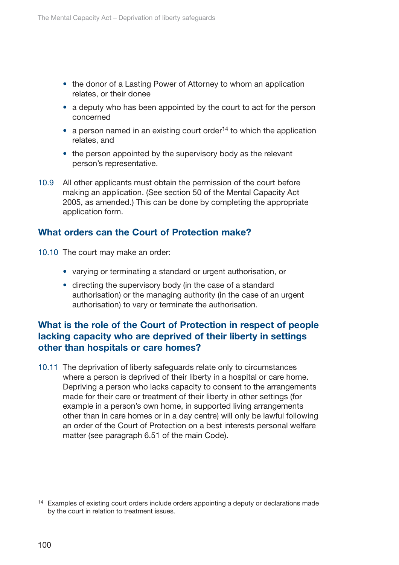- the donor of a Lasting Power of Attorney to whom an application relates, or their donee
- a deputy who has been appointed by the court to act for the person concerned
- $\bullet$  a person named in an existing court order<sup>14</sup> to which the application relates, and
- the person appointed by the supervisory body as the relevant person's representative.
- 10.9 All other applicants must obtain the permission of the court before making an application. (See section 50 of the Mental Capacity Act 2005, as amended.) This can be done by completing the appropriate application form.

## **What orders can the Court of Protection make?**

- 10.10 The court may make an order:
	- varying or terminating a standard or urgent authorisation, or
	- directing the supervisory body (in the case of a standard authorisation) or the managing authority (in the case of an urgent authorisation) to vary or terminate the authorisation.

## **What is the role of the Court of Protection in respect of people lacking capacity who are deprived of their liberty in settings other than hospitals or care homes?**

10.11 The deprivation of liberty safeguards relate only to circumstances where a person is deprived of their liberty in a hospital or care home. Depriving a person who lacks capacity to consent to the arrangements made for their care or treatment of their liberty in other settings (for example in a person's own home, in supported living arrangements other than in care homes or in a day centre) will only be lawful following an order of the Court of Protection on a best interests personal welfare matter (see paragraph 6.51 of the main Code).

<sup>&</sup>lt;sup>14</sup> Examples of existing court orders include orders appointing a deputy or declarations made by the court in relation to treatment issues.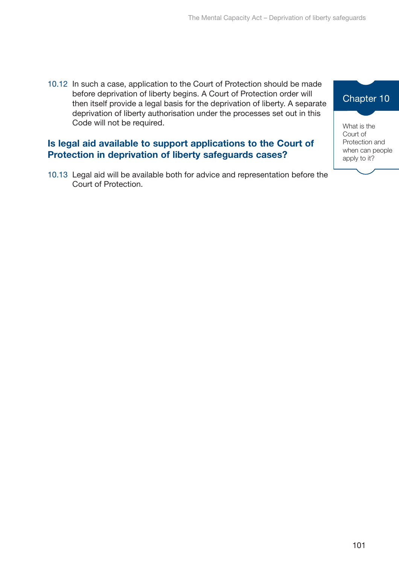10.12 In such a case, application to the Court of Protection should be made before deprivation of liberty begins. A Court of Protection order will then itself provide a legal basis for the deprivation of liberty. A separate deprivation of liberty authorisation under the processes set out in this Code will not be required.

## **Is legal aid available to support applications to the Court of Protection in deprivation of liberty safeguards cases?**

10.13 Legal aid will be available both for advice and representation before the Court of Protection.

## Chapter 10

What is the Court of Protection and when can people apply to it?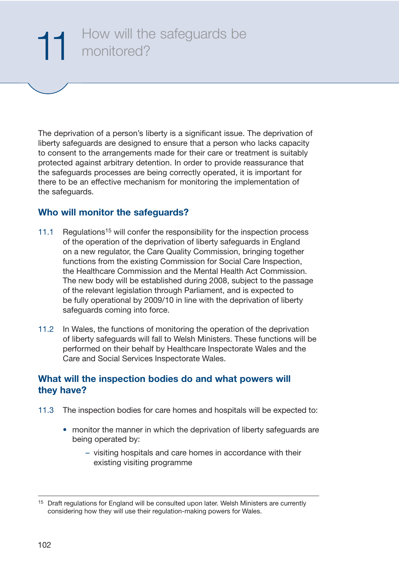# 11 How will the safeguards be<br>monitored? monitored?

The deprivation of a person's liberty is a significant issue. The deprivation of liberty safeguards are designed to ensure that a person who lacks capacity to consent to the arrangements made for their care or treatment is suitably protected against arbitrary detention. In order to provide reassurance that the safeguards processes are being correctly operated, it is important for there to be an effective mechanism for monitoring the implementation of the safeguards.

## **Who will monitor the safeguards?**

- 11.1 Regulations<sup>15</sup> will confer the responsibility for the inspection process of the operation of the deprivation of liberty safeguards in England on a new regulator, the Care Quality Commission, bringing together functions from the existing Commission for Social Care Inspection, the Healthcare Commission and the Mental Health Act Commission. The new body will be established during 2008, subject to the passage of the relevant legislation through Parliament, and is expected to be fully operational by 2009/10 in line with the deprivation of liberty safeguards coming into force.
- 11.2 In Wales, the functions of monitoring the operation of the deprivation of liberty safeguards will fall to Welsh Ministers. These functions will be performed on their behalf by Healthcare Inspectorate Wales and the Care and Social Services Inspectorate Wales.

## **What will the inspection bodies do and what powers will they have?**

- 11.3 The inspection bodies for care homes and hospitals will be expected to:
	- monitor the manner in which the deprivation of liberty safeguards are being operated by:
		- visiting hospitals and care homes in accordance with their existing visiting programme

<sup>&</sup>lt;sup>15</sup> Draft regulations for England will be consulted upon later. Welsh Ministers are currently considering how they will use their regulation-making powers for Wales.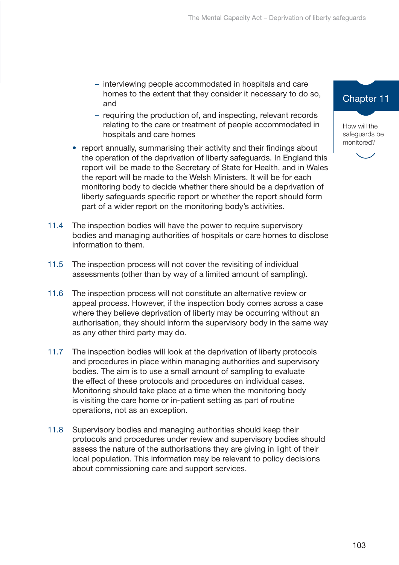- interviewing people accommodated in hospitals and care homes to the extent that they consider it necessary to do so, and
- requiring the production of, and inspecting, relevant records relating to the care or treatment of people accommodated in hospitals and care homes
- report annually, summarising their activity and their findings about the operation of the deprivation of liberty safeguards. In England this report will be made to the Secretary of State for Health, and in Wales the report will be made to the Welsh Ministers. It will be for each monitoring body to decide whether there should be a deprivation of liberty safeguards specific report or whether the report should form part of a wider report on the monitoring body's activities.
- 11.4 The inspection bodies will have the power to require supervisory bodies and managing authorities of hospitals or care homes to disclose information to them.
- 11.5 The inspection process will not cover the revisiting of individual assessments (other than by way of a limited amount of sampling).
- 11.6 The inspection process will not constitute an alternative review or appeal process. However, if the inspection body comes across a case where they believe deprivation of liberty may be occurring without an authorisation, they should inform the supervisory body in the same way as any other third party may do.
- 11.7 The inspection bodies will look at the deprivation of liberty protocols and procedures in place within managing authorities and supervisory bodies. The aim is to use a small amount of sampling to evaluate the effect of these protocols and procedures on individual cases. Monitoring should take place at a time when the monitoring body is visiting the care home or in-patient setting as part of routine operations, not as an exception.
- 11.8 Supervisory bodies and managing authorities should keep their protocols and procedures under review and supervisory bodies should assess the nature of the authorisations they are giving in light of their local population. This information may be relevant to policy decisions about commissioning care and support services.

## Chapter 11

How will the safeguards be monitored?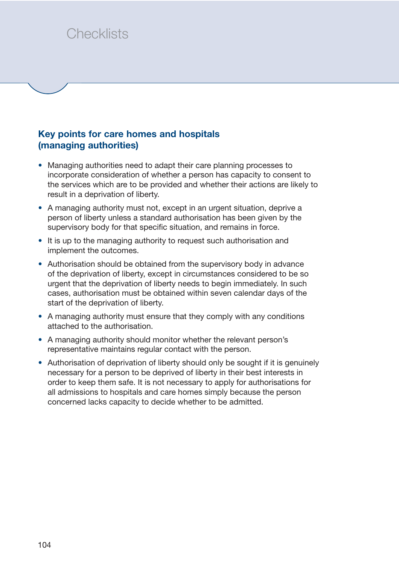# **Checklists**

### **Key points for care homes and hospitals (managing authorities)**

- Managing authorities need to adapt their care planning processes to incorporate consideration of whether a person has capacity to consent to the services which are to be provided and whether their actions are likely to result in a deprivation of liberty.
- A managing authority must not, except in an urgent situation, deprive a person of liberty unless a standard authorisation has been given by the supervisory body for that specific situation, and remains in force.
- It is up to the managing authority to request such authorisation and implement the outcomes.
- Authorisation should be obtained from the supervisory body in advance of the deprivation of liberty, except in circumstances considered to be so urgent that the deprivation of liberty needs to begin immediately. In such cases, authorisation must be obtained within seven calendar days of the start of the deprivation of liberty.
- A managing authority must ensure that they comply with any conditions attached to the authorisation.
- A managing authority should monitor whether the relevant person's representative maintains regular contact with the person.
- Authorisation of deprivation of liberty should only be sought if it is genuinely necessary for a person to be deprived of liberty in their best interests in order to keep them safe. It is not necessary to apply for authorisations for all admissions to hospitals and care homes simply because the person concerned lacks capacity to decide whether to be admitted.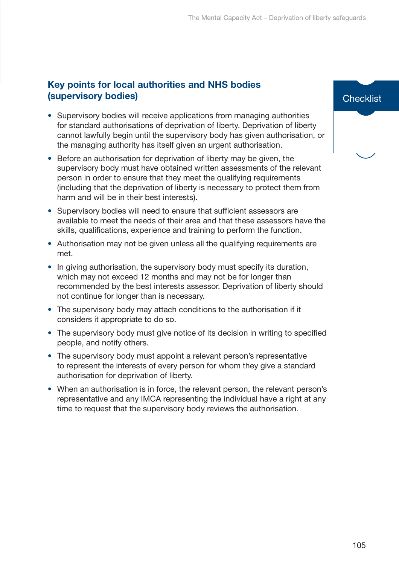## **Key points for local authorities and NHS bodies (supervisory bodies)**

- Supervisory bodies will receive applications from managing authorities for standard authorisations of deprivation of liberty. Deprivation of liberty cannot lawfully begin until the supervisory body has given authorisation, or the managing authority has itself given an urgent authorisation.
- Before an authorisation for deprivation of liberty may be given, the supervisory body must have obtained written assessments of the relevant person in order to ensure that they meet the qualifying requirements (including that the deprivation of liberty is necessary to protect them from harm and will be in their best interests).
- Supervisory bodies will need to ensure that sufficient assessors are available to meet the needs of their area and that these assessors have the skills, qualifications, experience and training to perform the function.
- Authorisation may not be given unless all the qualifying requirements are met.
- In giving authorisation, the supervisory body must specify its duration, which may not exceed 12 months and may not be for longer than recommended by the best interests assessor. Deprivation of liberty should not continue for longer than is necessary.
- The supervisory body may attach conditions to the authorisation if it considers it appropriate to do so.
- The supervisory body must give notice of its decision in writing to specified people, and notify others.
- The supervisory body must appoint a relevant person's representative to represent the interests of every person for whom they give a standard authorisation for deprivation of liberty.
- When an authorisation is in force, the relevant person, the relevant person's representative and any IMCA representing the individual have a right at any time to request that the supervisory body reviews the authorisation.

## **Checklist**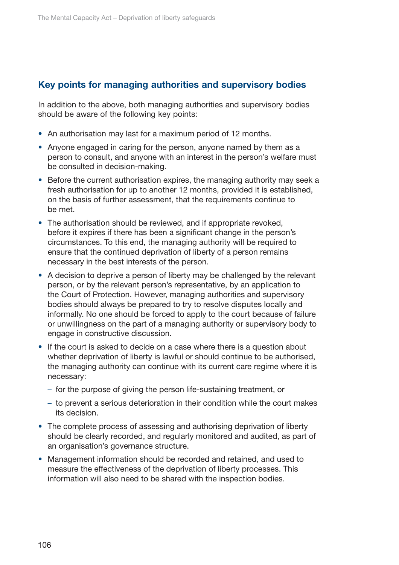### **Key points for managing authorities and supervisory bodies**

In addition to the above, both managing authorities and supervisory bodies should be aware of the following key points:

- An authorisation may last for a maximum period of 12 months.
- Anyone engaged in caring for the person, anyone named by them as a person to consult, and anyone with an interest in the person's welfare must be consulted in decision-making.
- Before the current authorisation expires, the managing authority may seek a fresh authorisation for up to another 12 months, provided it is established, on the basis of further assessment, that the requirements continue to be met.
- The authorisation should be reviewed, and if appropriate revoked, before it expires if there has been a significant change in the person's circumstances. To this end, the managing authority will be required to ensure that the continued deprivation of liberty of a person remains necessary in the best interests of the person.
- A decision to deprive a person of liberty may be challenged by the relevant person, or by the relevant person's representative, by an application to the Court of Protection. However, managing authorities and supervisory bodies should always be prepared to try to resolve disputes locally and informally. No one should be forced to apply to the court because of failure or unwillingness on the part of a managing authority or supervisory body to engage in constructive discussion.
- If the court is asked to decide on a case where there is a question about whether deprivation of liberty is lawful or should continue to be authorised, the managing authority can continue with its current care regime where it is necessary:
	- for the purpose of giving the person life-sustaining treatment, or
	- to prevent a serious deterioration in their condition while the court makes its decision.
- The complete process of assessing and authorising deprivation of liberty should be clearly recorded, and regularly monitored and audited, as part of an organisation's governance structure.
- Management information should be recorded and retained, and used to measure the effectiveness of the deprivation of liberty processes. This information will also need to be shared with the inspection bodies.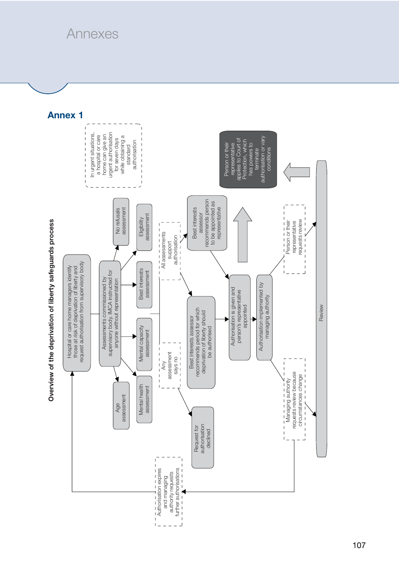# Annexes

**Annex 1**



107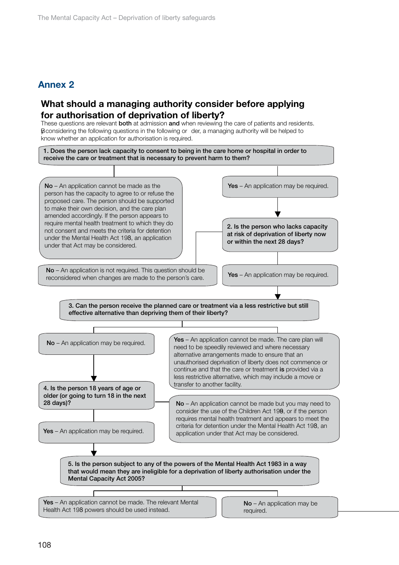## **Annex 2**

#### **What should a managing authority consider before applying for authorisation of deprivation of liberty?**

These questions are relevant **both** at admission **and** when reviewing the care of patients and residents. By considering the following questions in the following or der, a managing authority will be helped to know whether an application for authorisation is required.

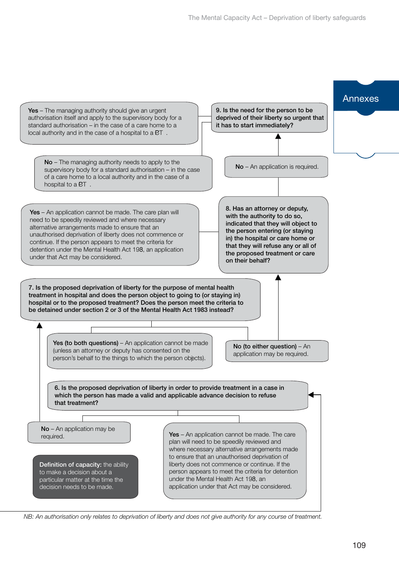

*NB: An authorisation only relates to deprivation of liberty and does not give authority for any course of treatment.*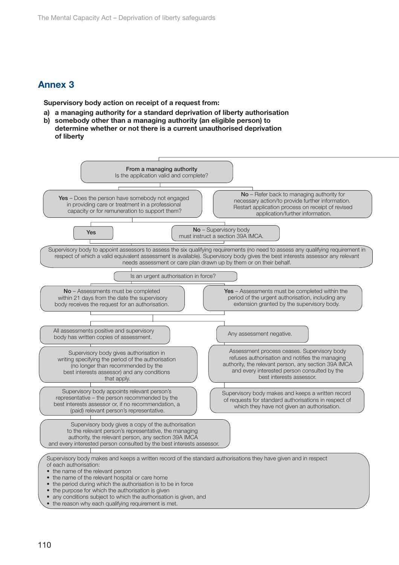### **Annex 3**

**Supervisory body action on receipt of a request from:**

- **a) a managing authority for a standard deprivation of liberty authorisation**
- **b) somebody other than a managing authority (an eligible person) to determine whether or not there is a current unauthorised deprivation of liberty**



the reason why each qualifying requirement is met.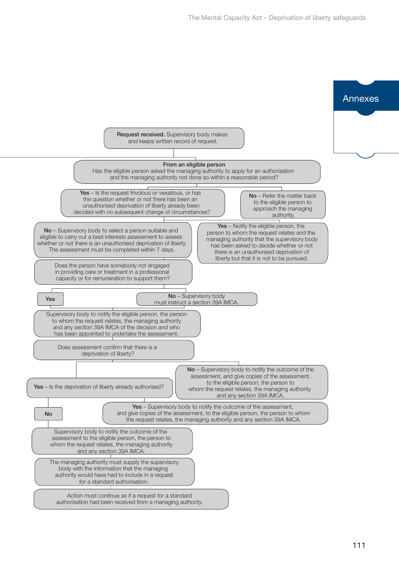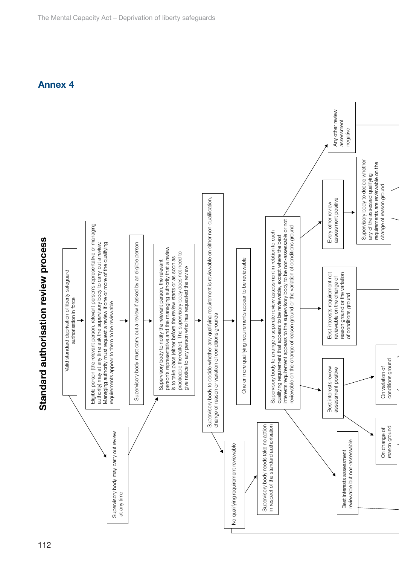

## **Annex 4**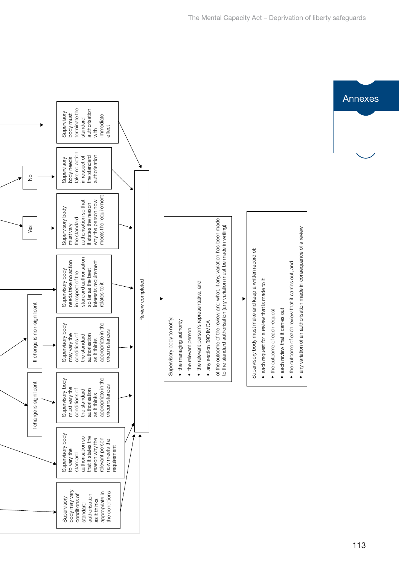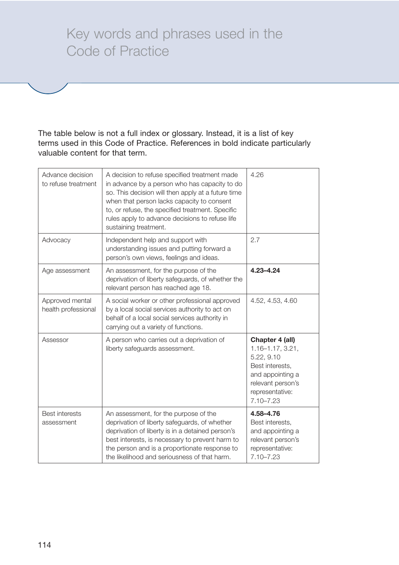# Key words and phrases used in the Code of Practice

The table below is not a full index or glossary. Instead, it is a list of key terms used in this Code of Practice. References in bold indicate particularly valuable content for that term.

| Advance decision<br>to refuse treatment | A decision to refuse specified treatment made<br>in advance by a person who has capacity to do<br>so. This decision will then apply at a future time<br>when that person lacks capacity to consent<br>to, or refuse, the specified treatment. Specific<br>rules apply to advance decisions to refuse life<br>sustaining treatment. | 4.26                                                                                                                                              |
|-----------------------------------------|------------------------------------------------------------------------------------------------------------------------------------------------------------------------------------------------------------------------------------------------------------------------------------------------------------------------------------|---------------------------------------------------------------------------------------------------------------------------------------------------|
| Advocacy                                | Independent help and support with<br>understanding issues and putting forward a<br>person's own views, feelings and ideas.                                                                                                                                                                                                         | 2.7                                                                                                                                               |
| Age assessment                          | An assessment, for the purpose of the<br>deprivation of liberty safeguards, of whether the<br>relevant person has reached age 18.                                                                                                                                                                                                  | $4.23 - 4.24$                                                                                                                                     |
| Approved mental<br>health professional  | A social worker or other professional approved<br>by a local social services authority to act on<br>behalf of a local social services authority in<br>carrying out a variety of functions.                                                                                                                                         | 4.52, 4.53, 4.60                                                                                                                                  |
| Assessor                                | A person who carries out a deprivation of<br>liberty safeguards assessment.                                                                                                                                                                                                                                                        | Chapter 4 (all)<br>1.16-1.17, 3.21,<br>5.22, 9.10<br>Best interests,<br>and appointing a<br>relevant person's<br>representative:<br>$7.10 - 7.23$ |
| <b>Best interests</b><br>assessment     | An assessment, for the purpose of the<br>deprivation of liberty safeguards, of whether<br>deprivation of liberty is in a detained person's<br>best interests, is necessary to prevent harm to<br>the person and is a proportionate response to<br>the likelihood and seriousness of that harm.                                     | 4.58-4.76<br>Best interests,<br>and appointing a<br>relevant person's<br>representative:<br>$7.10 - 7.23$                                         |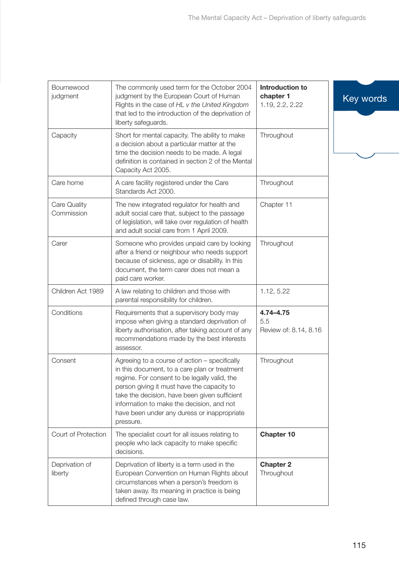| Bournewood<br>judgment<br>Capacity | The commonly used term for the October 2004<br>judgment by the European Court of Human<br>Rights in the case of HL v the United Kingdom<br>that led to the introduction of the deprivation of<br>liberty safeguards.<br>Short for mental capacity. The ability to make<br>a decision about a particular matter at the<br>time the decision needs to be made. A legal | Introduction to<br>chapter 1<br>1.19, 2.2, 2.22<br>Throughout | Key words |
|------------------------------------|----------------------------------------------------------------------------------------------------------------------------------------------------------------------------------------------------------------------------------------------------------------------------------------------------------------------------------------------------------------------|---------------------------------------------------------------|-----------|
| Care home                          | definition is contained in section 2 of the Mental<br>Capacity Act 2005.<br>A care facility registered under the Care                                                                                                                                                                                                                                                | Throughout                                                    |           |
| Care Quality<br>Commission         | Standards Act 2000.<br>The new integrated regulator for health and<br>adult social care that, subject to the passage<br>of legislation, will take over regulation of health<br>and adult social care from 1 April 2009.                                                                                                                                              | Chapter 11                                                    |           |
| Carer                              | Someone who provides unpaid care by looking<br>after a friend or neighbour who needs support<br>because of sickness, age or disability. In this<br>document, the term carer does not mean a<br>paid care worker.                                                                                                                                                     | Throughout                                                    |           |
| Children Act 1989                  | A law relating to children and those with<br>parental responsibility for children.                                                                                                                                                                                                                                                                                   | 1.12, 5.22                                                    |           |
| Conditions                         | Requirements that a supervisory body may<br>impose when giving a standard deprivation of<br>liberty authorisation, after taking account of any<br>recommendations made by the best interests<br>assessor.                                                                                                                                                            | 4.74-4.75<br>5.5<br>Review of: 8.14, 8.16                     |           |
| Consent                            | Agreeing to a course of action - specifically<br>in this document, to a care plan or treatment<br>regime. For consent to be legally valid, the<br>person giving it must have the capacity to<br>take the decision, have been given sufficient<br>information to make the decision, and not<br>have been under any duress or inappropriate<br>pressure.               | Throughout                                                    |           |
| Court of Protection                | The specialist court for all issues relating to<br>people who lack capacity to make specific<br>decisions.                                                                                                                                                                                                                                                           | <b>Chapter 10</b>                                             |           |
| Deprivation of<br>liberty          | Deprivation of liberty is a term used in the<br>European Convention on Human Rights about<br>circumstances when a person's freedom is<br>taken away. Its meaning in practice is being<br>defined through case law.                                                                                                                                                   | <b>Chapter 2</b><br>Throughout                                |           |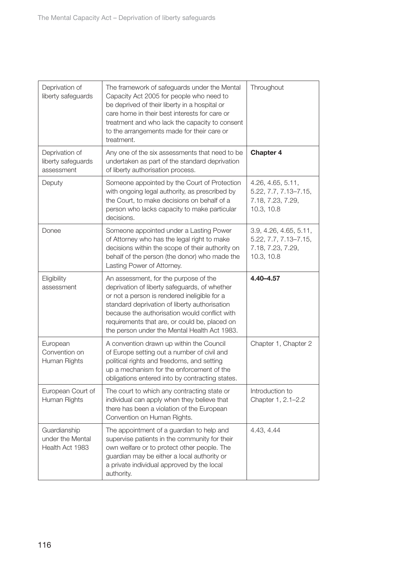| Deprivation of<br>liberty safeguards                | The framework of safeguards under the Mental<br>Capacity Act 2005 for people who need to<br>be deprived of their liberty in a hospital or<br>care home in their best interests for care or<br>treatment and who lack the capacity to consent<br>to the arrangements made for their care or<br>treatment.                                  | Throughout                                                                         |
|-----------------------------------------------------|-------------------------------------------------------------------------------------------------------------------------------------------------------------------------------------------------------------------------------------------------------------------------------------------------------------------------------------------|------------------------------------------------------------------------------------|
| Deprivation of<br>liberty safeguards<br>assessment  | Any one of the six assessments that need to be<br>undertaken as part of the standard deprivation<br>of liberty authorisation process.                                                                                                                                                                                                     | <b>Chapter 4</b>                                                                   |
| Deputy                                              | Someone appointed by the Court of Protection<br>with ongoing legal authority, as prescribed by<br>the Court, to make decisions on behalf of a<br>person who lacks capacity to make particular<br>decisions.                                                                                                                               | 4.26, 4.65, 5.11,<br>5.22, 7.7, 7.13-7.15,<br>7.18, 7.23, 7.29,<br>10.3, 10.8      |
| Donee                                               | Someone appointed under a Lasting Power<br>of Attorney who has the legal right to make<br>decisions within the scope of their authority on<br>behalf of the person (the donor) who made the<br>Lasting Power of Attorney.                                                                                                                 | 3.9, 4.26, 4.65, 5.11,<br>5.22, 7.7, 7.13-7.15,<br>7.18, 7.23, 7.29,<br>10.3, 10.8 |
| Eligibility<br>assessment                           | An assessment, for the purpose of the<br>deprivation of liberty safeguards, of whether<br>or not a person is rendered ineligible for a<br>standard deprivation of liberty authorisation<br>because the authorisation would conflict with<br>requirements that are, or could be, placed on<br>the person under the Mental Health Act 1983. | 4.40-4.57                                                                          |
| European<br>Convention on<br>Human Rights           | A convention drawn up within the Council<br>of Europe setting out a number of civil and<br>political rights and freedoms, and setting<br>up a mechanism for the enforcement of the<br>obligations entered into by contracting states.                                                                                                     | Chapter 1, Chapter 2                                                               |
| European Court of<br>Human Rights                   | The court to which any contracting state or<br>individual can apply when they believe that<br>there has been a violation of the European<br>Convention on Human Rights.                                                                                                                                                                   | Introduction to<br>Chapter 1, 2.1-2.2                                              |
| Guardianship<br>under the Mental<br>Health Act 1983 | The appointment of a guardian to help and<br>supervise patients in the community for their<br>own welfare or to protect other people. The<br>guardian may be either a local authority or<br>a private individual approved by the local<br>authority.                                                                                      | 4.43, 4.44                                                                         |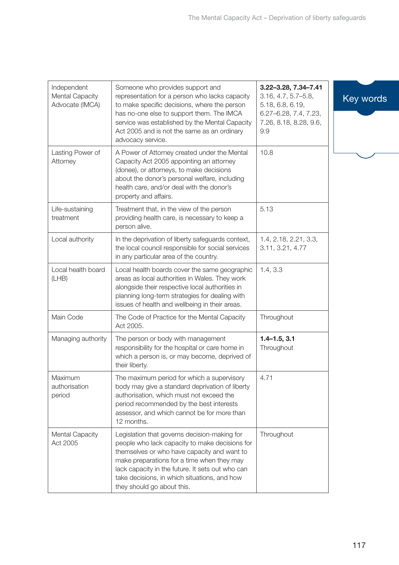| Independent<br><b>Mental Capacity</b><br>Advocate (IMCA) | Someone who provides support and<br>representation for a person who lacks capacity<br>to make specific decisions, where the person<br>has no-one else to support them. The IMCA<br>service was established by the Mental Capacity<br>Act 2005 and is not the same as an ordinary<br>advocacy service.                         | 3.22-3.28, 7.34-7.41<br>3.16, 4.7, 5.7-5.8,<br>5.18, 6.8, 6.19,<br>6.27-6.28, 7.4, 7.23,<br>7.26, 8.18, 8.28, 9.6,<br>9.9 | Key words |
|----------------------------------------------------------|-------------------------------------------------------------------------------------------------------------------------------------------------------------------------------------------------------------------------------------------------------------------------------------------------------------------------------|---------------------------------------------------------------------------------------------------------------------------|-----------|
| Lasting Power of<br>Attorney                             | A Power of Attorney created under the Mental<br>Capacity Act 2005 appointing an attorney<br>(donee), or attorneys, to make decisions<br>about the donor's personal welfare, including<br>health care, and/or deal with the donor's<br>property and affairs.                                                                   | 10.8                                                                                                                      |           |
| Life-sustaining<br>treatment                             | Treatment that, in the view of the person<br>providing health care, is necessary to keep a<br>person alive.                                                                                                                                                                                                                   | 5.13                                                                                                                      |           |
| Local authority                                          | In the deprivation of liberty safeguards context,<br>the local council responsible for social services<br>in any particular area of the country.                                                                                                                                                                              | 1.4, 2.18, 2.21, 3.3,<br>3.11, 3.21, 4.77                                                                                 |           |
| Local health board<br>(LHB)                              | Local health boards cover the same geographic<br>areas as local authorities in Wales. They work<br>alongside their respective local authorities in<br>planning long-term strategies for dealing with<br>issues of health and wellbeing in their areas.                                                                        | 1.4, 3.3                                                                                                                  |           |
| Main Code                                                | The Code of Practice for the Mental Capacity<br>Act 2005.                                                                                                                                                                                                                                                                     | Throughout                                                                                                                |           |
| Managing authority                                       | The person or body with management<br>responsibility for the hospital or care home in<br>which a person is, or may become, deprived of<br>their liberty.                                                                                                                                                                      | $1.4 - 1.5, 3.1$<br>Throughout                                                                                            |           |
| Maximum<br>authorisation<br>period                       | The maximum period for which a supervisory<br>body may give a standard deprivation of liberty<br>authorisation, which must not exceed the<br>period recommended by the best interests<br>assessor, and which cannot be for more than<br>12 months.                                                                            | 4.71                                                                                                                      |           |
| <b>Mental Capacity</b><br>Act 2005                       | Legislation that governs decision-making for<br>people who lack capacity to make decisions for<br>themselves or who have capacity and want to<br>make preparations for a time when they may<br>lack capacity in the future. It sets out who can<br>take decisions, in which situations, and how<br>they should go about this. | Throughout                                                                                                                |           |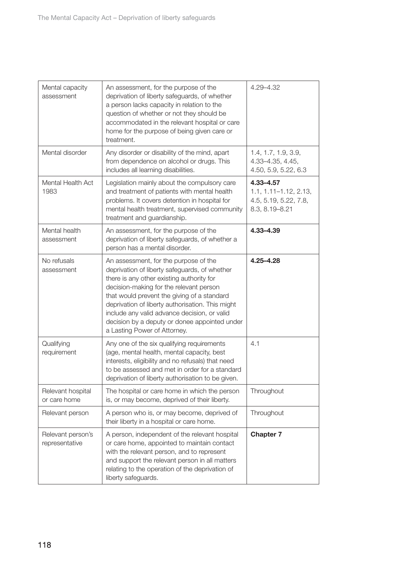| Mental capacity<br>assessment       | An assessment, for the purpose of the<br>deprivation of liberty safeguards, of whether<br>a person lacks capacity in relation to the<br>question of whether or not they should be<br>accommodated in the relevant hospital or care<br>home for the purpose of being given care or<br>treatment.                                                                                                                    | 4.29-4.32                                                                           |
|-------------------------------------|--------------------------------------------------------------------------------------------------------------------------------------------------------------------------------------------------------------------------------------------------------------------------------------------------------------------------------------------------------------------------------------------------------------------|-------------------------------------------------------------------------------------|
| Mental disorder                     | Any disorder or disability of the mind, apart<br>from dependence on alcohol or drugs. This<br>includes all learning disabilities.                                                                                                                                                                                                                                                                                  | 1.4, 1.7, 1.9, 3.9,<br>4.33-4.35, 4.45,<br>4.50, 5.9, 5.22, 6.3                     |
| Mental Health Act<br>1983           | Legislation mainly about the compulsory care<br>and treatment of patients with mental health<br>problems. It covers detention in hospital for<br>mental health treatment, supervised community<br>treatment and guardianship.                                                                                                                                                                                      | 4.33-4.57<br>$1.1, 1.11 - 1.12, 2.13,$<br>4.5, 5.19, 5.22, 7.8,<br>8.3, 8.19 - 8.21 |
| Mental health<br>assessment         | An assessment, for the purpose of the<br>deprivation of liberty safeguards, of whether a<br>person has a mental disorder.                                                                                                                                                                                                                                                                                          | 4.33-4.39                                                                           |
| No refusals<br>assessment           | An assessment, for the purpose of the<br>deprivation of liberty safeguards, of whether<br>there is any other existing authority for<br>decision-making for the relevant person<br>that would prevent the giving of a standard<br>deprivation of liberty authorisation. This might<br>include any valid advance decision, or valid<br>decision by a deputy or donee appointed under<br>a Lasting Power of Attorney. | 4.25-4.28                                                                           |
| Qualifying<br>requirement           | Any one of the six qualifying requirements<br>(age, mental health, mental capacity, best<br>interests, eligibility and no refusals) that need<br>to be assessed and met in order for a standard<br>deprivation of liberty authorisation to be given.                                                                                                                                                               | 4.1                                                                                 |
| Relevant hospital<br>or care home   | The hospital or care home in which the person<br>is, or may become, deprived of their liberty.                                                                                                                                                                                                                                                                                                                     | Throughout                                                                          |
| Relevant person                     | A person who is, or may become, deprived of<br>their liberty in a hospital or care home.                                                                                                                                                                                                                                                                                                                           | Throughout                                                                          |
| Relevant person's<br>representative | A person, independent of the relevant hospital<br>or care home, appointed to maintain contact<br>with the relevant person, and to represent<br>and support the relevant person in all matters<br>relating to the operation of the deprivation of<br>liberty safeguards.                                                                                                                                            | <b>Chapter 7</b>                                                                    |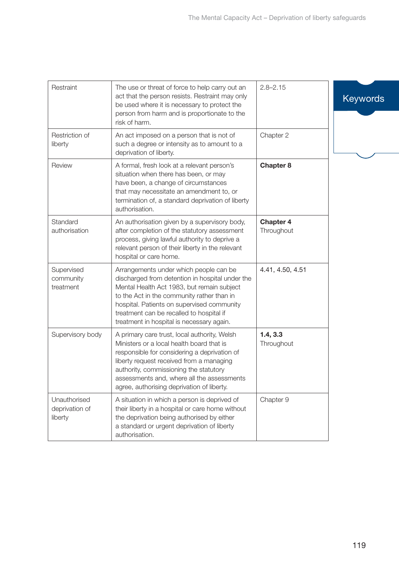| Restraint                                 | The use or threat of force to help carry out an<br>act that the person resists. Restraint may only<br>be used where it is necessary to protect the<br>person from harm and is proportionate to the<br>risk of harm.                                                                                                          | $2.8 - 2.15$                   | <b>Keywords</b> |
|-------------------------------------------|------------------------------------------------------------------------------------------------------------------------------------------------------------------------------------------------------------------------------------------------------------------------------------------------------------------------------|--------------------------------|-----------------|
| Restriction of<br>liberty                 | An act imposed on a person that is not of<br>such a degree or intensity as to amount to a<br>deprivation of liberty.                                                                                                                                                                                                         | Chapter 2                      |                 |
| Review                                    | A formal, fresh look at a relevant person's<br>situation when there has been, or may<br>have been, a change of circumstances<br>that may necessitate an amendment to, or<br>termination of, a standard deprivation of liberty<br>authorisation.                                                                              | <b>Chapter 8</b>               |                 |
| Standard<br>authorisation                 | An authorisation given by a supervisory body,<br>after completion of the statutory assessment<br>process, giving lawful authority to deprive a<br>relevant person of their liberty in the relevant<br>hospital or care home.                                                                                                 | <b>Chapter 4</b><br>Throughout |                 |
| Supervised<br>community<br>treatment      | Arrangements under which people can be<br>discharged from detention in hospital under the<br>Mental Health Act 1983, but remain subject<br>to the Act in the community rather than in<br>hospital. Patients on supervised community<br>treatment can be recalled to hospital if<br>treatment in hospital is necessary again. | 4.41, 4.50, 4.51               |                 |
| Supervisory body                          | A primary care trust, local authority, Welsh<br>Ministers or a local health board that is<br>responsible for considering a deprivation of<br>liberty request received from a managing<br>authority, commissioning the statutory<br>assessments and, where all the assessments<br>agree, authorising deprivation of liberty.  | 1.4, 3.3<br>Throughout         |                 |
| Unauthorised<br>deprivation of<br>liberty | A situation in which a person is deprived of<br>their liberty in a hospital or care home without<br>the deprivation being authorised by either<br>a standard or urgent deprivation of liberty<br>authorisation.                                                                                                              | Chapter 9                      |                 |